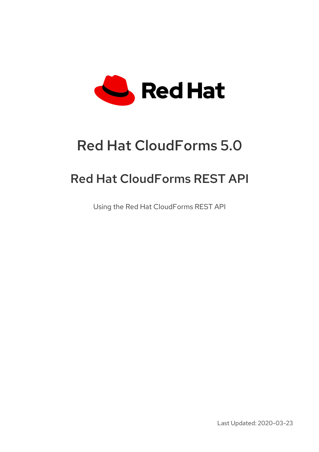

# Red Hat CloudForms 5.0

# Red Hat CloudForms REST API

Using the Red Hat CloudForms REST API

Last Updated: 2020-03-23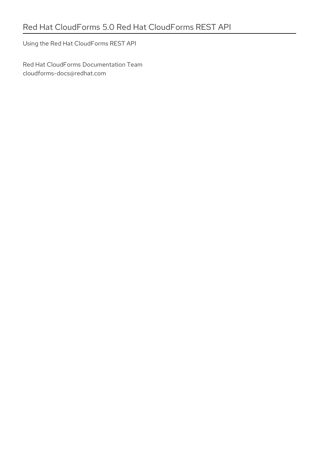Using the Red Hat CloudForms REST API

Red Hat CloudForms Documentation Team cloudforms-docs@redhat.com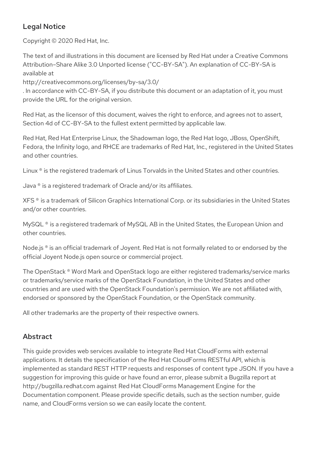# Legal Notice

Copyright © 2020 Red Hat, Inc.

The text of and illustrations in this document are licensed by Red Hat under a Creative Commons Attribution–Share Alike 3.0 Unported license ("CC-BY-SA"). An explanation of CC-BY-SA is available at

http://creativecommons.org/licenses/by-sa/3.0/

. In accordance with CC-BY-SA, if you distribute this document or an adaptation of it, you must provide the URL for the original version.

Red Hat, as the licensor of this document, waives the right to enforce, and agrees not to assert, Section 4d of CC-BY-SA to the fullest extent permitted by applicable law.

Red Hat, Red Hat Enterprise Linux, the Shadowman logo, the Red Hat logo, JBoss, OpenShift, Fedora, the Infinity logo, and RHCE are trademarks of Red Hat, Inc., registered in the United States and other countries.

Linux ® is the registered trademark of Linus Torvalds in the United States and other countries.

Java ® is a registered trademark of Oracle and/or its affiliates.

XFS ® is a trademark of Silicon Graphics International Corp. or its subsidiaries in the United States and/or other countries.

MySQL<sup>®</sup> is a registered trademark of MySQL AB in the United States, the European Union and other countries.

Node.js ® is an official trademark of Joyent. Red Hat is not formally related to or endorsed by the official Joyent Node.js open source or commercial project.

The OpenStack ® Word Mark and OpenStack logo are either registered trademarks/service marks or trademarks/service marks of the OpenStack Foundation, in the United States and other countries and are used with the OpenStack Foundation's permission. We are not affiliated with, endorsed or sponsored by the OpenStack Foundation, or the OpenStack community.

All other trademarks are the property of their respective owners.

# Abstract

This guide provides web services available to integrate Red Hat CloudForms with external applications. It details the specification of the Red Hat CloudForms RESTful API, which is implemented as standard REST HTTP requests and responses of content type JSON. If you have a suggestion for improving this guide or have found an error, please submit a Bugzilla report at http://bugzilla.redhat.com against Red Hat CloudForms Management Engine for the Documentation component. Please provide specific details, such as the section number, guide name, and CloudForms version so we can easily locate the content.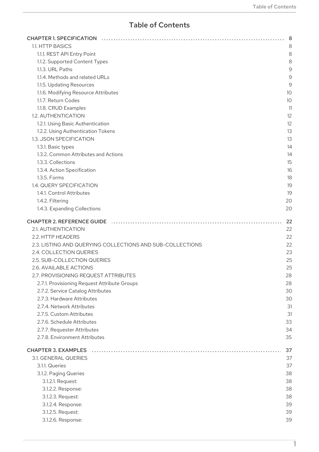# Table of Contents

| 1.1. HTTP BASICS                                          |    |
|-----------------------------------------------------------|----|
| 1.1.1. REST API Entry Point                               |    |
| 1.1.2. Supported Content Types                            |    |
| 1.1.3. URL Paths                                          |    |
| 1.1.4. Methods and related URLs                           |    |
| 1.1.5. Updating Resources                                 |    |
| 1.1.6. Modifying Resource Attributes                      |    |
| 1.1.7. Return Codes                                       |    |
| 1.1.8. CRUD Examples                                      |    |
| 1.2. AUTHENTICATION                                       | 12 |
|                                                           |    |
| 1.2.1. Using Basic Authentication                         | 12 |
| 1.2.2. Using Authentication Tokens                        | 13 |
| 1.3. JSON SPECIFICATION                                   | 13 |
| 1.3.1. Basic types                                        |    |
| 1.3.2. Common Attributes and Actions                      | 14 |
| 1.3.3. Collections                                        | 15 |
| 1.3.4. Action Specification                               | 16 |
| 1.3.5. Forms                                              | 18 |
| 1.4. QUERY SPECIFICATION                                  | 19 |
| 1.4.1. Control Attributes                                 | 19 |
| 1.4.2. Filtering                                          | 20 |
| 1.4.3. Expanding Collections                              | 20 |
|                                                           |    |
| <b>CHAPTER 2. REFERENCE GUIDE</b>                         |    |
| 2.1. AUTHENTICATION                                       | 22 |
| 2.2. HTTP HEADERS                                         | 22 |
| 2.3. LISTING AND QUERYING COLLECTIONS AND SUB-COLLECTIONS | 22 |
| 2.4. COLLECTION QUERIES                                   | 23 |
| 2.5. SUB-COLLECTION QUERIES                               | 25 |
| 2.6. AVAILABLE ACTIONS                                    | 25 |
| 2.7. PROVISIONING REQUEST ATTRIBUTES                      | 28 |
| 2.7.1. Provisioning Request Attribute Groups              | 28 |
| 2.7.2. Service Catalog Attributes                         | 30 |
| 2.7.3. Hardware Attributes                                | 30 |
| 2.7.4. Network Attributes                                 | 31 |
|                                                           |    |
| 2.7.5. Custom Attributes                                  | 31 |
| 2.7.6. Schedule Attributes                                | 33 |
| 2.7.7. Requester Attributes                               | 34 |
| 2.7.8. Environment Attributes                             | 35 |
| <b>CHAPTER 3. EXAMPLES</b>                                | 37 |
| 3.1. GENERAL QUERIES                                      | 37 |
| 3.1.1. Queries                                            | 37 |
| 3.1.2. Paging Queries                                     | 38 |
| 3.1.2.1. Request:                                         | 38 |
|                                                           |    |
| 3.1.2.2. Response:                                        | 38 |
| 3.1.2.3. Request:                                         | 38 |
| 3.1.2.4. Response:                                        | 39 |
| 3.1.2.5. Request:                                         | 39 |
| 3.1.2.6. Response:                                        | 39 |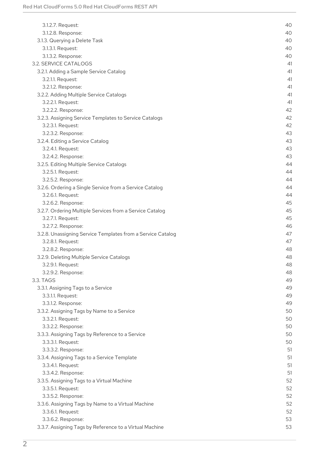| 3.1.2.7. Request:                                           | 40 |
|-------------------------------------------------------------|----|
| 3.1.2.8. Response:                                          | 40 |
| 3.1.3. Querying a Delete Task                               | 40 |
| 3.1.3.1. Request:                                           | 40 |
| 3.1.3.2. Response:                                          | 40 |
| 3.2. SERVICE CATALOGS                                       | 41 |
| 3.2.1. Adding a Sample Service Catalog                      | 41 |
| 3.2.1.1. Request:                                           | 41 |
| 3.2.1.2. Response:                                          | 41 |
| 3.2.2. Adding Multiple Service Catalogs                     | 41 |
| 3.2.2.1. Request:                                           | 41 |
| 3.2.2.2. Response:                                          | 42 |
| 3.2.3. Assigning Service Templates to Service Catalogs      | 42 |
| 3.2.3.1. Request:                                           | 42 |
| 3.2.3.2. Response:                                          | 43 |
| 3.2.4. Editing a Service Catalog                            | 43 |
| 3.2.4.1. Request:                                           | 43 |
| 3.2.4.2. Response:                                          | 43 |
| 3.2.5. Editing Multiple Service Catalogs                    | 44 |
| 3.2.5.1. Request:                                           | 44 |
| 3.2.5.2. Response:                                          | 44 |
| 3.2.6. Ordering a Single Service from a Service Catalog     | 44 |
| 3.2.6.1. Request:                                           | 44 |
| 3.2.6.2. Response:                                          | 45 |
| 3.2.7. Ordering Multiple Services from a Service Catalog    | 45 |
| 3.2.7.1. Request:                                           | 45 |
| 3.2.7.2. Response:                                          | 46 |
| 3.2.8. Unassigning Service Templates from a Service Catalog | 47 |
| 3.2.8.1. Request:                                           | 47 |
| 3.2.8.2. Response:                                          | 48 |
| 3.2.9. Deleting Multiple Service Catalogs                   | 48 |
| 3.2.9.1. Request:                                           | 48 |
| 3.2.9.2. Response:                                          | 48 |
| 3.3. TAGS                                                   | 49 |
| 3.3.1. Assigning Tags to a Service                          | 49 |
| 3.3.1.1. Request:                                           | 49 |
| 3.3.1.2. Response:                                          | 49 |
| 3.3.2. Assigning Tags by Name to a Service                  | 50 |
| 3.3.2.1. Request:                                           | 50 |
| 3.3.2.2. Response:                                          | 50 |
| 3.3.3. Assigning Tags by Reference to a Service             | 50 |
| 3.3.3.1. Request:                                           | 50 |
| 3.3.3.2. Response:                                          | 51 |
| 3.3.4. Assigning Tags to a Service Template                 | 51 |
| 3.3.4.1. Request:                                           | 51 |
| 3.3.4.2. Response:                                          | 51 |
| 3.3.5. Assigning Tags to a Virtual Machine                  | 52 |
| 3.3.5.1. Request:                                           | 52 |
| 3.3.5.2. Response:                                          | 52 |
| 3.3.6. Assigning Tags by Name to a Virtual Machine          | 52 |
| 3.3.6.1. Request:                                           | 52 |
| 3.3.6.2. Response:                                          | 53 |
| 3.3.7. Assigning Tags by Reference to a Virtual Machine     | 53 |
|                                                             |    |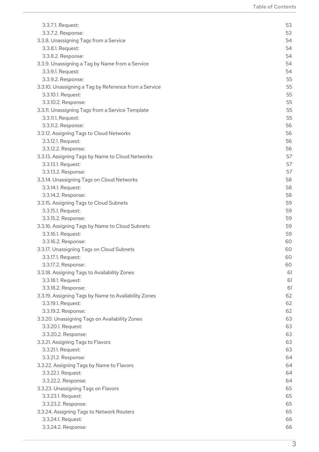| 3.3.7.1. Request:                                     | 53 |
|-------------------------------------------------------|----|
| 3.3.7.2. Response:                                    | 53 |
| 3.3.8. Unassigning Tags from a Service                | 54 |
| 3.3.8.1. Request:                                     | 54 |
| 3.3.8.2. Response:                                    | 54 |
| 3.3.9. Unassigning a Tag by Name from a Service       | 54 |
| 3.3.9.1. Request:                                     | 54 |
| 3.3.9.2. Response:                                    | 55 |
| 3.3.10. Unassigning a Tag by Reference from a Service | 55 |
| 3.3.10.1. Request:                                    | 55 |
| 3.3.10.2. Response:                                   | 55 |
| 3.3.11. Unassigning Tags from a Service Template      | 55 |
| 3.3.11.1. Request:                                    | 55 |
| 3.3.11.2. Response:                                   | 56 |
| 3.3.12. Assigning Tags to Cloud Networks              | 56 |
| 3.3.12.1. Request:                                    | 56 |
| 3.3.12.2. Response:                                   | 56 |
| 3.3.13. Assigning Tags by Name to Cloud Networks      | 57 |
| 3.3.13.1. Request:                                    | 57 |
| 3.3.13.2. Response:                                   | 57 |
| 3.3.14. Unassigning Tags on Cloud Networks            | 58 |
| 3.3.14.1. Request:                                    | 58 |
| 3.3.14.2. Response:                                   | 58 |
| 3.3.15. Assigning Tags to Cloud Subnets               | 59 |
| 3.3.15.1. Request:                                    | 59 |
| 3.3.15.2. Response:                                   | 59 |
| 3.3.16. Assigning Tags by Name to Cloud Subnets       | 59 |
| 3.3.16.1. Request:                                    | 59 |
| 3.3.16.2. Response:                                   | 60 |
| 3.3.17. Unassigning Tags on Cloud Subnets             | 60 |
| 3.3.17.1. Request:                                    | 60 |
| 3.3.17.2. Response:                                   | 60 |
| 3.3.18. Assigning Tags to Availability Zones          | 61 |
| 3.3.18.1. Request:                                    | 61 |
| 3.3.18.2. Response:                                   | 61 |
| 3.3.19. Assigning Tags by Name to Availability Zones  | 62 |
| 3.3.19.1. Request:                                    | 62 |
| 3.3.19.2. Response:                                   | 62 |
| 3.3.20. Unassigning Tags on Availability Zones        | 63 |
| 3.3.20.1. Request:                                    | 63 |
| 3.3.20.2. Response:                                   | 63 |
| 3.3.21. Assigning Tags to Flavors                     | 63 |
| 3.3.21.1. Request:                                    | 63 |
| 3.3.21.2. Response:                                   | 64 |
| 3.3.22. Assigning Tags by Name to Flavors             | 64 |
| 3.3.22.1. Request:                                    | 64 |
| 3.3.22.2. Response:                                   | 64 |
| 3.3.23. Unassigning Tags on Flavors                   | 65 |
| 3.3.23.1. Request:                                    | 65 |
| 3.3.23.2. Response:                                   | 65 |
| 3.3.24. Assigning Tags to Network Routers             | 65 |
| 3.3.24.1. Request:                                    | 66 |
| 3.3.24.2. Response:                                   | 66 |
|                                                       |    |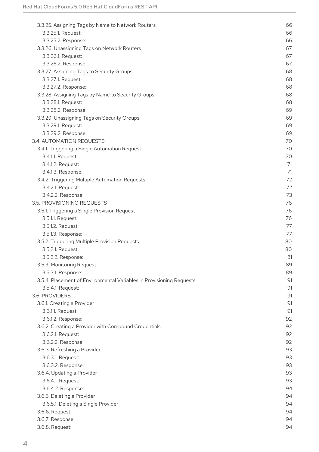| 3.3.25. Assigning Tags by Name to Network Routers                    | 66 |
|----------------------------------------------------------------------|----|
| 3.3.25.1. Request:                                                   | 66 |
| 3.3.25.2. Response:                                                  | 66 |
| 3.3.26. Unassigning Tags on Network Routers                          | 67 |
| 3.3.26.1. Request:                                                   | 67 |
| 3.3.26.2. Response:                                                  | 67 |
| 3.3.27. Assigning Tags to Security Groups                            | 68 |
| 3.3.27.1. Request:                                                   | 68 |
| 3.3.27.2. Response:                                                  | 68 |
| 3.3.28. Assigning Tags by Name to Security Groups                    | 68 |
| 3.3.28.1. Request:                                                   | 68 |
| 3.3.28.2. Response:                                                  | 69 |
|                                                                      | 69 |
| 3.3.29. Unassigning Tags on Security Groups                          |    |
| 3.3.29.1. Request:                                                   | 69 |
| 3.3.29.2. Response:                                                  | 69 |
| 3.4. AUTOMATION REQUESTS                                             | 70 |
| 3.4.1. Triggering a Single Automation Request                        | 70 |
| 3.4.1.1. Request:                                                    | 70 |
| 3.4.1.2. Request:                                                    | 71 |
| 3.4.1.3. Response:                                                   | 71 |
| 3.4.2. Triggering Multiple Automation Requests                       | 72 |
| 3.4.2.1. Request:                                                    | 72 |
| 3.4.2.2. Response:                                                   | 73 |
| 3.5. PROVISIONING REQUESTS                                           | 76 |
| 3.5.1. Triggering a Single Provision Request                         | 76 |
| 3.5.1.1. Request:                                                    | 76 |
| 3.5.1.2. Request:                                                    | 77 |
| 3.5.1.3. Response:                                                   | 77 |
| 3.5.2. Triggering Multiple Provision Requests                        | 80 |
| 3.5.2.1. Request:                                                    | 80 |
| 3.5.2.2. Response:                                                   | 81 |
| 3.5.3. Monitoring Request                                            | 89 |
| 3.5.3.1. Response:                                                   | 89 |
| 3.5.4. Placement of Environmental Variables in Provisioning Requests | 91 |
| 3.5.4.1. Request:                                                    | 91 |
| 3.6. PROVIDERS                                                       | 91 |
| 3.6.1. Creating a Provider                                           | 91 |
| 3.6.1.1. Request:                                                    | 91 |
| 3.6.1.2. Response:                                                   | 92 |
| 3.6.2. Creating a Provider with Compound Credentials                 | 92 |
| 3.6.2.1. Request:                                                    | 92 |
| 3.6.2.2. Response:                                                   | 92 |
| 3.6.3. Refreshing a Provider                                         | 93 |
| 3.6.3.1. Request:                                                    | 93 |
| 3.6.3.2. Response:                                                   | 93 |
| 3.6.4. Updating a Provider                                           | 93 |
| 3.6.4.1. Request:                                                    | 93 |
| 3.6.4.2. Response:                                                   | 94 |
| 3.6.5. Deleting a Provider                                           | 94 |
| 3.6.5.1. Deleting a Single Provider                                  | 94 |
| 3.6.6. Request:                                                      | 94 |
| 3.6.7. Response:                                                     | 94 |
| 3.6.8. Request:                                                      | 94 |
|                                                                      |    |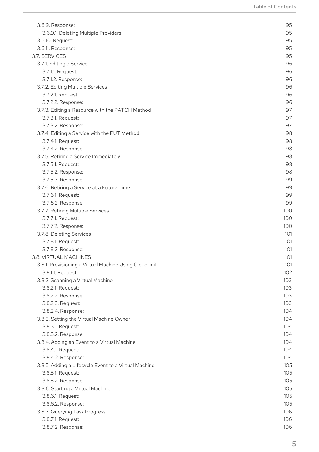| 3.6.9. Response:                                       | 95  |
|--------------------------------------------------------|-----|
| 3.6.9.1. Deleting Multiple Providers                   | 95  |
| 3.6.10. Request:                                       | 95  |
| 3.6.11. Response:                                      | 95  |
| 3.7. SERVICES                                          | 95  |
| 3.7.1. Editing a Service                               | 96  |
| 3.7.1.1. Request:                                      | 96  |
| 3.7.1.2. Response:                                     | 96  |
| 3.7.2. Editing Multiple Services                       | 96  |
| 3.7.2.1. Request:                                      | 96  |
| 3.7.2.2. Response:                                     | 96  |
| 3.7.3. Editing a Resource with the PATCH Method        | 97  |
| 3.7.3.1. Request:                                      | 97  |
| 3.7.3.2. Response:                                     | 97  |
| 3.7.4. Editing a Service with the PUT Method           | 98  |
| 3.7.4.1. Request:                                      | 98  |
| 3.7.4.2. Response:                                     | 98  |
| 3.7.5. Retiring a Service Immediately                  | 98  |
| 3.7.5.1. Request:                                      | 98  |
|                                                        | 98  |
| 3.7.5.2. Response:                                     | 99  |
| 3.7.5.3. Response:                                     |     |
| 3.7.6. Retiring a Service at a Future Time             | 99  |
| 3.7.6.1. Request:                                      | 99  |
| 3.7.6.2. Response:                                     | 99  |
| 3.7.7. Retiring Multiple Services                      | 100 |
| 3.7.7.1. Request:                                      | 100 |
| 3.7.7.2. Response:                                     | 100 |
| 3.7.8. Deleting Services                               | 101 |
| 3.7.8.1. Request:                                      | 101 |
| 3.7.8.2. Response:                                     | 101 |
| 3.8. VIRTUAL MACHINES                                  | 101 |
| 3.8.1. Provisioning a Virtual Machine Using Cloud-init | 101 |
| 3.8.1.1. Request:                                      | 102 |
| 3.8.2. Scanning a Virtual Machine                      | 103 |
| 3.8.2.1. Request:                                      | 103 |
| 3.8.2.2. Response:                                     | 103 |
| 3.8.2.3. Request:                                      | 103 |
| 3.8.2.4. Response:                                     | 104 |
| 3.8.3. Setting the Virtual Machine Owner               | 104 |
| 3.8.3.1. Request:                                      | 104 |
| 3.8.3.2. Response:                                     | 104 |
| 3.8.4. Adding an Event to a Virtual Machine            | 104 |
| 3.8.4.1. Request:                                      | 104 |
| 3.8.4.2. Response:                                     | 104 |
| 3.8.5. Adding a Lifecycle Event to a Virtual Machine   | 105 |
| 3.8.5.1. Request:                                      | 105 |
| 3.8.5.2. Response:                                     | 105 |
| 3.8.6. Starting a Virtual Machine                      | 105 |
| 3.8.6.1. Request:                                      | 105 |
| 3.8.6.2. Response:                                     | 105 |
| 3.8.7. Querying Task Progress                          | 106 |
| 3.8.7.1. Request:                                      | 106 |
| 3.8.7.2. Response:                                     | 106 |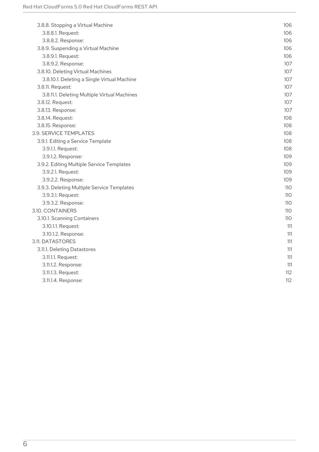| 3.8.8. Stopping a Virtual Machine            | 106        |
|----------------------------------------------|------------|
|                                              |            |
| 3.8.8.1. Request:                            | 106        |
| 3.8.8.2. Response:                           | 106        |
| 3.8.9. Suspending a Virtual Machine          | 106        |
| 3.8.9.1. Request:                            | 106        |
| 3.8.9.2. Response:                           | 107        |
| 3.8.10. Deleting Virtual Machines            | 107        |
| 3.8.10.1. Deleting a Single Virtual Machine  | 107        |
| 3.8.11. Request:                             | 107        |
| 3.8.11.1. Deleting Multiple Virtual Machines | 107        |
| 3.8.12. Request:                             | 107        |
| 3.8.13. Response:                            | 107        |
| 3.8.14. Request:                             | 108        |
| 3.8.15. Response:                            | 108        |
| 3.9. SERVICE TEMPLATES                       | 108        |
| 3.9.1. Editing a Service Template            | 108        |
| 3.9.1.1. Request:                            | 108        |
| 3.9.1.2. Response:                           | 109        |
| 3.9.2. Editing Multiple Service Templates    | 109        |
| 3.9.2.1. Request:                            | 109        |
| 3.9.2.2. Response:                           | 109        |
| 3.9.3. Deleting Multiple Service Templates   | 110        |
| 3.9.3.1. Request:                            | 110        |
| 3.9.3.2. Response:                           | 110        |
| 3.10. CONTAINERS                             | 110        |
| 3.10.1. Scanning Containers                  | <b>110</b> |
| 3.10.1.1. Request:                           | 111        |
| 3.10.1.2. Response:                          | 111        |
| 3.11. DATASTORES                             | 111        |
| 3.11.1. Deleting Datastores                  | 111        |
| 3.11.1.1. Request:                           | 111        |
| 3.11.1.2. Response:                          | 111        |
| 3.11.1.3. Request:                           | 112        |
| 3.11.1.4. Response:                          | 112        |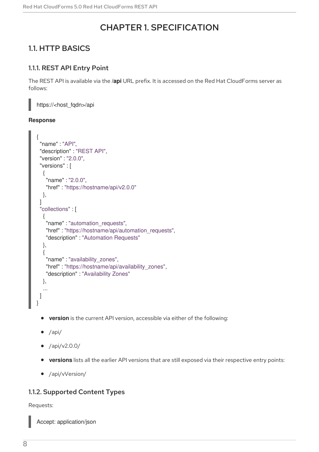# CHAPTER 1. SPECIFICATION

# <span id="page-11-1"></span><span id="page-11-0"></span>1.1. HTTP BASICS

# <span id="page-11-2"></span>1.1.1. REST API Entry Point

The REST API is available via the **/api** URL prefix. It is accessed on the Red Hat CloudForms server as follows:

https://<host\_fqdn>/api

#### **Response**

```
{
 "name" : "API",
 "description" : "REST API",
 "version" : "2.0.0",
 "versions" : [
  {
    "name" : "2.0.0",
   "href" : "https://hostname/api/v2.0.0"
  },
 ]
 "collections" : [
  {
    "name" : "automation_requests",
   "href" : "https://hostname/api/automation_requests",
    "description" : "Automation Requests"
  },
  {
   "name" : "availability_zones",
   "href" : "https://hostname/api/availability_zones",
    "description" : "Availability Zones"
  },
   ...
 ]
}
```
- **version** is the current API version, accessible via either of the following:
- $\bullet$  /api/
- /api/v2.0.0/
- **versions** lists all the earlier API versions that are still exposed via their respective entry points:
- /api/vVersion/

### <span id="page-11-3"></span>1.1.2. Supported Content Types

#### Requests:

Accept: application/json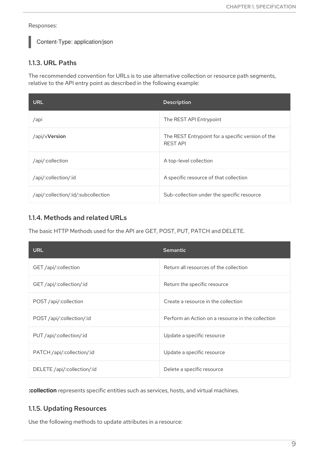Responses:

Content-Type: application/json

# <span id="page-12-0"></span>1.1.3. URL Paths

The recommended convention for URLs is to use alternative collection or resource path segments, relative to the API entry point as described in the following example:

| <b>URL</b>                          | <b>Description</b>                                                   |
|-------------------------------------|----------------------------------------------------------------------|
| /api                                | The REST API Entrypoint                                              |
| /api/vVersion                       | The REST Entrypoint for a specific version of the<br><b>REST API</b> |
| /api/:collection                    | A top-level collection                                               |
| /api/:collection/:id                | A specific resource of that collection                               |
| /api/:collection/:id/:subcollection | Sub-collection under the specific resource                           |

# <span id="page-12-1"></span>1.1.4. Methods and related URLs

The basic HTTP Methods used for the API are GET, POST, PUT, PATCH and DELETE.

| <b>URL</b>                  | <b>Semantic</b>                                   |
|-----------------------------|---------------------------------------------------|
| GET /api/:collection        | Return all resources of the collection            |
| GET /api/:collection/:id    | Return the specific resource                      |
| POST /api/:collection       | Create a resource in the collection               |
| POST /api/:collection/:id   | Perform an Action on a resource in the collection |
| PUT /api/:collection/:id    | Update a specific resource                        |
| PATCH /api/:collection/:id  | Update a specific resource                        |
| DELETE /api/:collection/:id | Delete a specific resource                        |

**:collection** represents specific entities such as services, hosts, and virtual machines.

# <span id="page-12-2"></span>1.1.5. Updating Resources

Use the following methods to update attributes in a resource: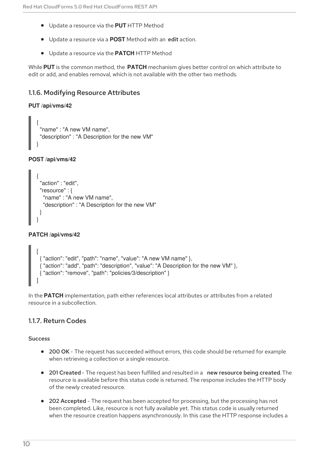- Update a resource via the **PUT** HTTP Method
- Update a resource via a **POST** Method with an edit action.
- Update a resource via the **PATCH** HTTP Method

While **PUT** is the common method, the **PATCH** mechanism gives better control on which attribute to edit or add, and enables removal, which is not available with the other two methods.

### <span id="page-13-0"></span>1.1.6. Modifying Resource Attributes

#### **PUT /api/vms/42**

```
{
 "name" : "A new VM name",
"description" : "A Description for the new VM"
}
```
#### **POST /api/vms/42**

```
{
 "action" : "edit",
 "resource" : {
  "name" : "A new VM name",
  "description" : "A Description for the new VM"
 }
}
```
#### **PATCH /api/vms/42**

```
[
 { "action": "edit", "path": "name", "value": "A new VM name" },
 { "action": "add", "path": "description", "value": "A Description for the new VM" },
 { "action": "remove", "path": "policies/3/description" }
]
```
In the **PATCH** implementation, path either references local attributes or attributes from a related resource in a subcollection.

### <span id="page-13-1"></span>1.1.7. Return Codes

#### **Success**

- 200 OK The request has succeeded without errors, this code should be returned for example when retrieving a collection or a single resource.
- 201 Created The request has been fulfilled and resulted in a new resource being created. The resource is available before this status code is returned. The response includes the HTTP body of the newly created resource.
- 202 Accepted The request has been accepted for processing, but the processing has not been completed. Like, resource is not fully available yet. This status code is usually returned when the resource creation happens asynchronously. In this case the HTTP response includes a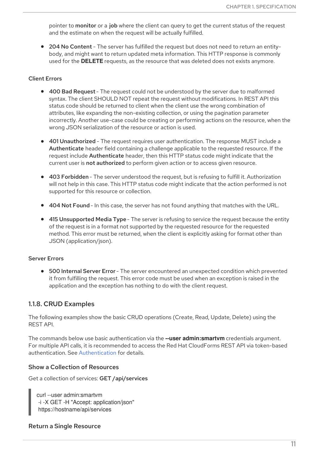pointer to monitor or a job where the client can query to get the current status of the request and the estimate on when the request will be actually fulfilled.

204 No Content - The server has fulfilled the request but does not need to return an entitybody, and might want to return updated meta information. This HTTP response is commonly used for the **DELETE** requests, as the resource that was deleted does not exists anymore.

#### Client Errors

- 400 Bad Request The request could not be understood by the server due to malformed syntax. The client SHOULD NOT repeat the request without modifications. In REST API this status code should be returned to client when the client use the wrong combination of attributes, like expanding the non-existing collection, or using the pagination parameter incorrectly. Another use-case could be creating or performing actions on the resource, when the wrong JSON serialization of the resource or action is used.
- 401 Unauthorized The request requires user authentication. The response MUST include a Authenticate header field containing a challenge applicable to the requested resource. If the request include Authenticate header, then this HTTP status code might indicate that the current user is not authorized to perform given action or to access given resource.
- 403 Forbidden The server understood the request, but is refusing to fulfill it. Authorization will not help in this case. This HTTP status code might indicate that the action performed is not supported for this resource or collection.
- 404 Not Found In this case, the server has not found anything that matches with the URL.
- 415 Unsupported Media Type The server is refusing to service the request because the entity of the request is in a format not supported by the requested resource for the requested method. This error must be returned, when the client is explicitly asking for format other than JSON (application/json).

#### Server Errors

500 Internal Server Error - The server encountered an unexpected condition which prevented it from fulfilling the request. This error code must be used when an exception is raised in the application and the exception has nothing to do with the client request.

#### <span id="page-14-0"></span>1.1.8. CRUD Examples

The following examples show the basic CRUD operations (Create, Read, Update, Delete) using the REST API.

The commands below use basic authentication via the **--user admin:smartvm** credentials argument. For multiple API calls, it is recommended to access the Red Hat CloudForms REST API via token-based authentication. See [Authentication](#page-16-2) for details.

#### Show a Collection of Resources

Get a collection of services: GET /api/services

curl --user admin:smartvm -i -X GET -H "Accept: application/json" https://hostname/api/services

#### Return a Single Resource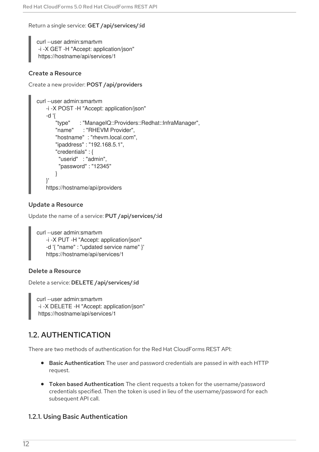Return a single service: GET /api/services/:id

curl --user admin:smartvm -i -X GET -H "Accept: application/json" https://hostname/api/services/1

#### Create a Resource

```
Create a new provider: POST /api/providers
```

```
curl --user admin:smartvm
   -i -X POST -H "Accept: application/json"
   -d '{
       "type" : "ManageIQ::Providers::Redhat::InfraManager",
       "name" : "RHEVM Provider",
       "hostname" : "rhevm.local.com",
       "ipaddress" : "192.168.5.1",
       "credentials" : {
        "userid" : "admin",
        "password" : "12345"
       }
   }'
   https://hostname/api/providers
```
#### Update a Resource

Update the name of a service: PUT /api/services/:id

```
curl --user admin:smartvm
   -i -X PUT -H "Accept: application/json"
   -d '{ "name" : "updated service name" }'
   https://hostname/api/services/1
```
#### Delete a Resource

Delete a service: DELETE /api/services/:id

curl --user admin:smartvm -i -X DELETE -H "Accept: application/json" https://hostname/api/services/1

# <span id="page-15-0"></span>1.2. AUTHENTICATION

There are two methods of authentication for the Red Hat CloudForms REST API:

- Basic Authentication: The user and password credentials are passed in with each HTTP request.
- Token based Authentication: The client requests a token for the username/password credentials specified. Then the token is used in lieu of the username/password for each subsequent API call.

#### <span id="page-15-1"></span>1.2.1. Using Basic Authentication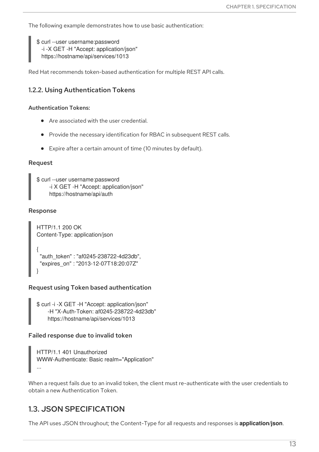<span id="page-16-2"></span>The following example demonstrates how to use basic authentication:

\$ curl --user username:password -i -X GET -H "Accept: application/json" https://hostname/api/services/1013

Red Hat recommends token-based authentication for multiple REST API calls.

### <span id="page-16-0"></span>1.2.2. Using Authentication Tokens

#### Authentication Tokens:

- Are associated with the user credential.
- Provide the necessary identification for RBAC in subsequent REST calls.
- Expire after a certain amount of time (10 minutes by default).

#### Request

```
$ curl --user username:password
     -i X GET -H "Accept: application/json"
     https://hostname/api/auth
```
#### Response

```
HTTP/1.1 200 OK
Content-Type: application/json
{
 "auth_token" : "af0245-238722-4d23db",
 "expires_on" : "2013-12-07T18:20:07Z"
}
```
#### Request using Token based authentication

```
$ curl -i -X GET -H "Accept: application/json"
    -H "X-Auth-Token: af0245-238722-4d23db"
    https://hostname/api/services/1013
```
#### Failed response due to invalid token

```
HTTP/1.1 401 Unauthorized
WWW-Authenticate: Basic realm="Application"
...
```
When a request fails due to an invalid token, the client must re-authenticate with the user credentials to obtain a new Authentication Token.

# <span id="page-16-1"></span>1.3. JSON SPECIFICATION

The API uses JSON throughout; the Content-Type for all requests and responses is **application/json**.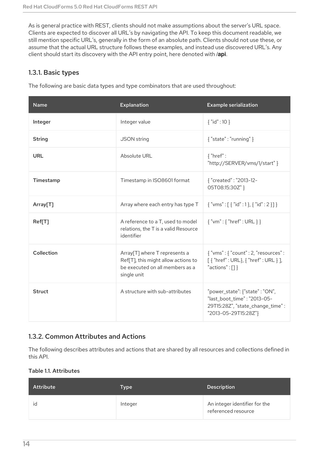As is general practice with REST, clients should not make assumptions about the server's URL space. Clients are expected to discover all URL's by navigating the API. To keep this document readable, we still mention specific URL's, generally in the form of an absolute path. Clients should not use these, or assume that the actual URL structure follows these examples, and instead use discovered URL's. Any client should start its discovery with the API entry point, here denoted with **/api**.

### <span id="page-17-0"></span>1.3.1. Basic types

The following are basic data types and type combinators that are used throughout:

| <b>Name</b>   | <b>Explanation</b>                                                                                                                 | <b>Example serialization</b>                                                                                              |
|---------------|------------------------------------------------------------------------------------------------------------------------------------|---------------------------------------------------------------------------------------------------------------------------|
| Integer       | Integer value                                                                                                                      | ${~}$ "id": 10 ${ }$                                                                                                      |
| <b>String</b> | <b>JSON</b> string                                                                                                                 | $\{$ "state" : "running" }                                                                                                |
| <b>URL</b>    | Absolute URL                                                                                                                       | $\{$ "href" :<br>"http://SERVER/vms/1/start" }                                                                            |
| Timestamp     | Timestamp in ISO8601 format                                                                                                        | { "created": "2013-12-<br>05T08:15:30Z" }                                                                                 |
| Array[T]      | Array where each entry has type T                                                                                                  | $\{$ "vms" : [ $\{$ "id" : 1 $\}, \{$ "id" : 2 $\}$ ] $\}$                                                                |
| Ref[T]        | A reference to a T, used to model<br>relations, the T is a valid Resource<br>identifier                                            | $\{$ "vm" : { "href" : URL } }                                                                                            |
| Collection    | Array <sup>[T]</sup> where T represents a<br>Ref[T], this might allow actions to<br>be executed on all members as a<br>single unit | $\{$ "vms": $\{$ "count": 2, "resources":<br>$[$ { "href" : URL}, { "href" : URL } ],<br>"actions": [] }                  |
| <b>Struct</b> | A structure with sub-attributes                                                                                                    | "power_state": {"state": "ON",<br>"last_boot_time": "2013-05-<br>29T15:28Z", "state_change_time":<br>"2013-05-29T15:28Z"} |

# <span id="page-17-1"></span>1.3.2. Common Attributes and Actions

The following describes attributes and actions that are shared by all resources and collections defined in this API.

#### Table 1.1. Attributes

| <b>Attribute</b> | Type    | <b>Description</b>                                   |
|------------------|---------|------------------------------------------------------|
| id               | Integer | An integer identifier for the<br>referenced resource |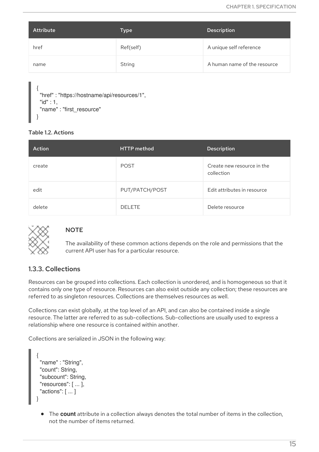| Attribute | Type      | <b>Description</b>           |
|-----------|-----------|------------------------------|
| href      | Ref(self) | A unique self reference      |
| name      | String    | A human name of the resource |

```
{
 "href" : "https://hostname/api/resources/1",
"id" : 1,
"name" : "first_resource"
}
```
#### Table 1.2. Actions

| Action | <b>HTTP</b> method | <b>Description</b>                       |
|--------|--------------------|------------------------------------------|
| create | <b>POST</b>        | Create new resource in the<br>collection |
| edit   | PUT/PATCH/POST     | Edit attributes in resource              |
| delete | <b>DELETE</b>      | Delete resource                          |



### **NOTE**

The availability of these common actions depends on the role and permissions that the current API user has for a particular resource.

### <span id="page-18-0"></span>1.3.3. Collections

Resources can be grouped into collections. Each collection is unordered, and is homogeneous so that it contains only one type of resource. Resources can also exist outside any collection; these resources are referred to as singleton resources. Collections are themselves resources as well.

Collections can exist globally, at the top level of an API, and can also be contained inside a single resource. The latter are referred to as sub-collections. Sub-collections are usually used to express a relationship where one resource is contained within another.

Collections are serialized in JSON in the following way:

```
{
 "name" : "String",
 "count": String,
 "subcount": String,
 "resources": [ ... ],
 "actions": [ ... ]
}
```
The **count** attribute in a collection always denotes the total number of items in the collection, not the number of items returned.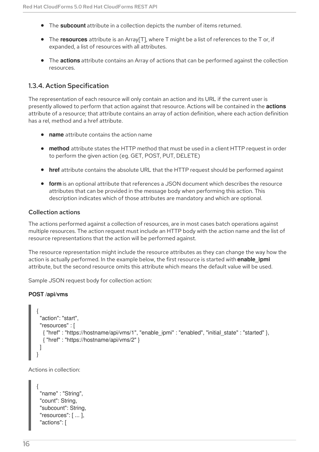- The **subcount** attribute in a collection depicts the number of items returned.
- The **resources** attribute is an Array[T], where T might be a list of references to the T or, if expanded, a list of resources with all attributes.
- The **actions** attribute contains an Array of actions that can be performed against the collection resources.

### <span id="page-19-0"></span>1.3.4. Action Specification

The representation of each resource will only contain an action and its URL if the current user is presently allowed to perform that action against that resource. Actions will be contained in the **actions** attribute of a resource; that attribute contains an array of action definition, where each action definition has a rel, method and a href attribute.

- **name** attribute contains the action name
- **method** attribute states the HTTP method that must be used in a client HTTP request in order to perform the given action (eg. GET, POST, PUT, DELETE)
- **href** attribute contains the absolute URL that the HTTP request should be performed against
- **form** is an optional attribute that references a JSON document which describes the resource attributes that can be provided in the message body when performing this action. This description indicates which of those attributes are mandatory and which are optional.

#### Collection actions

The actions performed against a collection of resources, are in most cases batch operations against multiple resources. The action request must include an HTTP body with the action name and the list of resource representations that the action will be performed against.

The resource representation might include the resource attributes as they can change the way how the action is actually performed. In the example below, the first resource is started with **enable\_ipmi** attribute, but the second resource omits this attribute which means the default value will be used.

Sample JSON request body for collection action:

#### **POST /api/vms**

```
{
  "action": "start",
 "resources" : [
  { "href" : "https://hostname/api/vms/1", "enable_ipmi" : "enabled", "initial_state" : "started" },
  { "href" : "https://hostname/api/vms/2" }
 ]
}
```
Actions in collection:

```
{
 "name" : "String",
 "count": String,
 "subcount": String,
 "resources": [ ... ],
 "actions": [
```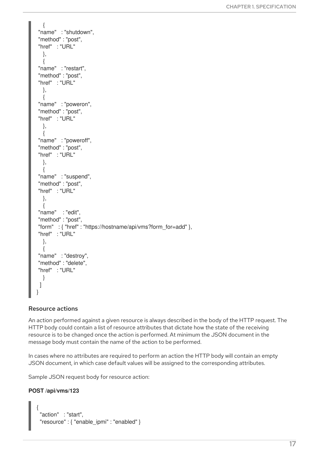```
{
"name" : "shutdown",
"method" : "post",
"href" : "URL"
  },
 {
"name" : "restart",
"method" : "post",
"href" : "URL"
  },
  {
"name" : "poweron",
"method" : "post",
"href" : "URL"
  },
  {
"name" : "poweroff",
"method" : "post",
"href" : "URL"
  },
  {
"name" : "suspend",
"method" : "post",
"href" : "URL"
 },
 {
"name" : "edit",
"method" : "post",
"form" : { "href" : "https://hostname/api/vms?form_for=add" },
"href" : "URL"
 },
 {
"name" : "destroy",
"method" : "delete",
"href" : "URL"
  }
 ]
}
```
#### Resource actions

An action performed against a given resource is always described in the body of the HTTP request. The HTTP body could contain a list of resource attributes that dictate how the state of the receiving resource is to be changed once the action is performed. At minimum the JSON document in the message body must contain the name of the action to be performed.

In cases where no attributes are required to perform an action the HTTP body will contain an empty JSON document, in which case default values will be assigned to the corresponding attributes.

Sample JSON request body for resource action:

#### **POST /api/vms/123**

{

```
"action" : "start",
"resource" : { "enable_ipmi" : "enabled" }
```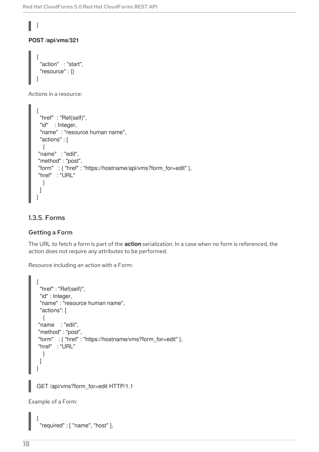# **POST /api/vms/321**

}

```
{
 "action" : "start",
 "resource" : {}
}
```
Actions in a resource:

```
{
 "href" : "Ref(self)",
"id" : Integer,
 "name" : "resource human name",
"actions" : [
 {
"name" : "edit",
"method" : "post",
"form" : { "href" : "https://hostname/api/vms?form_for=edit" },
"href" : "URL"
 }
]
}
```
## <span id="page-21-0"></span>1.3.5. Forms

### Getting a Form

The URL to fetch a form is part of the **action** serialization. In a case when no form is referenced, the action does not require any attributes to be performed.

Resource including an action with a Form:

```
{
 "href" : "Ref(self)",
 "id" : Integer,
 "name" : "resource human name",
 "actions": [
 {
"name : "edit",
"method" : "post",
"form" : { "href" : "https://hostname/vms?form_for=edit" },
"href" : "URL"
  }
 ]
}
```
GET /api/vms?form\_for=edit HTTP/1.1

Example of a Form:

```
"required" : [ "name", "host" ],
```
{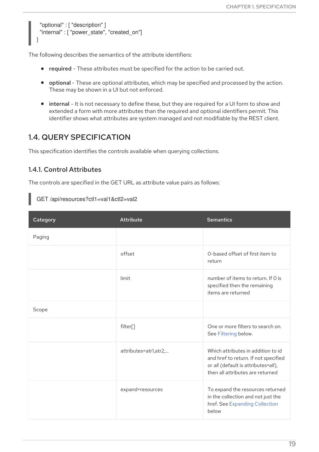```
"optional" : [ "description" ]
"internal" : [ "power_state", "created_on"]
```
The following describes the semantics of the attribute identifiers:

- required These attributes must be specified for the action to be carried out.
- optional These are optional attributes, which may be specified and processed by the action. These may be shown in a UI but not enforced.
- internal It is not necessary to define these, but they are required for a UI form to show and extended a form with more attributes than the required and optional identifiers permit. This identifier shows what attributes are system managed and not modifiable by the REST client.

# <span id="page-22-0"></span>1.4. QUERY SPECIFICATION

This specification identifies the controls available when querying collections.

### <span id="page-22-1"></span>1.4.1. Control Attributes

}

The controls are specified in the GET URL as attribute value pairs as follows:

GET /api/resources?ctl1=val1&ctl2=val2

| Category | <b>Attribute</b>       | <b>Semantics</b>                                                                                                                                      |
|----------|------------------------|-------------------------------------------------------------------------------------------------------------------------------------------------------|
| Paging   |                        |                                                                                                                                                       |
|          | offset                 | 0-based offset of first item to<br>return                                                                                                             |
|          | limit                  | number of items to return. If O is<br>specified then the remaining<br>items are returned                                                              |
| Scope    |                        |                                                                                                                                                       |
|          | filter[]               | One or more filters to search on.<br>See Filtering below.                                                                                             |
|          | attributes=atr1, atr2, | Which attributes in addition to id<br>and href to return. If not specified<br>or all (default is attributes=all),<br>then all attributes are returned |
|          | expand=resources       | To expand the resources returned<br>in the collection and not just the<br>href. See Expanding Collection<br>below                                     |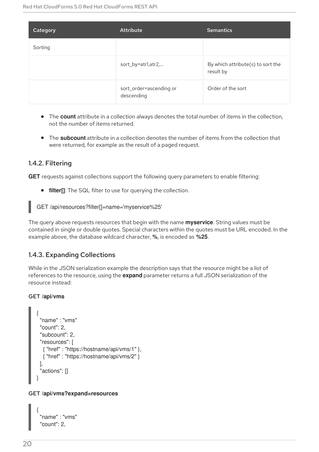| Category | Attribute                             | <b>Semantics</b>                               |
|----------|---------------------------------------|------------------------------------------------|
| Sorting  |                                       |                                                |
|          | sort_by=atr1,atr2,                    | By which attribute(s) to sort the<br>result by |
|          | sort_order=ascending or<br>descending | Order of the sort                              |

- The **count** attribute in a collection always denotes the total number of items in the collection, not the number of items returned.
- The **subcount** attribute in a collection denotes the number of items from the collection that were returned, for example as the result of a paged request.

### <span id="page-23-0"></span>1.4.2. Filtering

**GET** requests against collections support the following query parameters to enable filtering:

**filter[]**: The SQL filter to use for querying the collection.

GET /api/resources?filter[]=name='myservice%25'

The query above requests resources that begin with the name **myservice**. String values must be contained in single or double quotes. Special characters within the quotes must be URL encoded. In the example above, the database wildcard character, **%**, is encoded as **%25**.

### <span id="page-23-1"></span>1.4.3. Expanding Collections

While in the JSON serialization example the description says that the resource might be a list of references to the resource, using the **expand** parameter returns a full JSON serialization of the resource instead:

#### GET **/api/vms**

```
{
"name" : "vms"
"count": 2,
"subcount": 2,
"resources": [
  { "href" : "https://hostname/api/vms/1" },
  { "href" : "https://hostname/api/vms/2" }
],
 "actions": []
}
```
#### GET **/api/vms?expand=resources**

```
{
 "name" : "vms"
 "count": 2,
```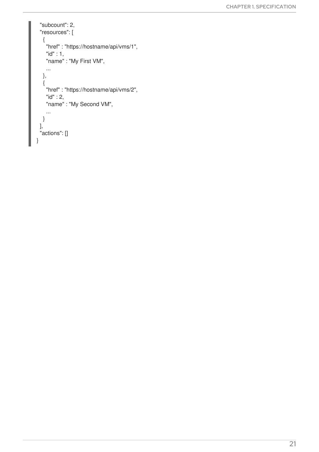```
"subcount": 2,
 "resources": [
  {
   "href" : "https://hostname/api/vms/1",
   "id" : 1,
   "name" : "My First VM",
   ...
  },
  {
   "href" : "https://hostname/api/vms/2",
   "id" : 2,
   "name" : "My Second VM",
   ...
  }
 ],
 "actions": []
}
```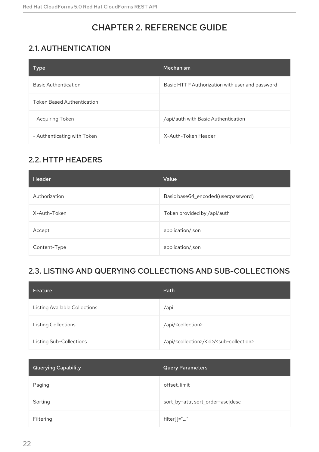# CHAPTER 2. REFERENCE GUIDE

# <span id="page-25-1"></span><span id="page-25-0"></span>2.1. AUTHENTICATION

| Type                              | <b>Mechanism</b>                                |
|-----------------------------------|-------------------------------------------------|
| <b>Basic Authentication</b>       | Basic HTTP Authorization with user and password |
| <b>Token Based Authentication</b> |                                                 |
| - Acquiring Token                 | /api/auth with Basic Authentication             |
| - Authenticating with Token       | X-Auth-Token Header                             |

# <span id="page-25-2"></span>2.2. HTTP HEADERS

| <b>Header</b> | Value                               |
|---------------|-------------------------------------|
| Authorization | Basic base64_encoded(user:password) |
| X-Auth-Token  | Token provided by /api/auth         |
| Accept        | application/json                    |
| Content-Type  | application/json                    |

# <span id="page-25-3"></span>2.3. LISTING AND QUERYING COLLECTIONS AND SUB-COLLECTIONS

| Feature                              | Path                                                                        |
|--------------------------------------|-----------------------------------------------------------------------------|
| <b>Listing Available Collections</b> | /api                                                                        |
| <b>Listing Collections</b>           | /api/ <collection></collection>                                             |
| Listing Sub-Collections              | /api/ <collection>/<id>/<sub-collection></sub-collection></id></collection> |

| <b>Querying Capability</b> | <b>Query Parameters</b>           |
|----------------------------|-----------------------------------|
| Paging                     | offset, limit                     |
| Sorting                    | sort_by=attr, sort_order=asc desc |
| Filtering                  | filter[]=""                       |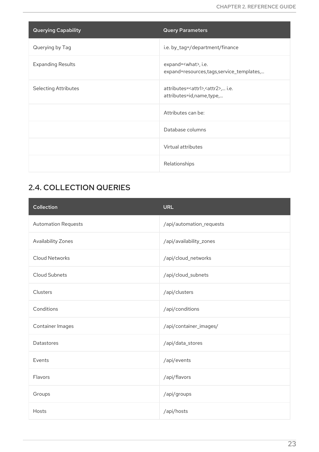| <b>Querying Capability</b>  | <b>Query Parameters</b>                                                        |
|-----------------------------|--------------------------------------------------------------------------------|
| Querying by Tag             | i.e. by_tag=/department/finance                                                |
| <b>Expanding Results</b>    | expand= <what>, i.e.<br/>expand=resources, tags, service_templates,</what>     |
| <b>Selecting Attributes</b> | attributes= <attr1>,<attr2>, i.e.<br/>attributes=id,name,type,</attr2></attr1> |
|                             | Attributes can be:                                                             |
|                             | Database columns                                                               |
|                             | Virtual attributes                                                             |
|                             | Relationships                                                                  |

# <span id="page-26-0"></span>2.4. COLLECTION QUERIES

| <b>Collection</b>          | <b>URL</b>               |
|----------------------------|--------------------------|
| <b>Automation Requests</b> | /api/automation_requests |
| Availability Zones         | /api/availability_zones  |
| <b>Cloud Networks</b>      | /api/cloud_networks      |
| Cloud Subnets              | /api/cloud_subnets       |
| Clusters                   | /api/clusters            |
| Conditions                 | /api/conditions          |
| Container Images           | /api/container_images/   |
| Datastores                 | /api/data_stores         |
| Events                     | /api/events              |
| Flavors                    | /api/flavors             |
| Groups                     | /api/groups              |
| Hosts                      | /api/hosts               |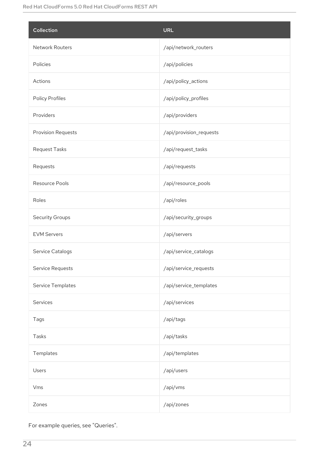| Collection                | <b>URL</b>              |
|---------------------------|-------------------------|
| Network Routers           | /api/network_routers    |
| Policies                  | /api/policies           |
| Actions                   | /api/policy_actions     |
| Policy Profiles           | /api/policy_profiles    |
| Providers                 | /api/providers          |
| <b>Provision Requests</b> | /api/provision_requests |
| Request Tasks             | /api/request_tasks      |
| Requests                  | /api/requests           |
| Resource Pools            | /api/resource_pools     |
| Roles                     | /api/roles              |
| <b>Security Groups</b>    | /api/security_groups    |
| <b>EVM Servers</b>        | /api/servers            |
| Service Catalogs          | /api/service_catalogs   |
| Service Requests          | /api/service_requests   |
| Service Templates         | /api/service_templates  |
| Services                  | /api/services           |
| Tags                      | /api/tags               |
| Tasks                     | /api/tasks              |
| Templates                 | /api/templates          |
| Users                     | /api/users              |
| Vms                       | /api/vms                |
| Zones                     | /api/zones              |

For example queries, see "Queries".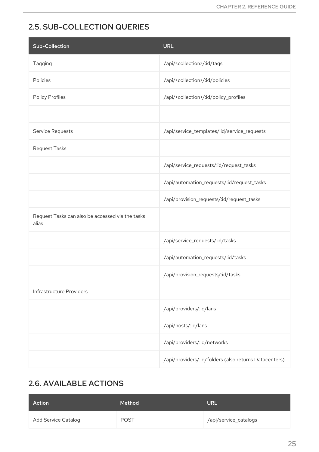# <span id="page-28-0"></span>2.5. SUB-COLLECTION QUERIES

| <b>Sub-Collection</b>                                     | <b>URL</b>                                            |
|-----------------------------------------------------------|-------------------------------------------------------|
| Tagging                                                   | /api/ <collection>/:id/tags</collection>              |
| Policies                                                  | /api/ <collection>/:id/policies</collection>          |
| Policy Profiles                                           | /api/ <collection>/:id/policy_profiles</collection>   |
|                                                           |                                                       |
| Service Requests                                          | /api/service_templates/:id/service_requests           |
| Request Tasks                                             |                                                       |
|                                                           | /api/service_requests/:id/request_tasks               |
|                                                           | /api/automation_requests/:id/request_tasks            |
|                                                           | /api/provision_requests/:id/request_tasks             |
| Request Tasks can also be accessed via the tasks<br>alias |                                                       |
|                                                           | /api/service_requests/:id/tasks                       |
|                                                           | /api/automation_requests/:id/tasks                    |
|                                                           | /api/provision_requests/:id/tasks                     |
| Infrastructure Providers                                  |                                                       |
|                                                           | /api/providers/:id/lans                               |
|                                                           | /api/hosts/:id/lans                                   |
|                                                           | /api/providers/:id/networks                           |
|                                                           | /api/providers/:id/folders (also returns Datacenters) |

# <span id="page-28-1"></span>2.6. AVAILABLE ACTIONS

| Action              | Method      | <b>URL</b>            |
|---------------------|-------------|-----------------------|
| Add Service Catalog | <b>POST</b> | /api/service_catalogs |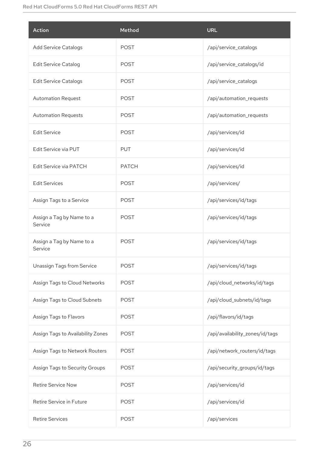| Action                               | Method       | <b>URL</b>                      |
|--------------------------------------|--------------|---------------------------------|
| <b>Add Service Catalogs</b>          | <b>POST</b>  | /api/service_catalogs           |
| <b>Edit Service Catalog</b>          | <b>POST</b>  | /api/service_catalogs/id        |
| <b>Edit Service Catalogs</b>         | <b>POST</b>  | /api/service_catalogs           |
| <b>Automation Request</b>            | <b>POST</b>  | /api/automation_requests        |
| <b>Automation Requests</b>           | <b>POST</b>  | /api/automation_requests        |
| <b>Edit Service</b>                  | <b>POST</b>  | /api/services/id                |
| Edit Service via PUT                 | <b>PUT</b>   | /api/services/id                |
| Edit Service via PATCH               | <b>PATCH</b> | /api/services/id                |
| <b>Edit Services</b>                 | <b>POST</b>  | /api/services/                  |
| Assign Tags to a Service             | <b>POST</b>  | /api/services/id/tags           |
| Assign a Tag by Name to a<br>Service | <b>POST</b>  | /api/services/id/tags           |
| Assign a Tag by Name to a<br>Service | <b>POST</b>  | /api/services/id/tags           |
| Unassign Tags from Service           | <b>POST</b>  | /api/services/id/tags           |
| Assign Tags to Cloud Networks        | <b>POST</b>  | /api/cloud_networks/id/tags     |
| Assign Tags to Cloud Subnets         | <b>POST</b>  | /api/cloud_subnets/id/tags      |
| Assign Tags to Flavors               | <b>POST</b>  | /api/flavors/id/tags            |
| Assign Tags to Availability Zones    | <b>POST</b>  | /api/availability_zones/id/tags |
| Assign Tags to Network Routers       | <b>POST</b>  | /api/network_routers/id/tags    |
| Assign Tags to Security Groups       | <b>POST</b>  | /api/security_groups/id/tags    |
| <b>Retire Service Now</b>            | <b>POST</b>  | /api/services/id                |
| Retire Service in Future             | <b>POST</b>  | /api/services/id                |
| <b>Retire Services</b>               | <b>POST</b>  | /api/services                   |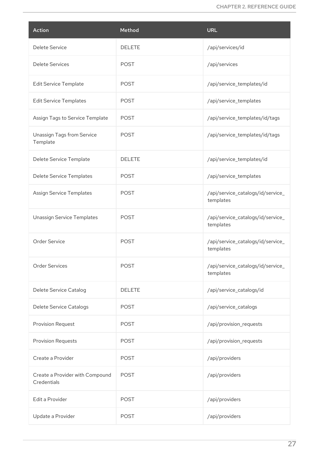| Action                                         | Method        | <b>URL</b>                                     |
|------------------------------------------------|---------------|------------------------------------------------|
| Delete Service                                 | <b>DELETE</b> | /api/services/id                               |
| <b>Delete Services</b>                         | <b>POST</b>   | /api/services                                  |
| <b>Edit Service Template</b>                   | <b>POST</b>   | /api/service_templates/id                      |
| <b>Edit Service Templates</b>                  | <b>POST</b>   | /api/service_templates                         |
| Assign Tags to Service Template                | <b>POST</b>   | /api/service_templates/id/tags                 |
| Unassign Tags from Service<br>Template         | <b>POST</b>   | /api/service_templates/id/tags                 |
| Delete Service Template                        | <b>DELETE</b> | /api/service_templates/id                      |
| Delete Service Templates                       | <b>POST</b>   | /api/service_templates                         |
| <b>Assign Service Templates</b>                | <b>POST</b>   | /api/service_catalogs/id/service_<br>templates |
| <b>Unassign Service Templates</b>              | <b>POST</b>   | /api/service_catalogs/id/service_<br>templates |
| Order Service                                  | <b>POST</b>   | /api/service_catalogs/id/service_<br>templates |
| <b>Order Services</b>                          | <b>POST</b>   | /api/service_catalogs/id/service_<br>templates |
| Delete Service Catalog                         | <b>DELETE</b> | /api/service_catalogs/id                       |
| Delete Service Catalogs                        | <b>POST</b>   | /api/service_catalogs                          |
| Provision Request                              | <b>POST</b>   | /api/provision_requests                        |
| <b>Provision Requests</b>                      | <b>POST</b>   | /api/provision_requests                        |
| Create a Provider                              | <b>POST</b>   | /api/providers                                 |
| Create a Provider with Compound<br>Credentials | <b>POST</b>   | /api/providers                                 |
| Edit a Provider                                | <b>POST</b>   | /api/providers                                 |
| Update a Provider                              | <b>POST</b>   | /api/providers                                 |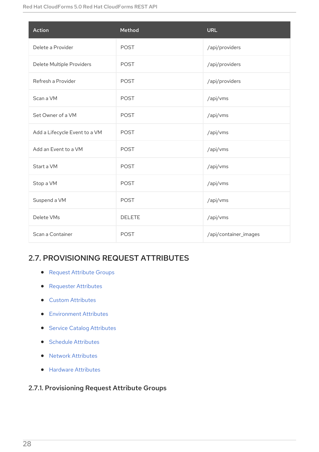| Action                        | Method        | <b>URL</b>            |
|-------------------------------|---------------|-----------------------|
| Delete a Provider             | <b>POST</b>   | /api/providers        |
| Delete Multiple Providers     | <b>POST</b>   | /api/providers        |
| Refresh a Provider            | <b>POST</b>   | /api/providers        |
| Scan a VM                     | <b>POST</b>   | /api/vms              |
| Set Owner of a VM             | <b>POST</b>   | /api/vms              |
| Add a Lifecycle Event to a VM | <b>POST</b>   | /api/vms              |
| Add an Event to a VM          | <b>POST</b>   | /api/vms              |
| Start a VM                    | <b>POST</b>   | /api/vms              |
| Stop a VM                     | <b>POST</b>   | /api/vms              |
| Suspend a VM                  | <b>POST</b>   | /api/vms              |
| Delete VMs                    | <b>DELETE</b> | /api/vms              |
| Scan a Container              | <b>POST</b>   | /api/container_images |

# <span id="page-31-0"></span>2.7. PROVISIONING REQUEST ATTRIBUTES

- **•** Request [Attribute](#page-32-0) Groups
- **•** [Requester](#page-37-0) Attributes
- **•** Custom [Attributes](#page-35-0)
- **•** [Environment](#page-39-0) Attributes
- **•** Service Catalog [Attributes](#page-33-0)
- **•** Schedule [Attributes](#page-37-1)
- Network [Attributes](#page-34-0)
- **•** Hardware [Attributes](#page-34-2)

# <span id="page-31-1"></span>2.7.1. Provisioning Request Attribute Groups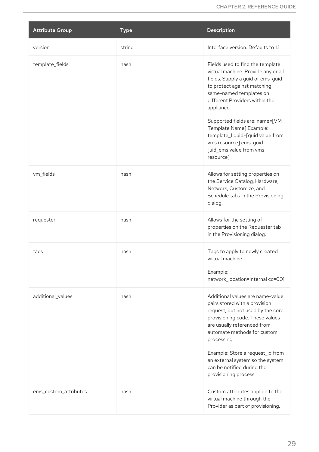<span id="page-32-0"></span>

| <b>Attribute Group</b> | <b>Type</b> | <b>Description</b>                                                                                                                                                                                                                                                                                                                                                                         |
|------------------------|-------------|--------------------------------------------------------------------------------------------------------------------------------------------------------------------------------------------------------------------------------------------------------------------------------------------------------------------------------------------------------------------------------------------|
| version                | string      | Interface version. Defaults to 1.1                                                                                                                                                                                                                                                                                                                                                         |
| template_fields        | hash        | Fields used to find the template<br>virtual machine. Provide any or all<br>fields. Supply a guid or ems_guid<br>to protect against matching<br>same-named templates on<br>different Providers within the<br>appliance.<br>Supported fields are: name=[VM<br>Template Name] Example:<br>template_1 guid=[guid value from<br>vms resource] ems_guid=<br>[uid_ems value from vms<br>resource] |
| vm_fields              | hash        | Allows for setting properties on<br>the Service Catalog, Hardware,<br>Network, Customize, and<br>Schedule tabs in the Provisioning<br>dialog.                                                                                                                                                                                                                                              |
| requester              | hash        | Allows for the setting of<br>properties on the Requester tab<br>in the Provisioning dialog.                                                                                                                                                                                                                                                                                                |
| tags                   | hash        | Tags to apply to newly created<br>virtual machine.<br>Example:<br>network_location=Internal cc=001                                                                                                                                                                                                                                                                                         |
| additional_values      | hash        | Additional values are name-value<br>pairs stored with a provision<br>request, but not used by the core<br>provisioning code. These values<br>are usually referenced from<br>automate methods for custom<br>processing.<br>Example: Store a request_id from<br>an external system so the system<br>can be notified during the<br>provisioning process.                                      |
| ems_custom_attributes  | hash        | Custom attributes applied to the<br>virtual machine through the<br>Provider as part of provisioning.                                                                                                                                                                                                                                                                                       |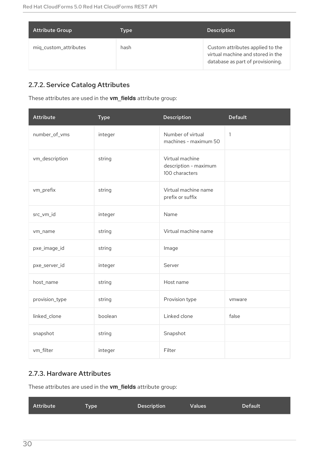| <b>Attribute Group</b> | Type | <b>Description</b>                                                                                         |
|------------------------|------|------------------------------------------------------------------------------------------------------------|
| miq_custom_attributes  | hash | Custom attributes applied to the<br>virtual machine and stored in the<br>database as part of provisioning. |

# <span id="page-33-0"></span>2.7.2. Service Catalog Attributes

These attributes are used in the **vm\_fields** attribute group:

| <b>Attribute</b> | <b>Type</b> | Description                                                | <b>Default</b> |
|------------------|-------------|------------------------------------------------------------|----------------|
| number_of_vms    | integer     | Number of virtual<br>machines - maximum 50                 | $\mathbf{1}$   |
| vm_description   | string      | Virtual machine<br>description - maximum<br>100 characters |                |
| vm_prefix        | string      | Virtual machine name<br>prefix or suffix                   |                |
| src_vm_id        | integer     | Name                                                       |                |
| vm_name          | string      | Virtual machine name                                       |                |
| pxe_image_id     | string      | Image                                                      |                |
| pxe_server_id    | integer     | Server                                                     |                |
| host_name        | string      | Host name                                                  |                |
| provision_type   | string      | Provision type                                             | vmware         |
| linked_clone     | boolean     | Linked clone                                               | false          |
| snapshot         | string      | Snapshot                                                   |                |
| vm_filter        | integer     | Filter                                                     |                |

# <span id="page-33-1"></span>2.7.3. Hardware Attributes

These attributes are used in the **vm\_fields** attribute group:

| Attribute<br><b>Description</b><br><b>Type</b> | <b>Values</b> | <b>Default</b> |
|------------------------------------------------|---------------|----------------|
|------------------------------------------------|---------------|----------------|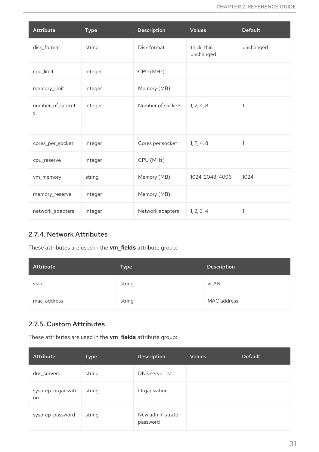<span id="page-34-2"></span>

| <b>Attribute</b>      | <b>Type</b> | <b>Description</b> | <b>Values</b>             | <b>Default</b> |
|-----------------------|-------------|--------------------|---------------------------|----------------|
| disk_format           | string      | Disk format        | thick, thin,<br>unchanged | unchanged      |
| cpu_limit             | integer     | CPU (MHz)          |                           |                |
| memory_limit          | integer     | Memory (MB)        |                           |                |
| number_of_socket<br>S | integer     | Number of sockets  | 1, 2, 4, 8                | 1              |
| cores_per_socket      | integer     | Cores per socket   | 1, 2, 4, 8                | 1              |
| cpu_reserve           | integer     | CPU (MHz)          |                           |                |
| vm_memory             | string      | Memory (MB)        | 1024, 2048, 4096          | 1024           |
| memory_reserve        | integer     | Memory (MB)        |                           |                |
| network_adapters      | integer     | Network adapters   | 1, 2, 3, 4                | 1              |

# <span id="page-34-0"></span>2.7.4. Network Attributes

These attributes are used in the **vm\_fields** attribute group:

| Attribute   | <b>Type</b> | <b>Description</b> |
|-------------|-------------|--------------------|
| vlan        | string      | <b>vLAN</b>        |
| mac_address | string      | MAC address        |

# <span id="page-34-1"></span>2.7.5. Custom Attributes

These attributes are used in the **vm\_fields** attribute group:

| <b>Attribute</b>         | <b>Type</b> | <b>Description</b>            | <b>Values</b> | <b>Default</b> |
|--------------------------|-------------|-------------------------------|---------------|----------------|
| dns_servers              | string      | DNS server list               |               |                |
| sysprep_organizati<br>on | string      | Organization                  |               |                |
| sysprep_password         | string      | New administrator<br>password |               |                |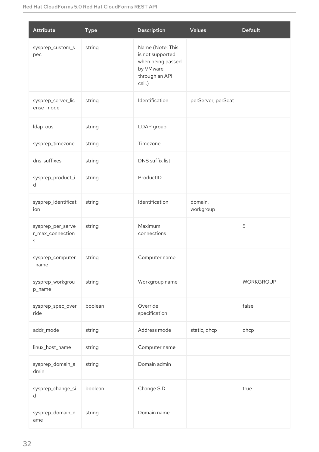<span id="page-35-0"></span>

| <b>Attribute</b>                           | <b>Type</b> | Description                                                                                        | <b>Values</b>        | <b>Default</b>   |
|--------------------------------------------|-------------|----------------------------------------------------------------------------------------------------|----------------------|------------------|
| sysprep_custom_s<br>pec                    | string      | Name (Note: This<br>is not supported<br>when being passed<br>by VMware<br>through an API<br>call.) |                      |                  |
| sysprep_server_lic<br>ense_mode            | string      | Identification                                                                                     | perServer, perSeat   |                  |
| Idap_ous                                   | string      | LDAP group                                                                                         |                      |                  |
| sysprep_timezone                           | string      | Timezone                                                                                           |                      |                  |
| dns_suffixes                               | string      | DNS suffix list                                                                                    |                      |                  |
| sysprep_product_i<br>d                     | string      | ProductID                                                                                          |                      |                  |
| sysprep_identificat<br>ion                 | string      | Identification                                                                                     | domain,<br>workgroup |                  |
| sysprep_per_serve<br>r_max_connection<br>S | string      | Maximum<br>connections                                                                             |                      | 5                |
| sysprep_computer<br>_name                  | string      | Computer name                                                                                      |                      |                  |
| sysprep_workgrou<br>p_name                 | string      | Workgroup name                                                                                     |                      | <b>WORKGROUP</b> |
| sysprep_spec_over<br>ride                  | boolean     | Override<br>specification                                                                          |                      | false            |
| addr_mode                                  | string      | Address mode                                                                                       | static, dhcp         | dhcp             |
| linux_host_name                            | string      | Computer name                                                                                      |                      |                  |
| sysprep_domain_a<br>dmin                   | string      | Domain admin                                                                                       |                      |                  |
| sysprep_change_si<br>d                     | boolean     | Change SID                                                                                         |                      | true             |
| sysprep_domain_n<br>ame                    | string      | Domain name                                                                                        |                      |                  |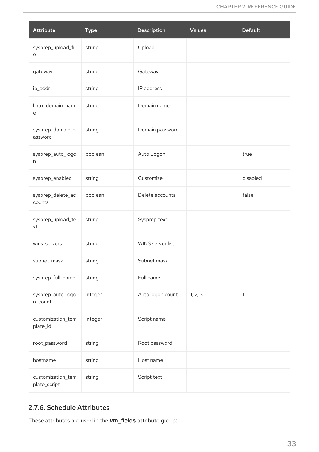| Attribute                         | <b>Type</b> | Description      | <b>Values</b> | <b>Default</b> |
|-----------------------------------|-------------|------------------|---------------|----------------|
| sysprep_upload_fil<br>е           | string      | Upload           |               |                |
| gateway                           | string      | Gateway          |               |                |
| ip_addr                           | string      | IP address       |               |                |
| linux_domain_nam<br>е             | string      | Domain name      |               |                |
| sysprep_domain_p<br>assword       | string      | Domain password  |               |                |
| sysprep_auto_logo<br>n            | boolean     | Auto Logon       |               | true           |
| sysprep_enabled                   | string      | Customize        |               | disabled       |
| sysprep_delete_ac<br>counts       | boolean     | Delete accounts  |               | false          |
| sysprep_upload_te<br>xt           | string      | Sysprep text     |               |                |
| wins_servers                      | string      | WINS server list |               |                |
| subnet_mask                       | string      | Subnet mask      |               |                |
| sysprep_full_name                 | string      | Full name        |               |                |
| sysprep_auto_logo<br>n_count      | integer     | Auto logon count | 1, 2, 3       | 1              |
| customization_tem<br>plate_id     | integer     | Script name      |               |                |
| root_password                     | string      | Root password    |               |                |
| hostname                          | string      | Host name        |               |                |
| customization_tem<br>plate_script | string      | Script text      |               |                |

## 2.7.6. Schedule Attributes

These attributes are used in the **vm\_fields** attribute group: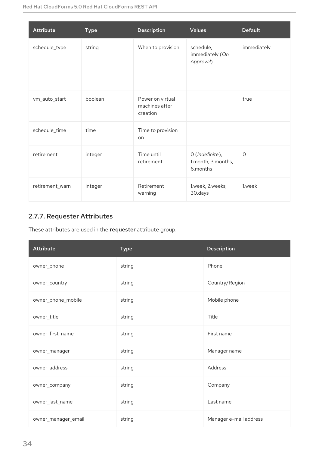| <b>Attribute</b> | <b>Type</b> | <b>Description</b>                             | <b>Values</b>                                     | <b>Default</b> |
|------------------|-------------|------------------------------------------------|---------------------------------------------------|----------------|
| schedule_type    | string      | When to provision                              | schedule,<br>immediately (On<br>Approval)         | immediately    |
| vm_auto_start    | boolean     | Power on virtual<br>machines after<br>creation |                                                   | true           |
| schedule_time    | time        | Time to provision<br>on                        |                                                   |                |
| retirement       | integer     | Time until<br>retirement                       | O (Indefinite),<br>1.month, 3.months,<br>6.months | $\circ$        |
| retirement_warn  | integer     | Retirement<br>warning                          | 1.week, 2.weeks,<br>30.days                       | 1.week         |

# 2.7.7. Requester Attributes

These attributes are used in the requester attribute group:

| <b>Attribute</b>    | <b>Type</b> | <b>Description</b>     |
|---------------------|-------------|------------------------|
| owner_phone         | string      | Phone                  |
| owner_country       | string      | Country/Region         |
| owner_phone_mobile  | string      | Mobile phone           |
| owner_title         | string      | Title                  |
| owner_first_name    | string      | First name             |
| owner_manager       | string      | Manager name           |
| owner_address       | string      | Address                |
| owner_company       | string      | Company                |
| owner_last_name     | string      | Last name              |
| owner_manager_email | string      | Manager e-mail address |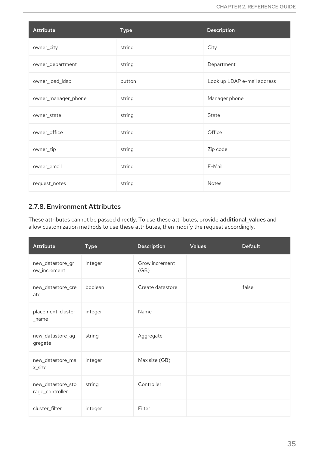| <b>Attribute</b>    | <b>Type</b> | <b>Description</b>          |
|---------------------|-------------|-----------------------------|
| owner_city          | string      | City                        |
| owner_department    | string      | Department                  |
| owner_load_ldap     | button      | Look up LDAP e-mail address |
| owner_manager_phone | string      | Manager phone               |
| owner_state         | string      | State                       |
| owner_office        | string      | Office                      |
| owner_zip           | string      | Zip code                    |
| owner_email         | string      | E-Mail                      |
| request_notes       | string      | Notes                       |

## 2.7.8. Environment Attributes

These attributes cannot be passed directly. To use these attributes, provide additional\_values and allow customization methods to use these attributes, then modify the request accordingly.

| <b>Attribute</b>                     | <b>Type</b> | <b>Description</b>     | <b>Values</b> | <b>Default</b> |
|--------------------------------------|-------------|------------------------|---------------|----------------|
| new_datastore_gr<br>ow_increment     | integer     | Grow increment<br>(GB) |               |                |
| new_datastore_cre<br>ate             | boolean     | Create datastore       |               | false          |
| placement_cluster<br>$\_name$        | integer     | Name                   |               |                |
| new_datastore_ag<br>gregate          | string      | Aggregate              |               |                |
| new_datastore_ma<br>x_size           | integer     | Max size (GB)          |               |                |
| new_datastore_sto<br>rage_controller | string      | Controller             |               |                |
| cluster_filter                       | integer     | Filter                 |               |                |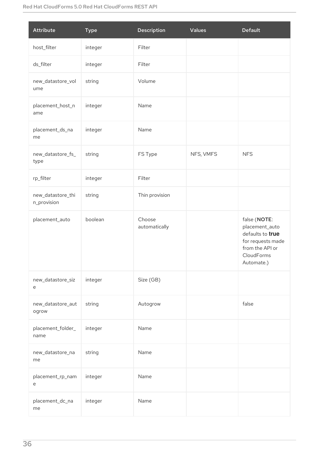| <b>Attribute</b>                 | <b>Type</b> | Description             | <b>Values</b> | <b>Default</b>                                                                                                         |
|----------------------------------|-------------|-------------------------|---------------|------------------------------------------------------------------------------------------------------------------------|
| host_filter                      | integer     | Filter                  |               |                                                                                                                        |
| ds_filter                        | integer     | Filter                  |               |                                                                                                                        |
| new_datastore_vol<br>ume         | string      | Volume                  |               |                                                                                                                        |
| placement_host_n<br>ame          | integer     | Name                    |               |                                                                                                                        |
| placement_ds_na<br>me            | integer     | Name                    |               |                                                                                                                        |
| new_datastore_fs_<br>type        | string      | FS Type                 | NFS, VMFS     | <b>NFS</b>                                                                                                             |
| rp_filter                        | integer     | Filter                  |               |                                                                                                                        |
| new_datastore_thi<br>n_provision | string      | Thin provision          |               |                                                                                                                        |
| placement_auto                   | boolean     | Choose<br>automatically |               | false (NOTE:<br>placement_auto<br>defaults to true<br>for requests made<br>from the API or<br>CloudForms<br>Automate.) |
| new_datastore_siz<br>e           | integer     | Size (GB)               |               |                                                                                                                        |
| new_datastore_aut<br>ogrow       | string      | Autogrow                |               | false                                                                                                                  |
| placement_folder_<br>name        | integer     | Name                    |               |                                                                                                                        |
| new_datastore_na<br>me           | string      | Name                    |               |                                                                                                                        |
| placement_rp_nam<br>е            | integer     | Name                    |               |                                                                                                                        |
| placement_dc_na<br>me            | integer     | Name                    |               |                                                                                                                        |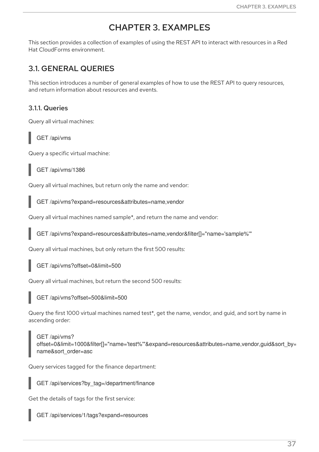# CHAPTER 3. EXAMPLES

This section provides a collection of examples of using the REST API to interact with resources in a Red Hat CloudForms environment.

# 3.1. GENERAL QUERIES

This section introduces a number of general examples of how to use the REST API to query resources, and return information about resources and events.

## 3.1.1. Queries

Query all virtual machines:

GET /api/vms

Query a specific virtual machine:

GET /api/vms/1386

Query all virtual machines, but return only the name and vendor:

GET /api/vms?expand=resources&attributes=name,vendor

Query all virtual machines named sample\*, and return the name and vendor:

GET /api/vms?expand=resources&attributes=name,vendor&filter[]="name='sample%'"

Query all virtual machines, but only return the first 500 results:

GET /api/vms?offset=0&limit=500

Query all virtual machines, but return the second 500 results:

GET /api/vms?offset=500&limit=500

Query the first 1000 virtual machines named test\*, get the name, vendor, and guid, and sort by name in ascending order:

GET /api/vms? offset=0&limit=1000&filter[]="name='test%'"&expand=resources&attributes=name,vendor,guid&sort\_by= name&sort\_order=asc

Query services tagged for the finance department:

GET /api/services?by\_tag=/department/finance

Get the details of tags for the first service:

GET /api/services/1/tags?expand=resources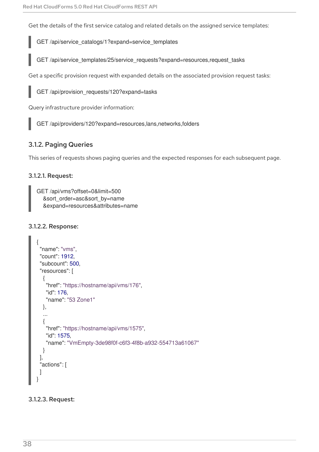Get the details of the first service catalog and related details on the assigned service templates:

GET /api/service\_catalogs/1?expand=service\_templates

GET /api/service\_templates/25/service\_requests?expand=resources,request\_tasks

Get a specific provision request with expanded details on the associated provision request tasks:

GET /api/provision\_requests/120?expand=tasks

Query infrastructure provider information:

GET /api/providers/120?expand=resources,lans,networks,folders

### 3.1.2. Paging Queries

This series of requests shows paging queries and the expected responses for each subsequent page.

#### 3.1.2.1. Request:

```
GET /api/vms?offset=0&limit=500
  &sort_order=asc&sort_by=name
  &expand=resources&attributes=name
```
#### 3.1.2.2. Response:

```
{
 "name": "vms",
"count": 1912,
"subcount": 500,
"resources": [
  {
   "href": "https://hostname/api/vms/176",
   "id": 176,
   "name": "53 Zone1"
  },
  ...
  {
   "href": "https://hostname/api/vms/1575",
   "id": 1575,
   "name": "VmEmpty-3de98f0f-c6f3-4f8b-a932-554713a61067"
  }
],
"actions": [
 ]
}
```
#### 3.1.2.3. Request: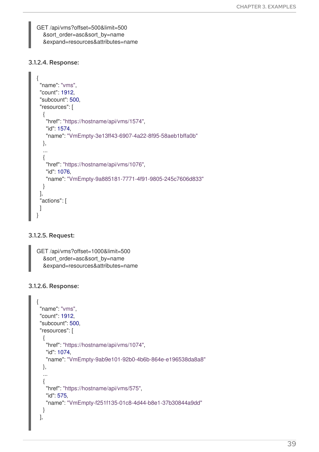GET /api/vms?offset=500&limit=500 &sort\_order=asc&sort\_by=name &expand=resources&attributes=name

#### 3.1.2.4. Response:

```
{
"name": "vms",
"count": 1912,
"subcount": 500,
"resources": [
  {
   "href": "https://hostname/api/vms/1574",
   "id": 1574,
   "name": "VmEmpty-3e13ff43-6907-4a22-8f95-58aeb1bffa0b"
  },
  ...
  {
   "href": "https://hostname/api/vms/1076",
   "id": 1076,
   "name": "VmEmpty-9a885181-7771-4f91-9805-245c7606d833"
 }
],
"actions": [
]
}
```
#### 3.1.2.5. Request:

```
GET /api/vms?offset=1000&limit=500
  &sort_order=asc&sort_by=name
  &expand=resources&attributes=name
```
#### 3.1.2.6. Response:

```
{
"name": "vms",
"count": 1912,
"subcount": 500,
"resources": [
  {
   "href": "https://hostname/api/vms/1074",
   "id": 1074,
   "name": "VmEmpty-9ab9e101-92b0-4b6b-864e-e196538da8a8"
 },
  ...
  {
   "href": "https://hostname/api/vms/575",
   "id": 575,
   "name": "VmEmpty-f251f135-01c8-4d44-b8e1-37b30844a9dd"
 }
],
```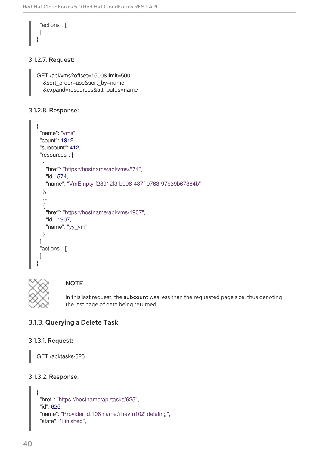```
"actions": [
 ]
}
```
### 3.1.2.7. Request:

```
GET /api/vms?offset=1500&limit=500
  &sort_order=asc&sort_by=name
  &expand=resources&attributes=name
```
#### 3.1.2.8. Response:

```
{
"name": "vms",
"count": 1912,
"subcount": 412,
"resources": [
  {
   "href": "https://hostname/api/vms/574",
   "id": 574,
   "name": "VmEmpty-f28912f3-b096-487f-9763-97b39b67364b"
  },
  ...
  {
   "href": "https://hostname/api/vms/1907",
   "id": 1907,
   "name": "yy_vm"
  }
],
"actions": [
 ]
}
```


### **NOTE**

In this last request, the subcount was less than the requested page size, thus denoting the last page of data being returned.

## 3.1.3. Querying a Delete Task

#### 3.1.3.1. Request:

GET /api/tasks/625

#### 3.1.3.2. Response:

```
{
"href": "https://hostname/api/tasks/625",
"id": 625,
"name": "Provider id:106 name:'rhevm102' deleting",
"state": "Finished",
```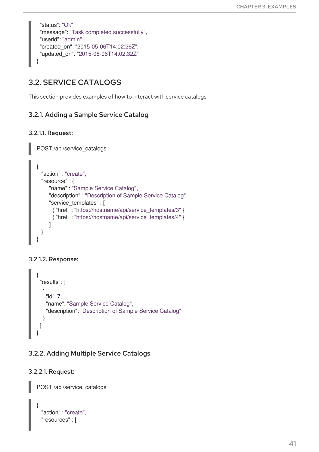```
"status": "Ok",
 "message": "Task completed successfully",
 "userid": "admin",
 "created_on": "2015-05-06T14:02:26Z",
 "updated_on": "2015-05-06T14:02:32Z"
}
```
# 3.2. SERVICE CATALOGS

This section provides examples of how to interact with service catalogs.

## 3.2.1. Adding a Sample Service Catalog

### 3.2.1.1. Request:

POST /api/service\_catalogs

```
{
  "action" : "create",
 "resource" : {
     "name" : "Sample Service Catalog",
     "description" : "Description of Sample Service Catalog",
     "service_templates" : [
      { "href" : "https://hostname/api/service_templates/3" },
      { "href" : "https://hostname/api/service_templates/4" }
     ]
  }
}
```
### 3.2.1.2. Response:

```
{
 "results": [
  {
    "id": 7,
    "name": "Sample Service Catalog",
    "description": "Description of Sample Service Catalog"
  }
 ]
}
```
## 3.2.2. Adding Multiple Service Catalogs

### 3.2.2.1. Request:

POST /api/service\_catalogs

```
{
 "action" : "create",
 "resources" : [
```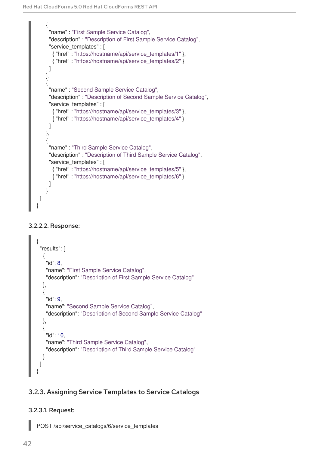```
{
     "name" : "First Sample Service Catalog",
     "description" : "Description of First Sample Service Catalog",
     "service_templates" : [
      { "href" : "https://hostname/api/service_templates/1" },
      { "href" : "https://hostname/api/service_templates/2" }
     ]
   },
    {
     "name" : "Second Sample Service Catalog",
     "description" : "Description of Second Sample Service Catalog",
     "service_templates" : [
      { "href" : "https://hostname/api/service_templates/3" },
      { "href" : "https://hostname/api/service_templates/4" }
     ]
   },
    {
     "name" : "Third Sample Service Catalog",
     "description" : "Description of Third Sample Service Catalog",
     "service_templates" : [
      { "href" : "https://hostname/api/service_templates/5" },
      { "href" : "https://hostname/api/service_templates/6" }
     ]
    }
 ]
}
```
#### 3.2.2.2. Response:

```
{
 "results": [
  {
    "id": 8,
    "name": "First Sample Service Catalog",
    "description": "Description of First Sample Service Catalog"
  },
  {
    "id": 9,
    "name": "Second Sample Service Catalog",
    "description": "Description of Second Sample Service Catalog"
  },
  {
    "id": 10,
    "name": "Third Sample Service Catalog",
    "description": "Description of Third Sample Service Catalog"
  }
 ]
}
```
## 3.2.3. Assigning Service Templates to Service Catalogs

#### 3.2.3.1. Request:

POST /api/service\_catalogs/6/service\_templates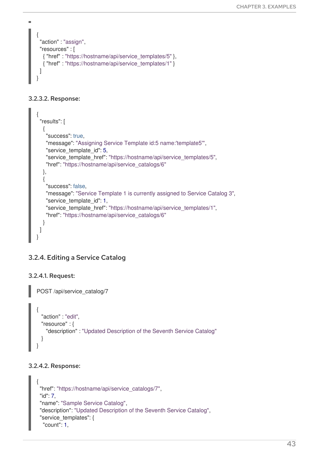```
{
 "action" : "assign",
 "resources" : [
  { "href" : "https://hostname/api/service_templates/5" },
  { "href" : "https://hostname/api/service_templates/1" }
 ]
}
```
#### 3.2.3.2. Response:

m.

```
{
 "results": [
  {
    "success": true,
    "message": "Assigning Service Template id:5 name:'template5'",
    "service_template_id": 5,
    "service_template_href": "https://hostname/api/service_templates/5",
    "href": "https://hostname/api/service_catalogs/6"
  },
  {
    "success": false,
   "message": "Service Template 1 is currently assigned to Service Catalog 3",
    "service_template_id": 1,
    "service_template_href": "https://hostname/api/service_templates/1",
    "href": "https://hostname/api/service_catalogs/6"
  }
 ]
}
```
## 3.2.4. Editing a Service Catalog

#### 3.2.4.1. Request:

```
POST /api/service_catalog/7
{
  "action" : "edit",
  "resource" : {
    "description" : "Updated Description of the Seventh Service Catalog"
  }
}
```
#### 3.2.4.2. Response:

```
{
"href": "https://hostname/api/service_catalogs/7",
"id": 7,
"name": "Sample Service Catalog",
"description": "Updated Description of the Seventh Service Catalog",
"service_templates": {
  "count": 1,
```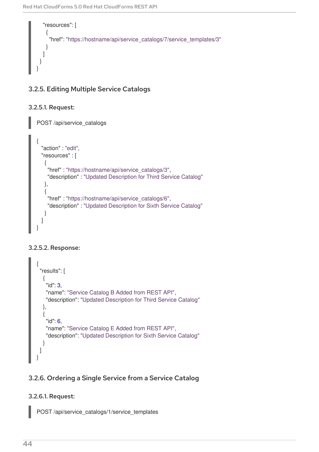

## 3.2.5. Editing Multiple Service Catalogs

### 3.2.5.1. Request:

```
POST /api/service_catalogs
{
  "action" : "edit",
  "resources" : [
   {
    "href" : "https://hostname/api/service_catalogs/3",
    "description" : "Updated Description for Third Service Catalog"
   },
   {
    "href" : "https://hostname/api/service_catalogs/6",
    "description" : "Updated Description for Sixth Service Catalog"
   }
  ]
}
```
### 3.2.5.2. Response:

```
{
 "results": [
  {
   "id": 3,
    "name": "Service Catalog B Added from REST API",
   "description": "Updated Description for Third Service Catalog"
  },
  {
    "id": 6,
    "name": "Service Catalog E Added from REST API",
    "description": "Updated Description for Sixth Service Catalog"
  }
 ]
}
```
## 3.2.6. Ordering a Single Service from a Service Catalog

## 3.2.6.1. Request:

POST /api/service\_catalogs/1/service\_templates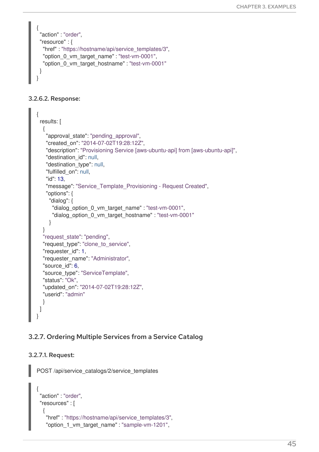```
{
 "action" : "order",
 "resource" : {
  "href" : "https://hostname/api/service_templates/3",
  "option 0 vm target name" : "test-vm-0001",
  "option_0_vm_target_hostname" : "test-vm-0001"
 }
}
```
### 3.2.6.2. Response:

```
{
 results: [
  {
   "approval state": "pending approval",
   "created_on": "2014-07-02T19:28:12Z",
   "description": "Provisioning Service [aws-ubuntu-api] from [aws-ubuntu-api]",
   "destination_id": null,
   "destination_type": null,
   "fulfilled_on": null,
   "id": 13,
   "message": "Service_Template_Provisioning - Request Created",
   "options": {
     "dialog": {
      "dialog_option_0_vm_target_name" : "test-vm-0001",
      "dialog_option_0_vm_target_hostname" : "test-vm-0001"
    }
  }
  "request_state": "pending",
  "request_type": "clone_to_service",
  "requester_id": 1,
  "requester_name": "Administrator",
  "source_id": 6,
  "source_type": "ServiceTemplate",
  "status": "Ok",
  "updated_on": "2014-07-02T19:28:12Z",
  "userid": "admin"
  }
 ]
}
```
### 3.2.7. Ordering Multiple Services from a Service Catalog

#### 3.2.7.1. Request:

POST /api/service\_catalogs/2/service\_templates

```
{
"action" : "order",
"resources" : [
  \{"href" : "https://hostname/api/service_templates/3",
   "option_1_vm_target_name" : "sample-vm-1201",
```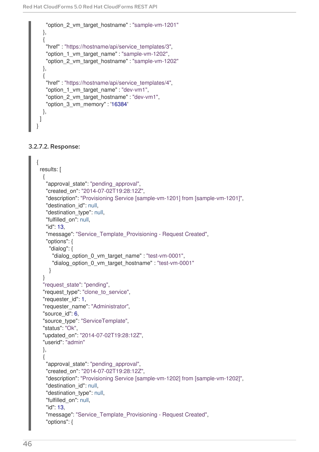```
"option_2_vm_target_hostname" : "sample-vm-1201"
  },
  {
   "href" : "https://hostname/api/service_templates/3",
   "option_1_vm_target_name" : "sample-vm-1202",
   "option_2_vm_target_hostname" : "sample-vm-1202"
  },
  {
   "href" : "https://hostname/api/service_templates/4",
   "option_1_vm_target_name" : "dev-vm1",
   "option 2 vm target hostname" : "dev-vm1",
   "option_3_vm_memory" : '16384'
  },
 ]
}
```
#### 3.2.7.2. Response:

```
{
results: [
  {
   "approval state": "pending approval",
   "created_on": "2014-07-02T19:28:12Z",
   "description": "Provisioning Service [sample-vm-1201] from [sample-vm-1201]",
   "destination_id": null,
   "destination_type": null,
   "fulfilled_on": null,
   "id": 13,
   "message": "Service_Template_Provisioning - Request Created",
   "options": {
    "dialog": {
     "dialog_option_0_vm_target_name" : "test-vm-0001",
     "dialog_option_0_vm_target_hostname" : "test-vm-0001"
    }
  }
  "request_state": "pending",
  "request_type": "clone_to_service",
  "requester_id": 1,
  "requester_name": "Administrator",
  "source_id": 6,
  "source_type": "ServiceTemplate",
  "status": "Ok",
  "updated_on": "2014-07-02T19:28:12Z",
  "userid": "admin"
  },
  {
   "approval state": "pending approval",
   "created_on": "2014-07-02T19:28:12Z",
   "description": "Provisioning Service [sample-vm-1202] from [sample-vm-1202]",
   "destination_id": null,
   "destination_type": null,
   "fulfilled_on": null,
   "id": 13,
   "message": "Service_Template_Provisioning - Request Created",
   "options": {
```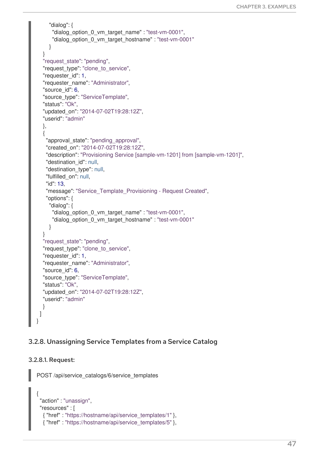```
"dialog": {
      "dialog_option_0_vm_target_name" : "test-vm-0001",
      "dialog_option_0_vm_target_hostname" : "test-vm-0001"
     }
  }
  "request_state": "pending",
  "request_type": "clone_to_service",
  "requester_id": 1,
  "requester_name": "Administrator",
  "source_id": 6,
  "source_type": "ServiceTemplate",
  "status": "Ok",
  "updated_on": "2014-07-02T19:28:12Z",
  "userid": "admin"
  },
  {
    "approval state": "pending approval",
    "created_on": "2014-07-02T19:28:12Z",
    "description": "Provisioning Service [sample-vm-1201] from [sample-vm-1201]",
    "destination_id": null,
    "destination_type": null,
    "fulfilled_on": null,
    "id": 13,
    "message": "Service_Template_Provisioning - Request Created",
    "options": {
     "dialog": {
      "dialog_option_0_vm_target_name" : "test-vm-0001",
      "dialog_option_0_vm_target_hostname" : "test-vm-0001"
     }
  }
  "request_state": "pending",
  "request_type": "clone_to_service",
  "requester_id": 1,
  "requester_name": "Administrator",
  "source_id": 6,
  "source_type": "ServiceTemplate",
  "status": "Ok",
  "updated_on": "2014-07-02T19:28:12Z",
  "userid": "admin"
  }
 ]
}
```
### 3.2.8. Unassigning Service Templates from a Service Catalog

#### 3.2.8.1. Request:

POST /api/service\_catalogs/6/service\_templates

```
{
"action" : "unassign",
"resources" : [
  { "href" : "https://hostname/api/service_templates/1" },
  { "href" : "https://hostname/api/service_templates/5" },
```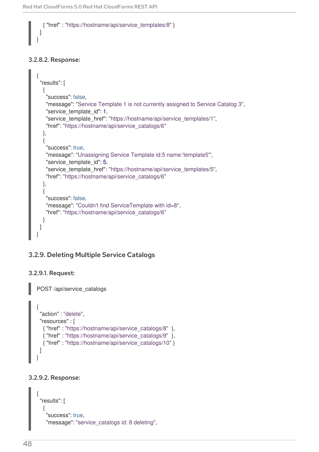{ "href" : "https://hostname/api/service\_templates/8" }

#### 3.2.8.2. Response:

] }

```
{
 "results": [
  {
   "success": false,
   "message": "Service Template 1 is not currently assigned to Service Catalog 3",
   "service_template_id": 1,
   "service template href": "https://hostname/api/service templates/1",
   "href": "https://hostname/api/service_catalogs/6"
  },
  {
   "success": true,
   "message": "Unassigning Service Template id:5 name:'template5'",
   "service template id": 5,
   "service_template_href": "https://hostname/api/service_templates/5",
   "href": "https://hostname/api/service_catalogs/6"
  },
  {
   "success": false,
   "message": "Couldn't find ServiceTemplate with id=8",
   "href": "https://hostname/api/service_catalogs/6"
  }
 ]
}
```
### 3.2.9. Deleting Multiple Service Catalogs

### 3.2.9.1. Request:

POST /api/service\_catalogs

```
{
 "action" : "delete",
 "resources" : [
  { "href" : "https://hostname/api/service_catalogs/8" },
  { "href" : "https://hostname/api/service_catalogs/9" },
  { "href" : "https://hostname/api/service_catalogs/10" }
 ]
}
```
#### 3.2.9.2. Response:

```
{
 "results": [
  {
   "success": true,
   "message": "service_catalogs id: 8 deleting",
```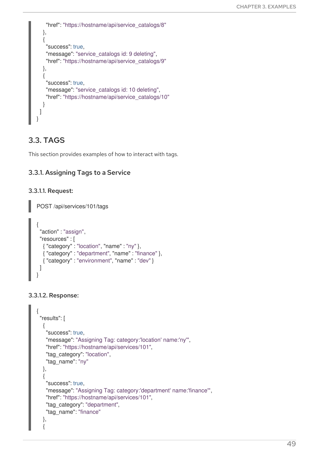```
"href": "https://hostname/api/service_catalogs/8"
  },
  {
    "success": true,
   "message": "service_catalogs id: 9 deleting",
   "href": "https://hostname/api/service_catalogs/9"
  },
  {
    "success": true,
   "message": "service_catalogs id: 10 deleting",
    "href": "https://hostname/api/service_catalogs/10"
  }
 ]
}
```
# 3.3. TAGS

This section provides examples of how to interact with tags.

## 3.3.1. Assigning Tags to a Service

### 3.3.1.1. Request:

POST /api/services/101/tags

```
{
 "action" : "assign",
 "resources" : [
  { "category" : "location", "name" : "ny" },
  { "category" : "department", "name" : "finance" },
  { "category" : "environment", "name" : "dev" }
 ]
}
```
#### 3.3.1.2. Response:

```
{
 "results": [
  {
   "success": true,
   "message": "Assigning Tag: category:'location' name:'ny'",
   "href": "https://hostname/api/services/101",
   "tag_category": "location",
   "tag_name": "ny"
  },
  {
   "success": true,
   "message": "Assigning Tag: category:'department' name:'finance'",
   "href": "https://hostname/api/services/101",
   "tag_category": "department",
   "tag_name": "finance"
  },
  {
```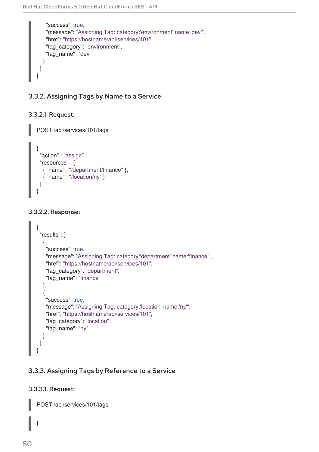```
"success": true,
    "message": "Assigning Tag: category:'environment' name:'dev'",
    "href": "https://hostname/api/services/101",
    "tag_category": "environment",
    "tag_name": "dev"
  }
 ]
}
```
## 3.3.2. Assigning Tags by Name to a Service

### 3.3.2.1. Request:

POST /api/services/101/tags

```
{
 "action" : "assign",
 "resources" : [
  { "name" : "/department/finance" },
  { "name" : "/location/ny" }
 ]
}
```
### 3.3.2.2. Response:

```
{
 "results": [
  {
    "success": true,
    "message": "Assigning Tag: category:'department' name:'finance'",
    "href": "https://hostname/api/services/101",
    "tag_category": "department",
    "tag_name": "finance"
  },
  {
    "success": true,
    "message": "Assigning Tag: category:'location' name:'ny'",
    "href": "https://hostname/api/services/101",
    "tag_category": "location",
    "tag_name": "ny"
  }
 ]
}
```
## 3.3.3. Assigning Tags by Reference to a Service

### 3.3.3.1. Request:

POST /api/services/101/tags

{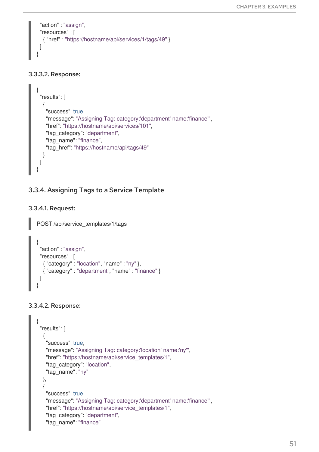```
"action" : "assign",
 "resources" : [
  { "href" : "https://hostname/api/services/1/tags/49" }
 ]
}
```
### 3.3.3.2. Response:

```
{
 "results": [
  {
    "success": true,
    "message": "Assigning Tag: category:'department' name:'finance'",
    "href": "https://hostname/api/services/101",
    "tag_category": "department",
    "tag_name": "finance",
    "tag_href": "https://hostname/api/tags/49"
  }
 ]
}
```
## 3.3.4. Assigning Tags to a Service Template

### 3.3.4.1. Request:

POST /api/service\_templates/1/tags

```
{
 "action" : "assign",
 "resources" : [
  { "category" : "location", "name" : "ny" },
  { "category" : "department", "name" : "finance" }
 ]
}
```
### 3.3.4.2. Response:

```
{
 "results": [
  {
   "success": true,
   "message": "Assigning Tag: category:'location' name:'ny'",
   "href": "https://hostname/api/service_templates/1",
   "tag_category": "location",
   "tag_name": "ny"
  },
  \{"success": true,
   "message": "Assigning Tag: category:'department' name:'finance'",
   "href": "https://hostname/api/service_templates/1",
   "tag_category": "department",
   "tag_name": "finance"
```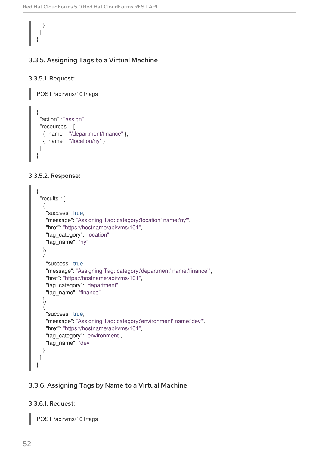# } ] }

Π

## 3.3.5. Assigning Tags to a Virtual Machine

### 3.3.5.1. Request:

POST /api/vms/101/tags

```
{
 "action" : "assign",
 "resources" : [
  { "name" : "/department/finance" },
  { "name" : "/location/ny" }
 ]
}
```
### 3.3.5.2. Response:

| "results": [                                                      |
|-------------------------------------------------------------------|
| ł                                                                 |
| "success": true,                                                  |
| "message": "Assigning Tag: category:'location' name:'ny'",        |
| "href": "https://hostname/api/vms/101",                           |
| "tag_category": "location",                                       |
| "tag_name": "ny"                                                  |
| },                                                                |
|                                                                   |
| "success": true,                                                  |
| "message": "Assigning Tag: category:'department' name:'finance'", |
| "href": "https://hostname/api/vms/101",                           |
| "tag_category": "department",                                     |
| "tag_name": "finance"                                             |
| },                                                                |
| "success": true,                                                  |
| "message": "Assigning Tag: category:'environment' name:'dev'",    |
| "href": "https://hostname/api/vms/101",                           |
| "tag_category": "environment",                                    |
| "tag_name": "dev"                                                 |
|                                                                   |
|                                                                   |
|                                                                   |

## 3.3.6. Assigning Tags by Name to a Virtual Machine

### 3.3.6.1. Request:

POST /api/vms/101/tags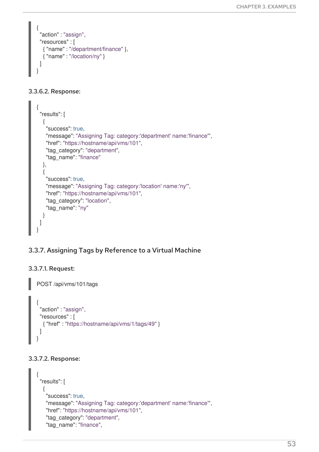```
{
 "action" : "assign",
 "resources" : [
  { "name" : "/department/finance" },
  { "name" : "/location/ny" }
 ]
}
```
### 3.3.6.2. Response:

```
{
 "results": [
  {
    "success": true,
    "message": "Assigning Tag: category:'department' name:'finance'",
   "href": "https://hostname/api/vms/101",
    "tag_category": "department",
    "tag_name": "finance"
  },
  {
    "success": true,
   "message": "Assigning Tag: category:'location' name:'ny'",
   "href": "https://hostname/api/vms/101",
    "tag_category": "location",
    "tag_name": "ny"
  }
 ]
}
```
## 3.3.7. Assigning Tags by Reference to a Virtual Machine

### 3.3.7.1. Request:

```
POST /api/vms/101/tags
{
 "action" : "assign",
 "resources" : [
  { "href" : "https://hostname/api/vms/1/tags/49" }
 ]
}
```
#### 3.3.7.2. Response:

```
{
"results": [
  {
   "success": true,
   "message": "Assigning Tag: category:'department' name:'finance'",
   "href": "https://hostname/api/vms/101",
   "tag_category": "department",
   "tag_name": "finance",
```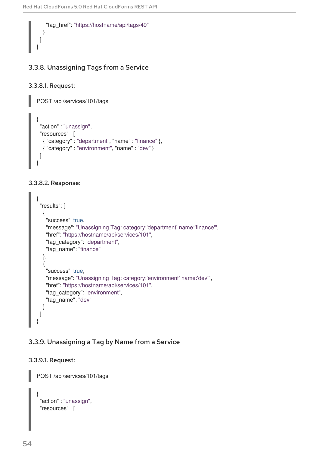```
"tag_href": "https://hostname/api/tags/49"
  }
 ]
}
```
## 3.3.8. Unassigning Tags from a Service

### 3.3.8.1. Request:

POST /api/services/101/tags

```
{
 "action" : "unassign",
 "resources" : [
  { "category" : "department", "name" : "finance" },
  { "category" : "environment", "name" : "dev" }
 ]
}
```
#### 3.3.8.2. Response:

```
{
 "results": [
  {
    "success": true,
   "message": "Unassigning Tag: category:'department' name:'finance'",
    "href": "https://hostname/api/services/101",
    "tag_category": "department",
    "tag_name": "finance"
  },
  {
    "success": true,
   "message": "Unassigning Tag: category:'environment' name:'dev'",
    "href": "https://hostname/api/services/101",
    "tag_category": "environment",
    "tag_name": "dev"
  }
 ]
}
```
### 3.3.9. Unassigning a Tag by Name from a Service

#### 3.3.9.1. Request:

POST /api/services/101/tags

```
{
 "action" : "unassign",
 "resources" : [
```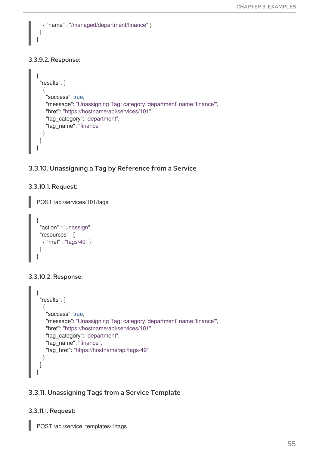



## 3.3.10. Unassigning a Tag by Reference from a Service

### 3.3.10.1. Request:

POST /api/services/101/tags

```
{
 "action" : "unassign",
 "resources" : [
  { "href" : "tags/49" }
 ]
}
```
### 3.3.10.2. Response:

```
{
 "results": [
  {
    "success": true,
    "message": "Unassigning Tag: category:'department' name:'finance'",
    "href": "https://hostname/api/services/101",
    "tag_category": "department",
    "tag_name": "finance",
    "tag_href": "https://hostname/api/tags/49"
  }
 ]
}
```
## 3.3.11. Unassigning Tags from a Service Template

## 3.3.11.1. Request:

POST /api/service\_templates/1/tags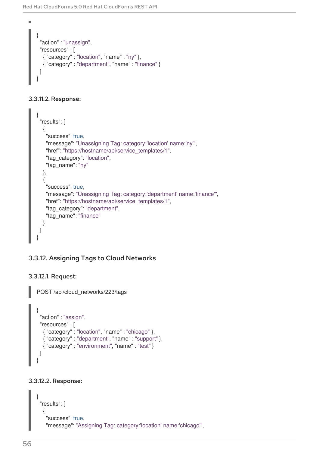```
{
 "action" : "unassign",
 "resources" : [
  { "category" : "location", "name" : "ny" },
  { "category" : "department", "name" : "finance" }
 ]
}
```
### 3.3.11.2. Response:

 $\blacksquare$ 

```
{
 "results": [
  {
    "success": true,
    "message": "Unassigning Tag: category:'location' name:'ny'",
    "href": "https://hostname/api/service_templates/1",
    "tag_category": "location",
    "tag_name": "ny"
  },
  {
    "success": true,
   "message": "Unassigning Tag: category:'department' name:'finance'",
    "href": "https://hostname/api/service_templates/1",
    "tag_category": "department",
    "tag_name": "finance"
  }
 ]
}
```
## 3.3.12. Assigning Tags to Cloud Networks

### 3.3.12.1. Request:

POST /api/cloud\_networks/223/tags

```
{
 "action" : "assign",
 "resources" : [
  { "category" : "location", "name" : "chicago" },
  { "category" : "department", "name" : "support" },
  { "category" : "environment", "name" : "test" }
 ]
}
```
### 3.3.12.2. Response:

```
{
 "results": [
  {
   "success": true,
   "message": "Assigning Tag: category:'location' name:'chicago'",
```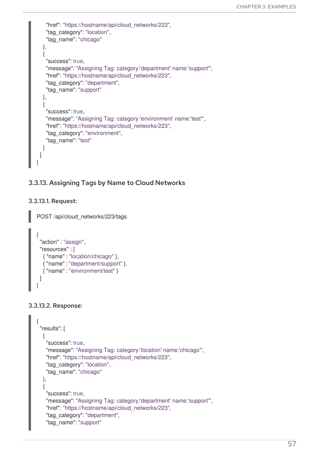```
"href": "https://hostname/api/cloud_networks/223",
    "tag_category": "location",
    "tag_name": "chicago"
  },
  {
    "success": true,
    "message": "Assigning Tag: category:'department' name:'support'",
    "href": "https://hostname/api/cloud_networks/223",
    "tag_category": "department",
    "tag_name": "support"
  },
  {
    "success": true,
    "message": "Assigning Tag: category:'environment' name:'test'",
    "href": "https://hostname/api/cloud_networks/223",
    "tag_category": "environment",
    "tag_name": "test"
  }
 ]
}
```
## 3.3.13. Assigning Tags by Name to Cloud Networks

#### 3.3.13.1. Request:

POST /api/cloud\_networks/223/tags

```
{
 "action" : "assign",
 "resources" : [
  { "name" : "location/chicago" },
  { "name" : "department/support" },
  { "name" : "environment/test" }
 ]
}
```
#### 3.3.13.2. Response:

```
{
 "results": [
  {
   "success": true,
   "message": "Assigning Tag: category:'location' name:'chicago'",
   "href": "https://hostname/api/cloud_networks/223",
   "tag_category": "location",
   "tag_name": "chicago"
  },
  {
   "success": true,
   "message": "Assigning Tag: category:'department' name:'support'",
   "href": "https://hostname/api/cloud_networks/223",
   "tag_category": "department",
   "tag_name": "support"
```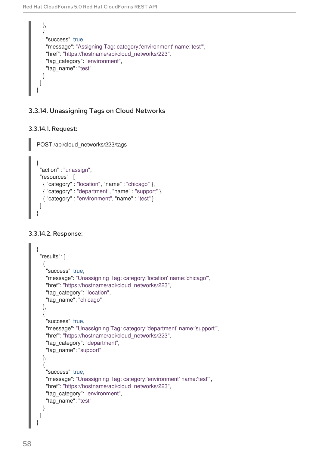```
},
  {
    "success": true,
   "message": "Assigning Tag: category:'environment' name:'test'",
    "href": "https://hostname/api/cloud_networks/223",
    "tag_category": "environment",
    "tag_name": "test"
  }
 ]
}
```
## 3.3.14. Unassigning Tags on Cloud Networks

## 3.3.14.1. Request:

POST /api/cloud\_networks/223/tags

```
{
 "action" : "unassign",
 "resources" : [
  { "category" : "location", "name" : "chicago" },
  { "category" : "department", "name" : "support" },
  { "category" : "environment", "name" : "test" }
 ]
}
```
## 3.3.14.2. Response:

```
{
 "results": [
  {
   "success": true,
   "message": "Unassigning Tag: category:'location' name:'chicago'",
   "href": "https://hostname/api/cloud_networks/223",
   "tag_category": "location",
   "tag_name": "chicago"
  },
  {
   "success": true,
   "message": "Unassigning Tag: category:'department' name:'support'",
   "href": "https://hostname/api/cloud_networks/223",
   "tag_category": "department",
   "tag_name": "support"
  },
  {
   "success": true,
   "message": "Unassigning Tag: category:'environment' name:'test'",
   "href": "https://hostname/api/cloud_networks/223",
   "tag_category": "environment",
   "tag_name": "test"
  }
 ]
}
```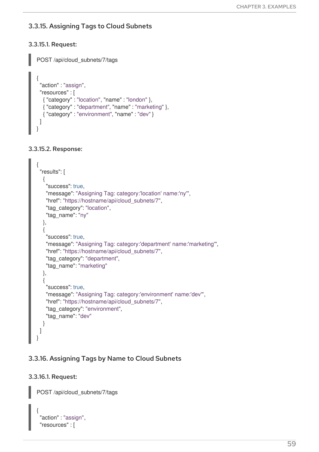## 3.3.15. Assigning Tags to Cloud Subnets

### 3.3.15.1. Request:

POST /api/cloud\_subnets/7/tags { "action" : "assign", "resources" : [ { "category" : "location", "name" : "london" }, { "category" : "department", "name" : "marketing" }, { "category" : "environment", "name" : "dev" } ] }

#### 3.3.15.2. Response:

```
{
 "results": [
  {
    "success": true,
   "message": "Assigning Tag: category:'location' name:'ny'",
    "href": "https://hostname/api/cloud_subnets/7",
    "tag_category": "location",
    "tag_name": "ny"
  },
  {
    "success": true,
    "message": "Assigning Tag: category:'department' name:'marketing'",
   "href": "https://hostname/api/cloud_subnets/7",
    "tag_category": "department",
    "tag_name": "marketing"
  },
  {
    "success": true,
    "message": "Assigning Tag: category:'environment' name:'dev'",
    "href": "https://hostname/api/cloud_subnets/7",
    "tag_category": "environment",
    "tag_name": "dev"
  }
 ]
}
```
## 3.3.16. Assigning Tags by Name to Cloud Subnets

#### 3.3.16.1. Request:

POST /api/cloud\_subnets/7/tags

```
{
 "action" : "assign",
 "resources" : [
```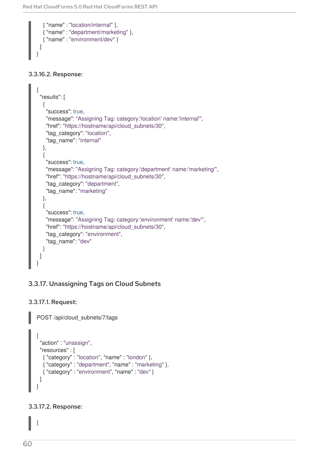```
{ "name" : "location/internal" },
  { "name" : "department/marketing" },
  { "name" : "environment/dev" }
 ]
}
```
### 3.3.16.2. Response:

```
{
 "results": [
  {
   "success": true,
   "message": "Assigning Tag: category:'location' name:'internal'",
   "href": "https://hostname/api/cloud_subnets/30",
   "tag_category": "location",
   "tag_name": "internal"
  },
  {
   "success": true,
   "message": "Assigning Tag: category:'department' name:'marketing'",
   "href": "https://hostname/api/cloud_subnets/30",
   "tag_category": "department",
   "tag_name": "marketing"
  },
  {
   "success": true,
   "message": "Assigning Tag: category:'environment' name:'dev'",
   "href": "https://hostname/api/cloud_subnets/30",
   "tag_category": "environment",
   "tag_name": "dev"
  }
 ]
}
```
## 3.3.17. Unassigning Tags on Cloud Subnets

### 3.3.17.1. Request:

POST /api/cloud\_subnets/7/tags

```
{
 "action" : "unassign",
 "resources" : [
  { "category" : "location", "name" : "london" },
  { "category" : "department", "name" : "marketing" },
  { "category" : "environment", "name" : "dev" }
 ]
}
```
### 3.3.17.2. Response:

{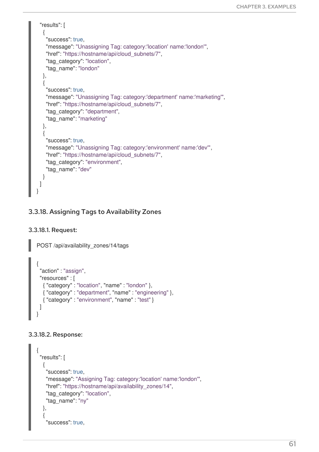```
"results": [
  {
   "success": true,
   "message": "Unassigning Tag: category:'location' name:'london'",
   "href": "https://hostname/api/cloud_subnets/7",
   "tag_category": "location",
   "tag_name": "london"
  },
  {
   "success": true,
   "message": "Unassigning Tag: category:'department' name:'marketing'",
   "href": "https://hostname/api/cloud_subnets/7",
   "tag_category": "department",
   "tag_name": "marketing"
  },
  {
   "success": true,
   "message": "Unassigning Tag: category:'environment' name:'dev'",
   "href": "https://hostname/api/cloud_subnets/7",
   "tag_category": "environment",
   "tag_name": "dev"
  }
 ]
}
```
## 3.3.18. Assigning Tags to Availability Zones

#### 3.3.18.1. Request:

POST /api/availability\_zones/14/tags

```
{
 "action" : "assign",
 "resources" : [
  { "category" : "location", "name" : "london" },
  { "category" : "department", "name" : "engineering" },
  { "category" : "environment", "name" : "test" }
 ]
}
```
#### 3.3.18.2. Response:

```
{
"results": [
  {
   "success": true,
   "message": "Assigning Tag: category:'location' name:'london'",
   "href": "https://hostname/api/availability_zones/14",
   "tag_category": "location",
   "tag_name": "ny"
  },
  {
   "success": true,
```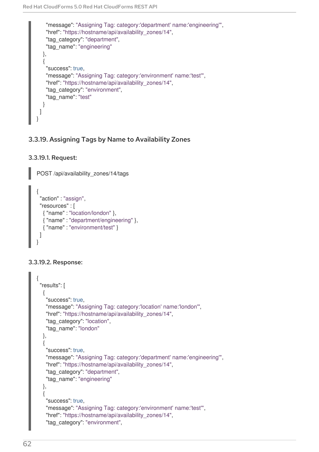```
"message": "Assigning Tag: category:'department' name:'engineering'",
   "href": "https://hostname/api/availability_zones/14",
   "tag_category": "department",
   "tag_name": "engineering"
  },
  {
   "success": true,
   "message": "Assigning Tag: category:'environment' name:'test'",
   "href": "https://hostname/api/availability_zones/14",
   "tag_category": "environment",
   "tag_name": "test"
  }
 ]
}
```
## 3.3.19. Assigning Tags by Name to Availability Zones

```
3.3.19.1. Request:
```

```
POST /api/availability_zones/14/tags
{
 "action" : "assign",
 "resources" : [
  { "name" : "location/london" },
  { "name" : "department/engineering" },
  { "name" : "environment/test" }
 ]
}
```
#### 3.3.19.2. Response:

```
{
 "results": [
  {
   "success": true,
   "message": "Assigning Tag: category:'location' name:'london'",
   "href": "https://hostname/api/availability_zones/14",
   "tag_category": "location",
   "tag_name": "london"
  },
  {
   "success": true,
   "message": "Assigning Tag: category:'department' name:'engineering'",
   "href": "https://hostname/api/availability_zones/14",
   "tag_category": "department",
   "tag_name": "engineering"
  },
  {
   "success": true,
   "message": "Assigning Tag: category:'environment' name:'test'",
   "href": "https://hostname/api/availability_zones/14",
   "tag_category": "environment",
```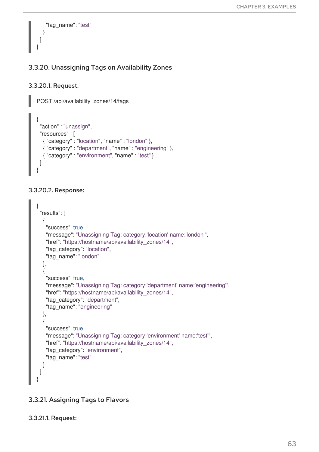```
"tag_name": "test"
  }
 ]
}
```
## 3.3.20. Unassigning Tags on Availability Zones

### 3.3.20.1. Request:

POST /api/availability\_zones/14/tags

```
{
 "action" : "unassign",
 "resources" : [
  { "category" : "location", "name" : "london" },
  { "category" : "department", "name" : "engineering" },
  { "category" : "environment", "name" : "test" }
 ]
}
```
### 3.3.20.2. Response:

```
{
 "results": [
  {
   "success": true,
   "message": "Unassigning Tag: category:'location' name:'london'",
   "href": "https://hostname/api/availability_zones/14",
   "tag_category": "location",
   "tag_name": "london"
  },
  {
   "success": true,
   "message": "Unassigning Tag: category:'department' name:'engineering'",
   "href": "https://hostname/api/availability_zones/14",
   "tag_category": "department",
   "tag_name": "engineering"
  },
  {
   "success": true,
   "message": "Unassigning Tag: category:'environment' name:'test'",
   "href": "https://hostname/api/availability_zones/14",
   "tag_category": "environment",
   "tag_name": "test"
  }
 ]
}
```
## 3.3.21. Assigning Tags to Flavors

### 3.3.21.1. Request: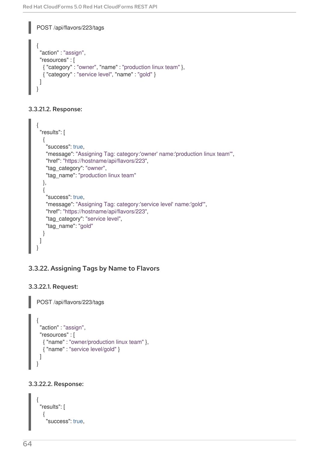```
POST /api/flavors/223/tags
{
 "action" : "assign",
 "resources" : [
  { "category" : "owner", "name" : "production linux team" },
  { "category" : "service level", "name" : "gold" }
 ]
}
```
### 3.3.21.2. Response:

```
{
 "results": [
  {
    "success": true,
    "message": "Assigning Tag: category:'owner' name:'production linux team'",
    "href": "https://hostname/api/flavors/223",
    "tag_category": "owner",
    "tag_name": "production linux team"
  },
  {
    "success": true,
    "message": "Assigning Tag: category:'service level' name:'gold'",
    "href": "https://hostname/api/flavors/223",
    "tag_category": "service level",
    "tag_name": "gold"
  }
 ]
}
```
## 3.3.22. Assigning Tags by Name to Flavors

### 3.3.22.1. Request:

POST /api/flavors/223/tags

```
{
 "action" : "assign",
 "resources" : [
  { "name" : "owner/production linux team" },
  { "name" : "service level/gold" }
 ]
}
```
## 3.3.22.2. Response:

```
{
 "results": [
  {
    "success": true,
```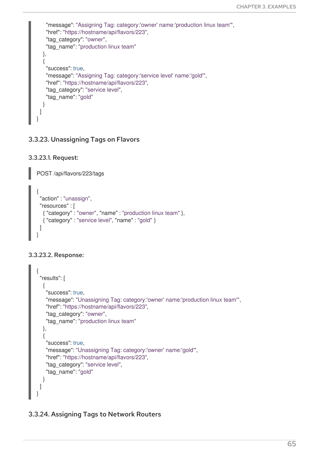```
"message": "Assigning Tag: category:'owner' name:'production linux team'",
   "href": "https://hostname/api/flavors/223",
   "tag_category": "owner",
   "tag_name": "production linux team"
  },
  {
   "success": true,
   "message": "Assigning Tag: category:'service level' name:'gold'",
   "href": "https://hostname/api/flavors/223",
   "tag_category": "service level",
   "tag_name": "gold"
  }
 ]
}
```
## 3.3.23. Unassigning Tags on Flavors

```
3.3.23.1. Request:
```
POST /api/flavors/223/tags

```
{
 "action" : "unassign",
 "resources" : [
  { "category" : "owner", "name" : "production linux team" },
  { "category" : "service level", "name" : "gold" }
 ]
}
```
### 3.3.23.2. Response:

```
{
 "results": [
  {
    "success": true,
   "message": "Unassigning Tag: category:'owner' name:'production linux team'",
    "href": "https://hostname/api/flavors/223",
    "tag_category": "owner",
    "tag_name": "production linux team"
  },
  {
    "success": true,
   "message": "Unassigning Tag: category:'owner' name:'gold'",
    "href": "https://hostname/api/flavors/223",
    "tag_category": "service level",
    "tag_name": "gold"
  }
 ]
}
```
### 3.3.24. Assigning Tags to Network Routers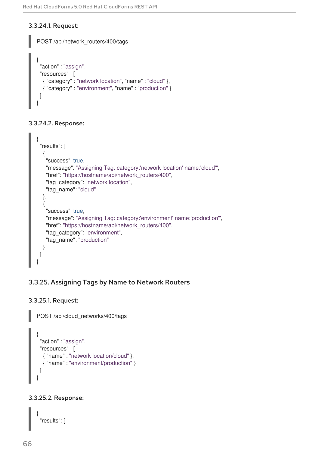### 3.3.24.1. Request:

```
POST /api/network_routers/400/tags
{
 "action" : "assign",
 "resources" : [
  { "category" : "network location", "name" : "cloud" },
  { "category" : "environment", "name" : "production" }
 ]
}
```
3.3.24.2. Response:

```
{
 "results": [
  {
    "success": true,
    "message": "Assigning Tag: category:'network location' name:'cloud'",
    "href": "https://hostname/api/network_routers/400",
    "tag_category": "network location",
    "tag_name": "cloud"
  },
  {
    "success": true,
   "message": "Assigning Tag: category:'environment' name:'production'",
    "href": "https://hostname/api/network_routers/400",
    "tag_category": "environment",
    "tag_name": "production"
  }
 ]
}
```
## 3.3.25. Assigning Tags by Name to Network Routers

### 3.3.25.1. Request:

POST /api/cloud\_networks/400/tags

```
{
 "action" : "assign",
 "resources" : [
  { "name" : "network location/cloud" },
  { "name" : "environment/production" }
 ]
}
```
#### 3.3.25.2. Response:

{ "results": [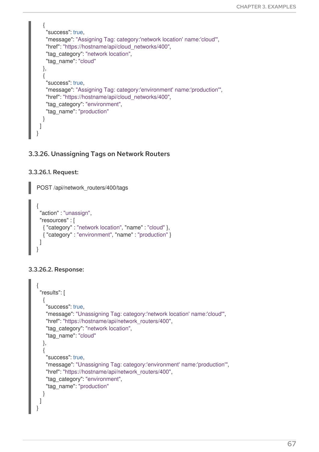```
{
    "success": true,
    "message": "Assigning Tag: category:'network location' name:'cloud'",
    "href": "https://hostname/api/cloud_networks/400",
    "tag_category": "network location",
    "tag_name": "cloud"
  },
  {
    "success": true,
    "message": "Assigning Tag: category:'environment' name:'production'",
    "href": "https://hostname/api/cloud_networks/400",
    "tag_category": "environment",
    "tag_name": "production"
  }
 ]
}
```
## 3.3.26. Unassigning Tags on Network Routers

#### 3.3.26.1. Request:

```
POST /api/network_routers/400/tags
{
 "action" : "unassign",
 "resources" : [
  { "category" : "network location", "name" : "cloud" },
  { "category" : "environment", "name" : "production" }
 ]
}
```
### 3.3.26.2. Response:

```
{
 "results": [
  {
   "success": true,
   "message": "Unassigning Tag: category:'network location' name:'cloud'",
   "href": "https://hostname/api/network_routers/400",
   "tag_category": "network location",
   "tag_name": "cloud"
  },
  {
   "success": true,
   "message": "Unassigning Tag: category:'environment' name:'production'",
   "href": "https://hostname/api/network_routers/400",
   "tag_category": "environment",
   "tag_name": "production"
  }
 ]
}
```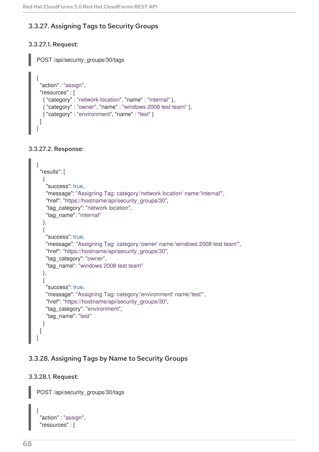## 3.3.27. Assigning Tags to Security Groups

### 3.3.27.1. Request:

POST /api/security\_groups/30/tags

```
{
 "action" : "assign",
 "resources" : [
  { "category" : "network location", "name" : "internal" },
  { "category" : "owner", "name" : "windows 2008 test team" },
  { "category" : "environment", "name" : "test" }
 ]
}
```
#### 3.3.27.2. Response:

```
{
 "results": [
  {
    "success": true,
   "message": "Assigning Tag: category:'network location' name:'internal'",
    "href": "https://hostname/api/security_groups/30",
    "tag_category": "network location",
    "tag_name": "internal"
  },
  {
    "success": true,
    "message": "Assigning Tag: category:'owner' name:'windows 2008 test team'",
   "href": "https://hostname/api/security_groups/30",
    "tag_category": "owner",
    "tag_name": "windows 2008 test team"
  },
  {
    "success": true,
    "message": "Assigning Tag: category:'environment' name:'test'",
    "href": "https://hostname/api/security_groups/30",
    "tag_category": "environment",
    "tag_name": "test"
  }
 ]
}
```
## 3.3.28. Assigning Tags by Name to Security Groups

#### 3.3.28.1. Request:

POST /api/security\_groups/30/tags

```
{
 "action" : "assign",
 "resources" : [
```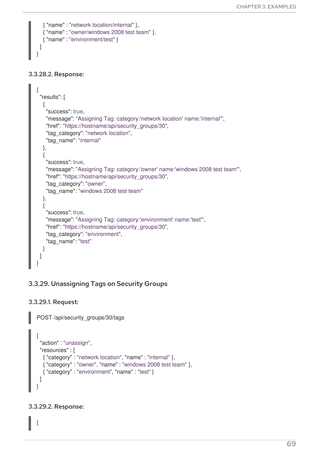```
{ "name" : "network location/internal" },
  { "name" : "owner/windows 2008 test team" },
  { "name" : "environment/test" }
 ]
}
```
#### 3.3.28.2. Response:

```
{
 "results": [
  {
   "success": true,
   "message": "Assigning Tag: category:'network location' name:'internal'",
   "href": "https://hostname/api/security_groups/30",
   "tag_category": "network location",
   "tag_name": "internal"
  },
  {
   "success": true,
   "message": "Assigning Tag: category:'owner' name:'windows 2008 test team'",
   "href": "https://hostname/api/security_groups/30",
   "tag_category": "owner",
   "tag_name": "windows 2008 test team"
  },
  {
   "success": true,
   "message": "Assigning Tag: category:'environment' name:'test'",
   "href": "https://hostname/api/security_groups/30",
   "tag_category": "environment",
   "tag_name": "test"
  }
 ]
}
```
# 3.3.29. Unassigning Tags on Security Groups

### 3.3.29.1. Request:

POST /api/security\_groups/30/tags

```
{
 "action" : "unassign",
 "resources" : [
  { "category" : "network location", "name" : "internal" },
  { "category" : "owner", "name" : "windows 2008 test team" },
  { "category" : "environment", "name" : "test" }
 ]
}
```
### 3.3.29.2. Response:

{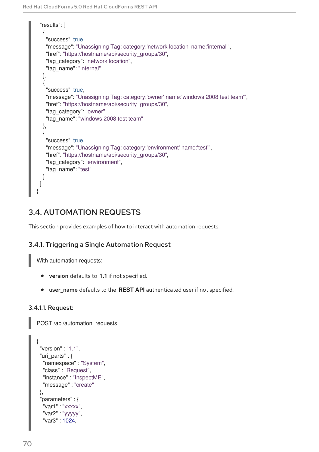```
"results": [
  {
   "success": true,
   "message": "Unassigning Tag: category:'network location' name:'internal'",
   "href": "https://hostname/api/security_groups/30",
   "tag_category": "network location",
   "tag_name": "internal"
  },
  {
   "success": true,
   "message": "Unassigning Tag: category:'owner' name:'windows 2008 test team'",
   "href": "https://hostname/api/security_groups/30",
   "tag_category": "owner",
   "tag_name": "windows 2008 test team"
  },
  {
   "success": true,
   "message": "Unassigning Tag: category:'environment' name:'test'",
   "href": "https://hostname/api/security_groups/30",
   "tag_category": "environment",
   "tag_name": "test"
  }
 ]
}
```
# 3.4. AUTOMATION REQUESTS

This section provides examples of how to interact with automation requests.

# 3.4.1. Triggering a Single Automation Request

With automation requests:

- version defaults to **1.1** if not specified.
- user\_name defaults to the **REST API** authenticated user if not specified.

### 3.4.1.1. Request:

POST /api/automation\_requests

```
{
"version" : "1.1",
"uri_parts" : {
 "namespace" : "System",
  "class" : "Request",
  "instance" : "InspectME",
  "message" : "create"
},
"parameters" : {
  "var1" : "xxxxx",
  "var2" : "yyyyy",
  "var3" : 1024,
```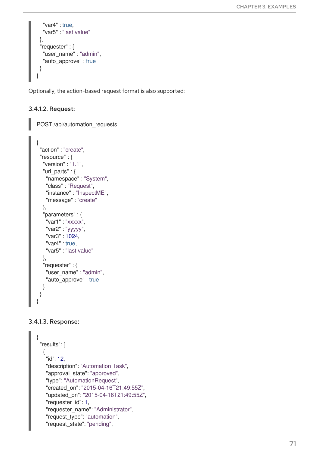```
"var4" : true,
  "var5" : "last value"
 },
 "requester" : {
  "user_name" : "admin",
  "auto_approve" : true
 }
}
```
Optionally, the action-based request format is also supported:

#### 3.4.1.2. Request:

POST /api/automation\_requests

```
{
 "action" : "create",
 "resource" : {
  "version" : "1.1",
  "uri_parts" : {
   "namespace" : "System",
    "class" : "Request",
    "instance" : "InspectME",
   "message" : "create"
  },
  "parameters" : {
   "var1": "xxxxx",
   "var2" : "yyyyy",
   "var3" : 1024,
    "var4" : true,
    "var5" : "last value"
  },
  "requester" : {
   "user_name" : "admin",
    "auto approve" : true
  }
 }
}
```
#### 3.4.1.3. Response:

```
{
"results": [
  {
   "id": 12,
   "description": "Automation Task",
   "approval_state": "approved",
   "type": "AutomationRequest",
   "created_on": "2015-04-16T21:49:55Z",
   "updated_on": "2015-04-16T21:49:55Z",
   "requester_id": 1,
   "requester_name": "Administrator",
   "request_type": "automation",
   "request_state": "pending",
```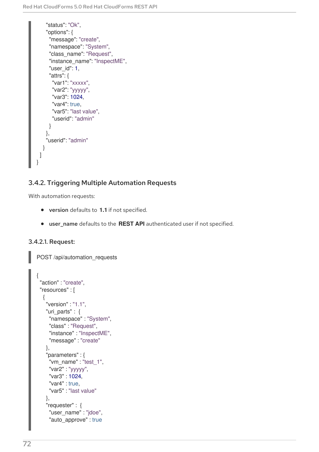```
"status": "Ok",
    "options": {
     "message": "create",
     "namespace": "System",
     "class_name": "Request",
     "instance_name": "InspectME",
     "user_id": 1,
     "attrs": {
      "var1": "xxxxx",
      "var2": "yyyyy",
      "var3": 1024,
      "var4": true,
      "var5": "last value",
      "userid": "admin"
     }
    },
    "userid": "admin"
  }
 ]
}
```
# 3.4.2. Triggering Multiple Automation Requests

With automation requests:

- version defaults to **1.1** if not specified.
- user\_name defaults to the **REST API** authenticated user if not specified.

### 3.4.2.1. Request:

POST /api/automation\_requests

```
{
"action" : "create",
"resources" : [
  {
   "version" : "1.1",
   "uri_parts" : {
    "namespace" : "System",
    "class" : "Request",
    "instance" : "InspectME",
    "message" : "create"
   },
   "parameters" : {
    "vm_name" : "test_1",
    "var2" : "yyyyy",
    "var3" : 1024,
    "var4" : true,
    "var5" : "last value"
   },
   "requester" : {
    "user_name" : "jdoe",
    "auto approve" : true
```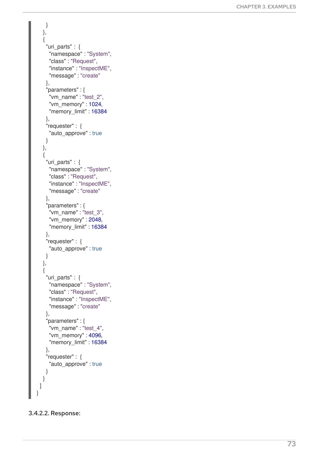```
}
   }
,
  {
    "uri_parts" : {
     "namespace" : "System",
     "class" : "Request",
     "instance" : "InspectME",
     "message" : "create"
    }
,
    "parameters" : {
     "vm_name" : "test_2",
     "vm_memory" : 1024,
     "memory_limit" : 16384
    }
,
    "requester" : {
     "auto_approve" : true
   }
   }
,
  {
    "uri_parts" : {
     "namespace" : "System",
     "class" : "Request",
     "instance": "InspectME",
     "message" : "create"
    }
,
    "parameters" : {
     "vm_name" : "test_3",
     "vm_memory" : 2048,
     "memory_limit" : 16384
    }
,
    "requester" : {
     "auto_approve" : true
   }
   }
,
  {
    "uri_parts" : {
     "namespace": "System",
     "class" : "Request",
     "instance" : "InspectME",
     "message" : "create"
    }
,
    "parameters" : {
     "vm_name" : "test_4",
     "vm_memory" : 4096,
     "memory_limit" : 16384
    }
,
    "requester" : {
     "auto_approve" : true
   }
  }
 ]
}
```
#### 3.4.2.2. Response: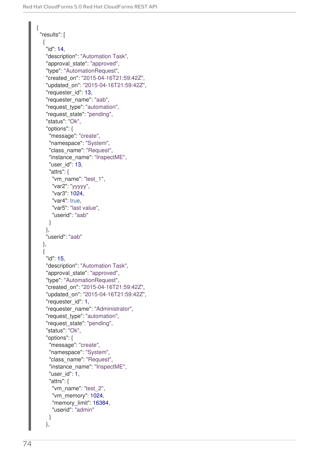```
{
"results": [
  {
   "id": 14,
   "description": "Automation Task",
   "approval state": "approved",
   "type": "AutomationRequest",
   "created_on": "2015-04-16T21:59:42Z",
   "updated_on": "2015-04-16T21:59:42Z",
   "requester_id": 13,
   "requester_name": "aab",
   "request_type": "automation",
   "request_state": "pending",
   "status": "Ok",
   "options": {
    "message": "create",
    "namespace": "System",
    "class_name": "Request",
    "instance_name": "InspectME",
    "user_id": 13,
    "attrs": {
     "vm_name": "test_1",
     "var2": "yyyyy",
     "var3": 1024,
     "var4": true,
      "var5": "last value",
     "userid": "aab"
    }
   },
   "userid": "aab"
  },
  {
   "id": 15,
   "description": "Automation Task",
   "approval state": "approved",
   "type": "AutomationRequest",
   "created_on": "2015-04-16T21:59:42Z",
   "updated_on": "2015-04-16T21:59:42Z",
   "requester_id": 1,
   "requester_name": "Administrator",
   "request_type": "automation",
   "request_state": "pending",
   "status": "Ok",
   "options": {
    "message": "create",
    "namespace": "System",
    "class_name": "Request",
    "instance_name": "InspectME",
    "user_id": 1,
    "attrs": {
     "vm_name": "test_2",
     "vm_memory": 1024,
     "memory limit": 16384,
     "userid": "admin"
    }
   },
```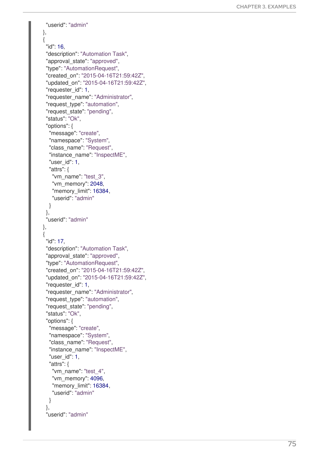```
"userid": "admin"
}
,
{
 "id
": 1
6
,
 "description": "Automation Task",
 "approval_state": "approved",
 "type": "AutomationRequest",
 "created_on": "2015-04-16T21:59:42Z",
 "updated_on": "2015-04-16T21:59:42Z",
 "requester_id": 1,
 "requester_name": "Administrator",
 "request_type": "automation",
 "request_state": "pending",
 "status": "Ok",
 "options": {
  "message": "create",
  "namespace": "System",
  "class_name": "Request",
  "instance_name": "InspectME",
  "user_id": 1,
  "attrs": {
    "vm_name": "test_3",
    "vm_memory": 2048,
    "memory_limit": 16384,
    "userid": "admin"
  }
 }
,
 "userid": "admin"
}
,
{
 "id
": 1
7
,
 "description": "Automation Task",
 "approval_state": "approved",
 "type": "AutomationRequest",
 "created_on": "2015-04-16T21:59:42Z",
 "updated_on": "2015-04-16T21:59:42Z",
 "requester_id": 1,
 "requester_name": "Administrator",
 "request_type": "automation",
 "request_state": "pending",
 "status": "Ok",
 "options": {
  "message": "create",
  "namespace": "System",
  "class_name": "Request",
  "instance_name": "InspectME",
  "user_id": 1,
  "attrs": {
    "vm_name": "test_4",
    "vm_memory": 4096,
    "memory_limit": 16384,
    "userid": "admin"
  }
 }
,
 "userid": "admin"
```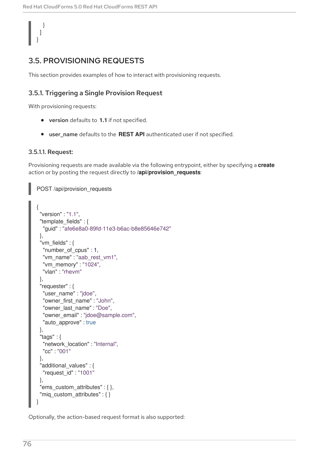# } ] }

# 3.5. PROVISIONING REQUESTS

This section provides examples of how to interact with provisioning requests.

### 3.5.1. Triggering a Single Provision Request

With provisioning requests:

- version defaults to **1.1** if not specified.
- user name defaults to the **REST API** authenticated user if not specified.

#### 3.5.1.1. Request:

Provisioning requests are made available via the following entrypoint, either by specifying a **create** action or by posting the request directly to **/api/provision\_requests**:

```
POST /api/provision_requests
{
 "version" : "1.1",
 "template_fields" : {
  "guid" : "afe6e8a0-89fd-11e3-b6ac-b8e85646e742"
 },
 "vm_fields" : {
  "number_of_cpus" : 1,
  "vm_name" : "aab_rest_vm1",
  "vm_memory" : "1024",
  "vlan" : "rhevm"
 },
 "requester" : {
  "user_name" : "jdoe",
  "owner_first_name" : "John",
  "owner_last_name" : "Doe",
  "owner_email" : "jdoe@sample.com",
  "auto approve" : true
 },
 "tags" : {
  "network_location" : "Internal",
  "cc" : "001"
 },
 "additional_values" : {
  "request_id" : "1001"
 },
 "ems_custom_attributes" : \{ \},
 "miq custom attributes" : { }
}
```
Optionally, the action-based request format is also supported: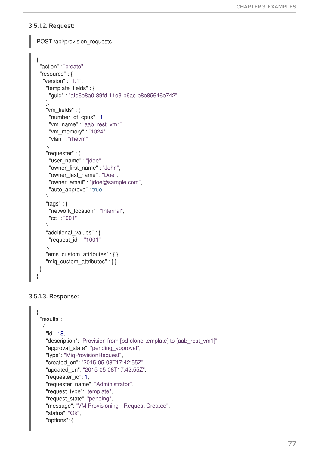#### 3.5.1.2. Request:

```
POST /api/provision_requests
{
 "action" : "create",
 "resource" : {
  "version" : "1.1",
    "template_fields" : {
     "guid" : "afe6e8a0-89fd-11e3-b6ac-b8e85646e742"
   },
    "vm_fields" : {
     "number_of_cpus" : 1,
     "vm_name" : "aab_rest_vm1",
     "vm_memory" : "1024",
     "vlan" : "rhevm"
    },
    "requester" : {
     "user_name" : "jdoe",
     "owner_first_name" : "John",
     "owner_last_name" : "Doe",
     "owner_email" : "jdoe@sample.com",
     "auto_approve" : true
   },
    "tags" : \{"network_location" : "Internal",
     "cc" : "001"
    },
    "additional_values" : {
     "request_id" : "1001"
    },
    "ems custom attributes" : \{\},
    "mig_custom_attributes" : \{\}}
}
```
#### 3.5.1.3. Response:

```
{
 "results": [
  {
   "id": 18,
   "description": "Provision from [bd-clone-template] to [aab_rest_vm1]",
   "approval_state": "pending_approval",
   "type": "MiqProvisionRequest",
   "created_on": "2015-05-08T17:42:55Z",
   "updated_on": "2015-05-08T17:42:55Z",
   "requester_id": 1,
   "requester_name": "Administrator",
   "request_type": "template",
   "request_state": "pending",
   "message": "VM Provisioning - Request Created",
   "status": "Ok",
   "options": {
```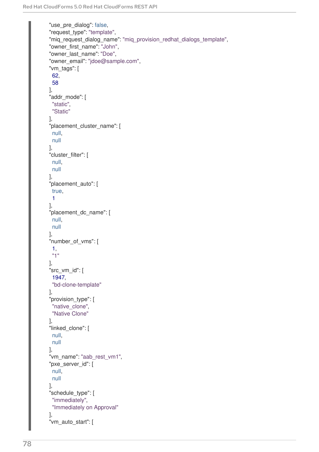```
"use pre dialog": false,
"request_type": "template",
"mig_request_dialog_name": "mig_provision_redhat_dialogs_template",
"owner_first_name": "John",
"owner_last_name": "Doe",
"owner_email": "jdoe@sample.com",
"vm_tags": [
 62,
 58
],
"addr_mode": [
 "static",
 "Static"
],
"placement_cluster_name": [
 null,
 null
],
"cluster_filter": [
 null,
 null
],
"placement_auto": [
true,
 1
],
"placement_dc_name": [
 null,
 null
],
"number_of_vms": [
 1,
 "1"
],
"src_vm_id": [
 1947,
 "bd-clone-template"
],
"provision_type": [
 "native_clone",
 "Native Clone"
],
"linked_clone": [
 null,
 null
],
"vm_name": "aab_rest_vm1",
"pxe_server_id": [
 null,
 null
],
"schedule_type": [
 "immediately",
 "Immediately on Approval"
],
"vm_auto_start": [
```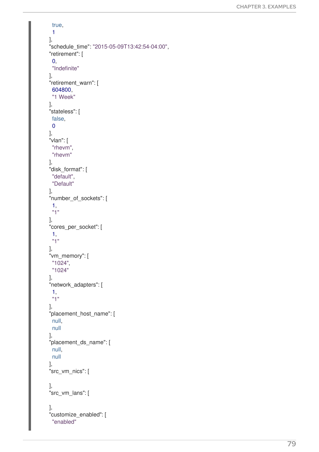```
true,
 1
]
,
"schedule_time": "2015-05-09T13:42:54-04:00",
"retirement": [
 0
,
 "In
d
e
finit
e
"
]
,
"retirement_warn": [
 6
0
4
8
0
0
,
 "1 Week"
]
,
"stateless": [
 f
als
e
,
0
]
,
"
vla
n
": [
 "rhevm",
 "rhevm"
]
,
"disk_format": [
 "default",
 "Default"
]
,
"number_of_sockets": [
 1
,
 "
1
"
]
,
"cores_per_socket": [
 1
,
 "
1
"
]
,
"vm_memory": [
 "1024",
 "1024"
]
,
"network_adapters": [
 1
,
 "
1
"
]
,
"placement_host_name": [
 n
ull,
 n
ull ],<br>"placement_ds_name": [
 n
ull,
 n
ull ],<br>"src_vm_nics": [
]
,
"src_vm_lans": [
]
,
"customize_enabled": [
 "enabled"
```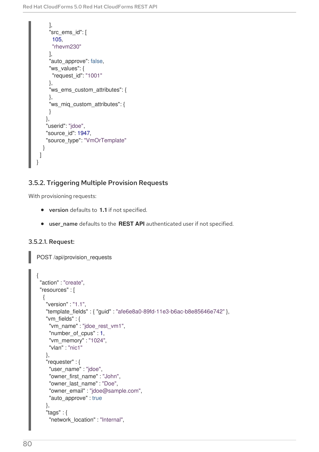```
],
     "src_ems_id": [
      105,
      "rhevm230"
     ],
     "auto_approve": false,
     "ws_values": {
      "request_id": "1001"
     },
     "ws_ems_custom_attributes": {
     },
     "ws_miq_custom_attributes": {
     }
    },
    "userid": "jdoe",
    "source_id": 1947,
    "source_type": "VmOrTemplate"
  }
 ]
}
```
# 3.5.2. Triggering Multiple Provision Requests

With provisioning requests:

- version defaults to **1.1** if not specified.
- user\_name defaults to the **REST API** authenticated user if not specified.

### 3.5.2.1. Request:

POST /api/provision\_requests

```
{
 "action" : "create",
"resources" : [
  {
   "version" : "1.1",
   "template_fields" : { "guid" : "afe6e8a0-89fd-11e3-b6ac-b8e85646e742" },
   "vm_fields" : {
    "vm_name" : "jdoe_rest_vm1",
    "number_of_cpus" : 1,
    "vm_memory" : "1024",
    "vlan" : "nic1"
   },
   "requester" : {
    "user_name" : "jdoe",
    "owner_first_name" : "John",
    "owner_last_name" : "Doe",
    "owner_email" : "jdoe@sample.com",
    "auto approve" : true
   },
   "tags" : {
    "network_location" : "Internal",
```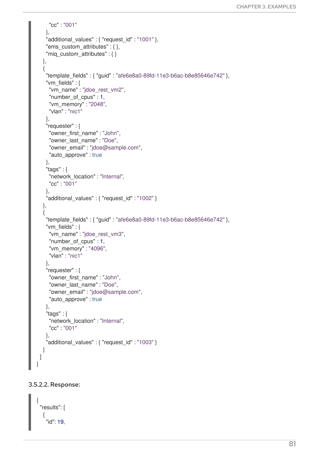```
"cc" : "001"
   },
   "additional values" : { "request id" : "1001" },
   "ems custom attributes" : \{\},
   "miq_custom_attributes" : { }
  },
  {
   "template_fields" : { "guid" : "afe6e8a0-89fd-11e3-b6ac-b8e85646e742" },
   "vm_fields" : {
     "vm_name" : "jdoe_rest_vm2",
     "number of cpus" : 1,
     "vm_memory" : "2048",
     "vlan" : "nic1"
   },
   "requester" : {
    "owner_first_name" : "John",
     "owner_last_name" : "Doe",
     "owner_email" : "jdoe@sample.com",
     "auto_approve" : true
   },
   "tags" : {
    "network_location" : "Internal",
     "cc" : "001"
   },
   "additional_values" : { "request_id" : "1002" }
  },
  {
   "template_fields" : { "guid" : "afe6e8a0-89fd-11e3-b6ac-b8e85646e742" },
   "vm_fields" : {
     "vm_name" : "jdoe_rest_vm3",
     "number_of_cpus" : 1,
     "vm_memory" : "4096",
     "vlan" : "nic1"
   },
   "requester" : {
     "owner_first_name" : "John",
     "owner_last_name" : "Doe",
     "owner_email" : "jdoe@sample.com",
     "auto approve" : true
   },
   "tags" : {
    "network_location" : "Internal",
     "cc" : "001"
   },
   "additional_values" : { "request_id" : "1003" }
  }
 ]
}
```
### 3.5.2.2. Response:

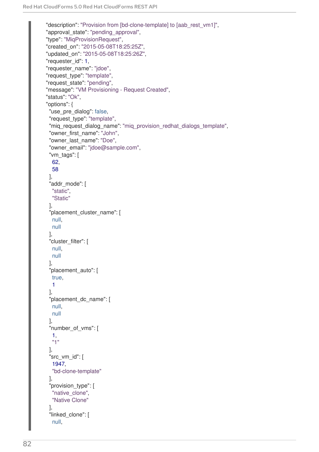```
"description": "Provision from [bd-clone-template] to [aab_rest_vm1]",
"approval_state": "pending_approval",
"type": "MiqProvisionRequest",
"created_on": "2015-05-08T18:25:25Z",
"updated_on": "2015-05-08T18:25:26Z",
"requester_id": 1,
"requester_name": "jdoe",
"request_type": "template",
"request_state": "pending",
"message": "VM Provisioning - Request Created",
"status": "Ok",
"options": {
 "use_pre_dialog": false,
 "request_type": "template",
 "miq request dialog name": "miq provision redhat dialogs template",
 "owner_first_name": "John",
 "owner_last_name": "Doe",
 "owner_email": "jdoe@sample.com",
 "vm_tags": [
  62,
  58
 ],
 "addr_mode": [
  "static",
  "Static"
 ],
 "placement_cluster_name": [
  null,
  null
 ],
 "cluster_filter": [
  null,
  null
 ],
 "placement_auto": [
  true,
  1
 ],
 "placement_dc_name": [
  null,
  null
 ],
 "number_of_vms": [
  1,
  "1"
 ],
 "src_vm_id": [
  1947,
  "bd-clone-template"
 ],
 "provision_type": [
  "native_clone",
  "Native Clone"
 ],
 "linked_clone": [
  null,
```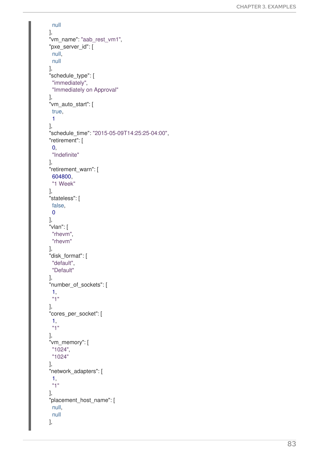```
n
ull ],<br>"vm_name": "aab_rest_vm1",
"pxe_server_id": [
 n
ull,
 n
ull ],<br>"schedule_type": [
 "immediately",
 "Immediately on Approval"
]
,
"vm_auto_start": [
 true,
 1
]
,
"schedule_time": "2015-05-09T14:25:25-04:00",
"retirement": [
 0
,
 "In
d
e
finit
e
"
]
,
"retirement_warn": [
 6
0
4
8
0
0
,
 "1 Week"
]
,
"stateless": [
 f
als
e
,
 0
]
,
"
vla
n
": [
 "rhevm",
 "rhevm"
]
,
"disk_format": [
 "default",
 "Default"
]
,
"number_of_sockets": [
 1
,
 "
1
"
]
,
"cores_per_socket": [
 1
,
 "
1
"
]
,
"vm_memory": [
 "1024",
 "1024"
]
,
"network_adapters": [
 1
,
 "
1
"
]
,
"placement_host_name": [
 n
ull,
 n
ull ],
```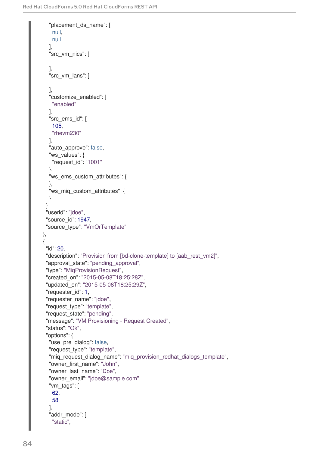```
"placement_ds_name": [
   null,
   null
  ],
  "src_vm_nics": [
  ],
  -<br>"src_vm_lans": [
  ],
  "customize_enabled": [
   "enabled"
  ],
  "src_ems_id": [
   105,
   "rhevm230"
  ],
  "auto_approve": false,
  "ws_values": {
   "request_id": "1001"
  },
  "ws_ems_custom_attributes": {
  },
  "ws_miq_custom_attributes": {
  }
 },
 "userid": "jdoe",
 "source_id": 1947,
 "source_type": "VmOrTemplate"
},
{
 "id": 20,
 "description": "Provision from [bd-clone-template] to [aab_rest_vm2]",
 "approval state": "pending approval",
 "type": "MiqProvisionRequest",
 "created_on": "2015-05-08T18:25:28Z",
 "updated_on": "2015-05-08T18:25:29Z",
 "requester_id": 1,
 "requester_name": "jdoe",
 "request_type": "template",
 "request_state": "pending",
 "message": "VM Provisioning - Request Created",
 "status": "Ok",
 "options": {
  "use_pre_dialog": false,
  "request_type": "template",
  "miq_request_dialog_name": "miq_provision_redhat_dialogs_template",
  "owner_first_name": "John",
  "owner_last_name": "Doe",
  "owner_email": "jdoe@sample.com",
  "vm_tags": [
   62,
   58
  ],
  "addr_mode": [
   "static",
```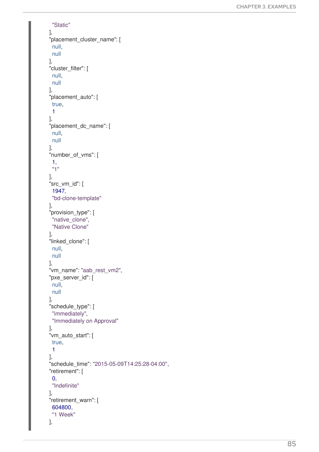```
"Static"
]
,
"placement_cluster_name": [
 n
ull,
 n
ull ],<br>"cluster_filter": [
 n
ull,
 n
ull ],<br>"placement_auto": [
 true,
 1
]
,
"placement_dc_name": [
 n
ull,
 n
ull ],<br>"number_of_vms": [
 1
,
 "
1
"
]
,
"src_vm_id": [
 1
9
4
7
,
 "bd-clone-template"
]
,
"provision_type": [
 "native_clone",
 "Native Clone"
]
,
"linked_clone": [
 n
ull,
 n
ull ],<br>"vm_name": "aab_rest_vm2",
"pxe_server_id": [
 n
ull,
 n
ull ],<br>"schedule_type": [
 "immediately",
 "Immediately on Approval"
]
,
"vm_auto_start": [
 true,
1
]
,
"schedule_time": "2015-05-09T14:25:28-04:00",
"retirement": [
 0
,
 "In
d
e
finit
e
"
]
,
"retirement_warn": [
 6
0
4
8
0
0
,
 "1 Week"
]
,
```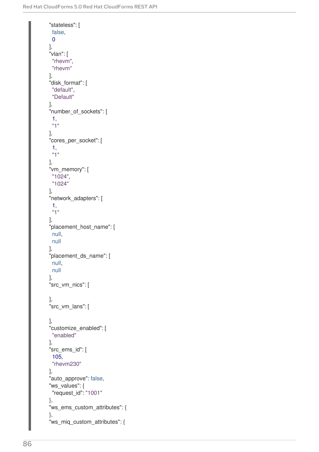```
"stateless": [
 false,
 0
],
"vlan": [
 "rhevm",
 "rhevm"
],
"disk_format": [
 "default",
 "Default"
],
"number_of_sockets": [
 1,
 "1"
],
"cores_per_socket": [
 1,
 "1"
],
"vm_memory": [
"1024",
 "1024"
],
"network_adapters": [
 1,
 "1"
],
"placement_host_name": [
 null,
 null
],
"placement_ds_name": [
 null,
 null
],
"src_vm_nics": [
],
"src_vm_lans": [
],
"customize_enabled": [
 "enabled"
],
"src_ems_id": [
 105,
 "rhevm230"
],
"auto approve": false,
"ws_values": {
 "request_id": "1001"
},
"ws_ems_custom_attributes": {
},
"ws_miq_custom_attributes": {
```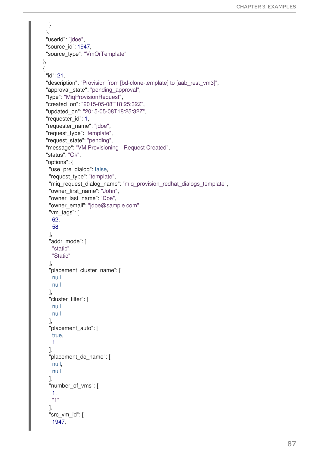```
}
 },
 "userid": "jdoe",
 "source_id": 1947,
 "source_type": "VmOrTemplate"
},
{
 "id": 21,
 "description": "Provision from [bd-clone-template] to [aab_rest_vm3]",
 "approval_state": "pending_approval",
 "type": "MiqProvisionRequest",
 "created_on": "2015-05-08T18:25:32Z",
 "updated_on": "2015-05-08T18:25:32Z",
 "requester_id": 1,
 "requester_name": "jdoe",
 "request_type": "template",
 "request_state": "pending",
 "message": "VM Provisioning - Request Created",
 "status": "Ok",
 "options": {
  "use pre dialog": false,
  "request_type": "template",
  "miq request dialog name": "miq provision redhat dialogs template",
  "owner_first_name": "John",
  "owner_last_name": "Doe",
  "owner_email": "jdoe@sample.com",
  "vm_tags": [
   62,
   58
  ],
  "addr_mode": [
   "static",
   "Static"
  ],
  "placement_cluster_name": [
   null,
   null
  ],
  "cluster_filter": [
   null,
   null
  ],
  "placement_auto": [
   true,
   1
  ],
  "placement_dc_name": [
   null,
   null
  ],
  "number_of_vms": [
   1,
   "1"
  ],
  "src_vm_id": [
   1947,
```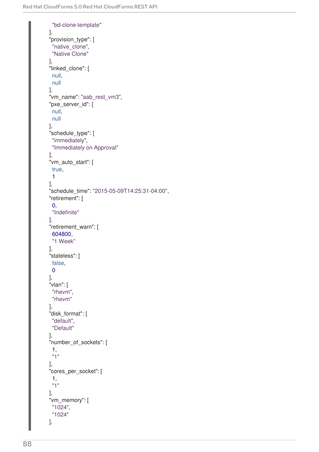```
"bd-clone-template"
],
"provision_type": [
 "native_clone",
 "Native Clone"
],
"linked_clone": [
 null,
 null
],
"vm_name": "aab_rest_vm3",
"pxe_server_id": [
 null,
 null
],
"schedule_type": [
 "immediately",
 "Immediately on Approval"
],
"vm_auto_start": [
true,
 1
],
"schedule_time": "2015-05-09T14:25:31-04:00",
"retirement": [
 0,
 "Indefinite"
],
"retirement_warn": [
 604800,
 "1 Week"
],
"stateless": [
false,
 \Omega],
"vlan": [
 "rhevm",
 "rhevm"
],
"disk_format": [
 "default",
 "Default"
],
"number_of_sockets": [
 1,
 "1"
],
"cores_per_socket": [
 1,
 "1"
],
"vm_memory": [
 "1024",
 "1024"
],
```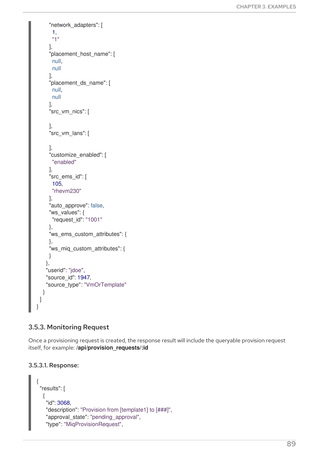```
"network_adapters": [
      1,
      "1"
     ],
     "placement_host_name": [
      null,
      null
     ],
     "placement_ds_name": [
      null,
      null
     ],
     "src_vm_nics": [
     ],
     "src_vm_lans": [
     ],
     "customize_enabled": [
      "enabled"
     ],
     "src_ems_id": [
      105,
      "rhevm230"
     ],
     "auto_approve": false,
     "ws_values": {
      "request_id": "1001"
     },
     "ws_ems_custom_attributes": {
     },
     "ws_miq_custom_attributes": {
     }
    },
    "userid": "jdoe",
    "source_id": 1947,
    "source_type": "VmOrTemplate"
  }
 ]
}
```
# 3.5.3. Monitoring Request

Once a provisioning request is created, the response result will include the queryable provision request itself, for example: **/api/provision\_requests/:id**

### 3.5.3.1. Response:

```
{
 "results": [
  {
    "id": 3068,
   "description": "Provision from [template1] to [###]",
    "approval state": "pending approval",
    "type": "MiqProvisionRequest",
```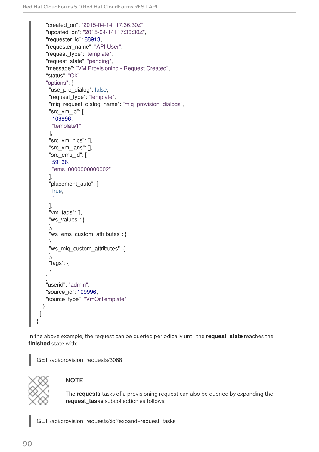```
"created_on": "2015-04-14T17:36:30Z",
    "updated_on": "2015-04-14T17:36:30Z",
    "requester_id": 88913,
    "requester_name": "API User",
    "request_type": "template",
    "request_state": "pending",
    "message": "VM Provisioning - Request Created",
    "status": "Ok"
    "options": {
     "use pre dialog": false,
     "request_type": "template",
     "miq_request_dialog_name": "miq_provision_dialogs",
     "src_vm_id": [
      109996,
      "template1"
     ],
     "src_vm_nics": [],
     "src_vm_lans": [],
     "src_ems_id": [
      59136,
      "ems_0000000000002"
     ],
     "placement_auto": [
     true,
      1
     ],
     "vm_tags": [],
     "ws_values": {
     },
     "ws_ems_custom_attributes": {
     },
     "ws_miq_custom_attributes": {
     },
     "tags": {
    }
    },
    "userid": "admin",
    "source_id": 109996,
    "source_type": "VmOrTemplate"
  }
 ]
}
```
In the above example, the request can be queried periodically until the **request\_state** reaches the **finished** state with:

GET /api/provision\_requests/3068



# **NOTE**

The **requests** tasks of a provisioning request can also be queried by expanding the **request\_tasks** subcollection as follows:

GET /api/provision\_requests/:id?expand=request\_tasks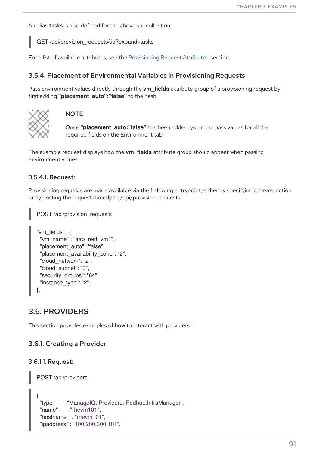An alias tasks is also defined for the above subcollection:

GET /api/provision\_requests/:id?expand=tasks

For a list of available attributes, see the [Provisioning](#page-35-0) Request Attributes section.

#### 3.5.4. Placement of Environmental Variables in Provisioning Requests

Pass environment values directly through the **vm\_fields** attribute group of a provisioning request by first adding **"placement\_auto":"false"** to the hash.



#### **NOTE**

Once **"placement\_auto:"false"** has been added, you must pass values for all the required fields on the Environment tab.

The example request displays how the **vm\_fields** attribute group should appear when passing environment values.

#### 3.5.4.1. Request:

Provisioning requests are made available via the following entrypoint, either by specifying a create action or by posting the request directly to /api/provision\_requests:

POST /api/provision\_requests

```
"vm_fields" : {
 "vm_name" : "aab_rest_vm1",
 "placement_auto": "false",
 "placement_availability_zone": "2",
 "cloud_network": "2",
 "cloud_subnet": "3",
 "security_groups": "64",
 "instance_type": "2",
},
```
# 3.6. PROVIDERS

This section provides examples of how to interact with providers.

#### 3.6.1. Creating a Provider

#### 3.6.1.1. Request:

```
POST /api/providers
{
 "type" : "ManageIQ::Providers::Redhat::InfraManager",
"name" : "rhevm101",
"hostname" : "rhevm101",
 "ipaddress" : "100.200.300.101",
```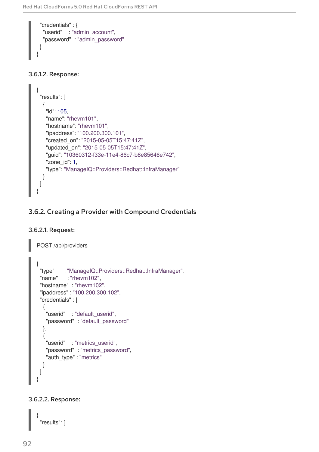```
"credentials" : {
  "userid" : "admin_account",
  "password" : "admin_password"
 }
}
```
### 3.6.1.2. Response:

```
{
 "results": [
  {
   "id": 105,
   "name": "rhevm101",
   "hostname": "rhevm101",
   "ipaddress": "100.200.300.101",
   "created_on": "2015-05-05T15:47:41Z",
   "updated_on": "2015-05-05T15:47:41Z",
   "guid": "10360312-f33e-11e4-86c7-b8e85646e742",
   "zone_id": 1,
   "type": "ManageIQ::Providers::Redhat::InfraManager"
  }
 ]
}
```
# 3.6.2. Creating a Provider with Compound Credentials

### 3.6.2.1. Request:

```
POST /api/providers
```

```
{
 "type" : "ManageIQ::Providers::Redhat::InfraManager",
 "name" : "rhevm102",
 "hostname" : "rhevm102",
 "ipaddress" : "100.200.300.102",
 "credentials" : [
  {
   "userid" : "default_userid",
   "password" : "default_password"
  },
  {
   "userid" : "metrics_userid",
   "password" : "metrics_password",
   "auth_type" : "metrics"
  }
 ]
}
```
### 3.6.2.2. Response:

{ "results": [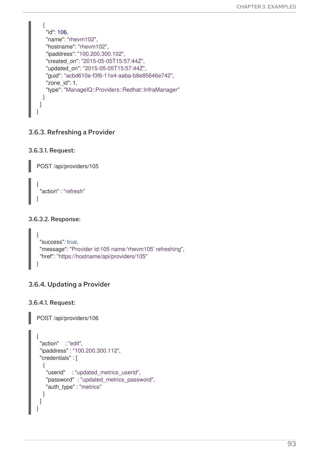```
{
   "id": 106,
   "name": "rhevm102",
   "hostname": "rhevm102",
   "ipaddress": "100.200.300.102",
   "created_on": "2015-05-05T15:57:44Z",
   "updated_on": "2015-05-05T15:57:44Z",
   "guid": "acbd610e-f3f6-11e4-aaba-b8e85646e742",
   "zone_id": 1,
   "type": "ManageIQ::Providers::Redhat::InfraManager"
  }
 ]
}
```
# 3.6.3. Refreshing a Provider

```
3.6.3.1. Request:
```
POST /api/providers/105

```
{
 "action" : "refresh"
}
```
### 3.6.3.2. Response:

```
{
 "success": true,
 "message": "Provider id:105 name:'rhevm105' refreshing",
 "href": "https://hostname/api/providers/105"
}
```
# 3.6.4. Updating a Provider

3.6.4.1. Request:

POST /api/providers/106

```
{
 "action" : "edit",
 "ipaddress" : "100.200.300.112",
 "credentials" : [
  {
   "userid" : "updated_metrics_userid",
   "password" : "updated_metrics_password",
   "auth_type" : "metrics"
  }
 ]
}
```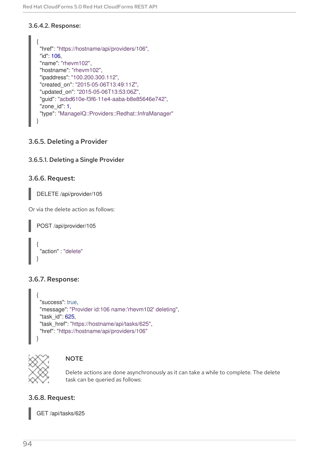### 3.6.4.2. Response:

```
{
 "href": "https://hostname/api/providers/106",
 "id": 106,
 "name": "rhevm102",
 "hostname": "rhevm102",
 "ipaddress": "100.200.300.112",
 "created_on": "2015-05-06T13:49:11Z",
 "updated_on": "2015-05-06T13:53:06Z",
 "guid": "acbd610e-f3f6-11e4-aaba-b8e85646e742",
 "zone_id": 1,
 "type": "ManageIQ::Providers::Redhat::InfraManager"
}
```
# 3.6.5. Deleting a Provider

# 3.6.5.1. Deleting a Single Provider

### 3.6.6. Request:

DELETE /api/provider/105

Or via the delete action as follows:

```
POST /api/provider/105
{
 "action" : "delete"
}
```
# 3.6.7. Response:

```
{
 "success": true,
 "message": "Provider id:106 name:'rhevm102' deleting",
 "task_id": 625,
 "task_href": "https://hostname/api/tasks/625",
 "href": "https://hostname/api/providers/106"
}
```


### **NOTE**

Delete actions are done asynchronously as it can take a while to complete. The delete task can be queried as follows:

# 3.6.8. Request:

GET /api/tasks/625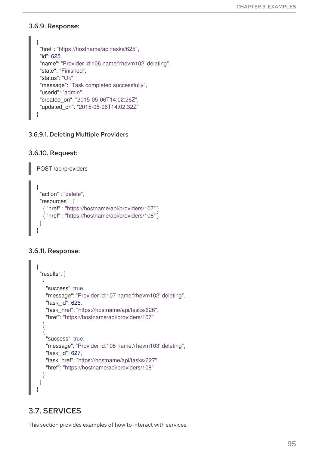### 3.6.9. Response:

```
{
 "href": "https://hostname/api/tasks/625",
 "id": 625,
 "name": "Provider id:106 name:'rhevm102' deleting",
 "state": "Finished",
 "status": "Ok",
 "message": "Task completed successfully",
 "userid": "admin",
 "created_on": "2015-05-06T14:02:26Z",
 "updated_on": "2015-05-06T14:02:32Z"
}
```
#### 3.6.9.1. Deleting Multiple Providers

#### 3.6.10. Request:

POST /api/providers

```
{
 "action" : "delete",
 "resources" : [
  { "href" : "https://hostname/api/providers/107" },
  { "href" : "https://hostname/api/providers/108" }
 ]
}
```
### 3.6.11. Response:

```
{
 "results": [
  {
    "success": true,
   "message": "Provider id:107 name:'rhevm102' deleting",
    "task_id": 626,
    "task_href": "https://hostname/api/tasks/626",
    "href": "https://hostname/api/providers/107"
  },
  {
    "success": true,
    "message": "Provider id:108 name:'rhevm103' deleting",
    "task_id": 627,
    "task_href": "https://hostname/api/tasks/627",
    "href": "https://hostname/api/providers/108"
  }
 ]
}
```
# 3.7. SERVICES

This section provides examples of how to interact with services.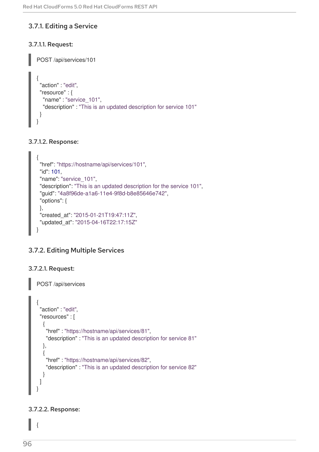# 3.7.1. Editing a Service

# 3.7.1.1. Request:

```
POST /api/services/101
{
 "action" : "edit",
 "resource" : {
  "name" : "service_101",
  "description" : "This is an updated description for service 101"
 }
}
```
### 3.7.1.2. Response:

```
{
 "href": "https://hostname/api/services/101",
 "id": 101,
 "name": "service_101",
 "description": "This is an updated description for the service 101",
 "guid": "4a8f96de-a1a6-11e4-9f8d-b8e85646e742",
 "options": {
 },
 "created_at": "2015-01-21T19:47:11Z",
 "updated_at": "2015-04-16T22:17:15Z"
}
```
# 3.7.2. Editing Multiple Services

# 3.7.2.1. Request:

```
POST /api/services
\{"action" : "edit",
 "resources" : [
  {
   "href" : "https://hostname/api/services/81",
   "description" : "This is an updated description for service 81"
  },
  {
    "href" : "https://hostname/api/services/82",
    "description" : "This is an updated description for service 82"
  }
 ]
}
```
### 3.7.2.2. Response:

{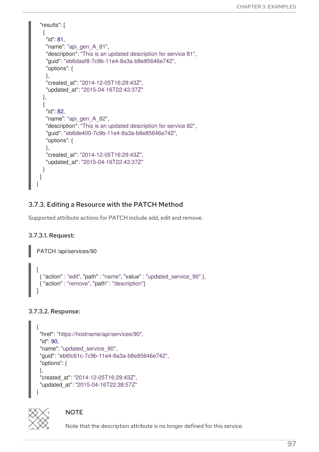```
"results": [
  {
    "id": 81,
    "name": "api_gen_A_81",
    "description": "This is an updated description for service 81",
    "guid": "eb6daaf8-7c9b-11e4-8a3a-b8e85646e742",
    "options": {
   },
    "created_at": "2014-12-05T16:29:43Z",
    "updated_at": "2015-04-16T22:43:37Z"
  },
  {
    "id": 82,
   "name": "api_gen_A_82",
    "description": "This is an updated description for service 82",
    "guid": "eb6de400-7c9b-11e4-8a3a-b8e85646e742",
    "options": {
   },
    "created_at": "2014-12-05T16:29:43Z",
    "updated_at": "2015-04-16T22:43:37Z"
  }
 ]
}
```
# 3.7.3. Editing a Resource with the PATCH Method

Supported attribute actions for PATCH include add, edit and remove.

# 3.7.3.1. Request:

```
PATCH /api/services/90
[
 { "action" : "edit", "path" : "name", "value" : "updated_service_90" },
 { "action" : "remove", "path" : "description"}
]
```
# 3.7.3.2. Response:

```
{
"href": "https://hostname/api/services/90",
"id": 90,
"name": "updated_service_90",
"guid": "eb6fc61c-7c9b-11e4-8a3a-b8e85646e742",
"options": {
},
"created_at": "2014-12-05T16:29:43Z",
"updated_at": "2015-04-16T22:38:57Z"
}
```


# **NOTE**

Note that the description attribute is no longer defined for this service.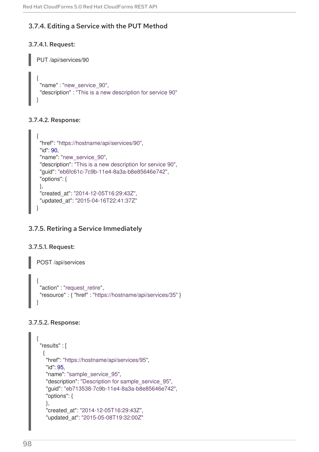# 3.7.4. Editing a Service with the PUT Method

# 3.7.4.1. Request:

```
PUT /api/services/90
{
 "name" : "new_service_90",
 "description" : "This is a new description for service 90"
}
```
# 3.7.4.2. Response:

```
{
 "href": "https://hostname/api/services/90",
 "id": 90,
 "name": "new_service_90",
 "description": "This is a new description for service 90",
 "guid": "eb6fc61c-7c9b-11e4-8a3a-b8e85646e742",
 "options": {
 },
 "created_at": "2014-12-05T16:29:43Z",
 "updated_at": "2015-04-16T22:41:37Z"
}
```
# 3.7.5. Retiring a Service Immediately

# 3.7.5.1. Request:

```
POST /api/services
{
 "action" : "request_retire",
 "resource" : { "href" : "https://hostname/api/services/35" }
}
```
# 3.7.5.2. Response:

```
{
"results" : [
  {
   "href": "https://hostname/api/services/95",
   "id": 95,
   "name": "sample_service_95",
   "description": "Description for sample_service_95",
   "guid": "eb713538-7c9b-11e4-8a3a-b8e85646e742",
   "options": {
   },
   "created_at": "2014-12-05T16:29:43Z",
   "updated_at": "2015-05-08T19:32:00Z"
```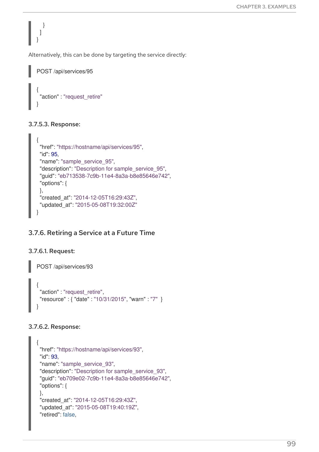Alternatively, this can be done by targeting the service directly:

```
POST /api/services/95
{
 "action" : "request_retire"
}
```
### 3.7.5.3. Response:

} ] }

```
{
 "href": "https://hostname/api/services/95",
 "id": 95,
 "name": "sample_service_95",
 "description": "Description for sample_service_95",
 "guid": "eb713538-7c9b-11e4-8a3a-b8e85646e742",
 "options": {
 },
 "created_at": "2014-12-05T16:29:43Z",
 "updated_at": "2015-05-08T19:32:00Z"
}
```
# 3.7.6. Retiring a Service at a Future Time

### 3.7.6.1. Request:

```
POST /api/services/93
{
 "action" : "request_retire",
 "resource" : { "date" : "10/31/2015", "warn" : "7" }
}
```
# 3.7.6.2. Response:

```
{
"href": "https://hostname/api/services/93",
"id": 93,
"name": "sample_service_93",
"description": "Description for sample_service_93",
"guid": "eb709e02-7c9b-11e4-8a3a-b8e85646e742",
"options": {
},
"created_at": "2014-12-05T16:29:43Z",
"updated_at": "2015-05-08T19:40:19Z",
"retired": false,
```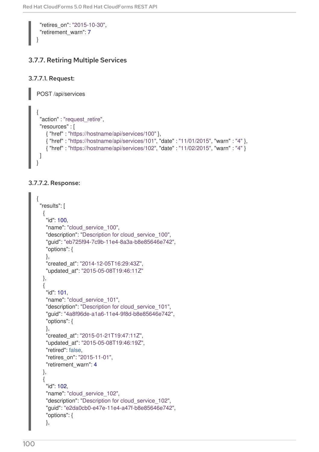```
"retires_on": "2015-10-30",
"retirement_warn": 7
```
# 3.7.7. Retiring Multiple Services

```
3.7.7.1. Request:
```
}

POST /api/services

```
{
 "action" : "request_retire",
 "resources" : [
    { "href" : "https://hostname/api/services/100" },
    { "href" : "https://hostname/api/services/101", "date" : "11/01/2015", "warn" : "4" },
    { "href" : "https://hostname/api/services/102", "date" : "11/02/2015", "warn" : "4" }
 ]
}
```
# 3.7.7.2. Response:

```
{
"results": [
  {
   "id": 100,
   "name": "cloud_service_100",
   "description": "Description for cloud_service_100",
   "guid": "eb725f94-7c9b-11e4-8a3a-b8e85646e742",
   "options": {
   },
   "created_at": "2014-12-05T16:29:43Z",
   "updated_at": "2015-05-08T19:46:11Z"
  },
  {
   "id": 101,
   "name": "cloud_service_101",
   "description": "Description for cloud_service_101",
   "guid": "4a8f96de-a1a6-11e4-9f8d-b8e85646e742",
   "options": {
   },
   "created_at": "2015-01-21T19:47:11Z",
   "updated_at": "2015-05-08T19:46:19Z",
   "retired": false,
   "retires_on": "2015-11-01",
   "retirement_warn": 4
  },
  {
   "id": 102,
   "name": "cloud_service_102",
   "description": "Description for cloud_service_102",
   "guid": "e2da0cb0-e47e-11e4-a47f-b8e85646e742",
   "options": {
   },
```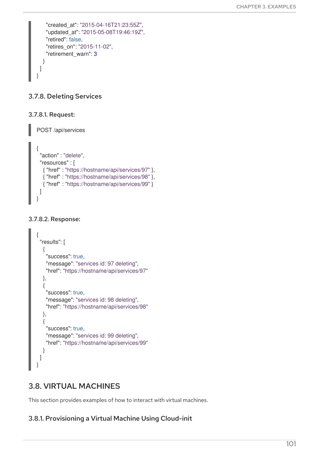```
"created_at": "2015-04-16T21:23:55Z",
   "updated_at": "2015-05-08T19:46:19Z",
   "retired": false,
   "retires_on": "2015-11-02",
   "retirement_warn": 3
  }
 ]
}
```
# 3.7.8. Deleting Services

### 3.7.8.1. Request:

POST /api/services

```
{
 "action" : "delete",
 "resources" : [
  { "href" : "https://hostname/api/services/97" },
  { "href" : "https://hostname/api/services/98" },
  { "href" : "https://hostname/api/services/99" }
 ]
}
```
#### 3.7.8.2. Response:

```
{
 "results": [
  {
    "success": true,
    "message": "services id: 97 deleting",
    "href": "https://hostname/api/services/97"
  },
  \left\{ \right."success": true,
    "message": "services id: 98 deleting",
    "href": "https://hostname/api/services/98"
  },
  {
    "success": true,
    "message": "services id: 99 deleting",
    "href": "https://hostname/api/services/99"
  }
 ]
}
```
# 3.8. VIRTUAL MACHINES

This section provides examples of how to interact with virtual machines.

# 3.8.1. Provisioning a Virtual Machine Using Cloud-init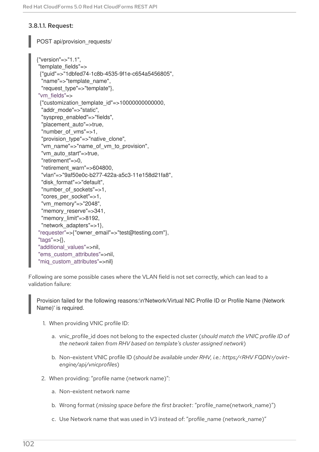### 3.8.1.1. Request:

POST api/provision\_requests/

```
{"version"=>"1.1",
"template_fields"=>
 {"guid"=>"1dbfed74-1c8b-4535-9f1e-c654a5456805",
 "name"=>"template_name",
 "request_type"=>"template"},
"vm_fields"=>
 {"customization_template_id"=>10000000000000,
 "addr_mode"=>"static",
 "sysprep_enabled"=>"fields",
 "placement_auto"=>true,
 "number_of_vms"=>1,
 "provision_type"=>"native_clone",
 "vm_name"=>"name_of_vm_to_provision",
 "vm_auto_start"=>true,
 "retirement"=>0,
 "retirement_warn"=>604800,
 "vlan"=>"9af50e0c-b277-422a-a5c3-11e158d21fa8",
 "disk_format"=>"default",
 "number_of_sockets"=>1,
 "cores_per_socket"=>1,
 "vm_memory"=>"2048",
 "memory reserve"=>341,
 "memory_limit"=>8192,
 "network adapters"=>1},
"requester"=>{"owner_email"=>"test@testing.com"},
"tags"=>{},
"additional_values"=>nil,
"ems_custom_attributes"=>nil,
"mig_custom_attributes"=>nil}
```
Following are some possible cases where the VLAN field is not set correctly, which can lead to a validation failure:

Provision failed for the following reasons:\n'Network/Virtual NIC Profile ID or Profile Name (Network Name)' is required.

- 1. When providing VNIC profile ID:
	- a. vnic\_profile\_id does not belong to the expected cluster (*should match the VNIC profile ID of the network taken from RHV based on template's cluster assigned network*)
	- b. Non-existent VNIC profile ID (*should be available under RHV, i.e.: https:/<RHV FQDN>/ovirtengine/api/vnicprofiles*)
- 2. When providing: "profile name (network name)":
	- a. Non-existent network name
	- b. Wrong format (*missing space before the first bracket*: "profile\_name(network\_name)")
	- c. Use Network name that was used in V3 instead of: "profile\_name (network name)"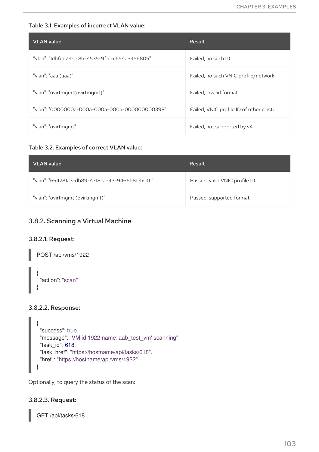#### Table 3.1. Examples of incorrect VLAN value:

| <b>VLAN</b> value                              | Result                                   |
|------------------------------------------------|------------------------------------------|
| "vlan": "1dbfed74-1c8b-4535-9f1e-c654a5456805" | Failed, no such ID                       |
| "vlan": "aaa (aaa)"                            | Failed, no such VNIC profile/network     |
| "vlan": "ovirtmqmt(ovirtmqmt)"                 | Failed, invalid format                   |
| "vlan": "0000000a-000a-000a-000a-000000000398" | Failed, VNIC profile ID of other cluster |
| "vlan": "ovirtmgmt"                            | Failed, not supported by v4              |

#### Table 3.2. Examples of correct VLAN value:

| <b>VLAN</b> value                              | Result                        |
|------------------------------------------------|-------------------------------|
| "vlan": "654281a3-db89-4718-ae43-9466b81eb001" | Passed, valid VNIC profile ID |
| "vlan": "ovirtmgmt (ovirtmgmt)"                | Passed, supported format      |

# 3.8.2. Scanning a Virtual Machine

#### 3.8.2.1. Request:

POST /api/vms/1922

```
{
 "action": "scan"
}
```
### 3.8.2.2. Response:

```
{
 "success": true,
"message": "VM id:1922 name:'aab_test_vm' scanning",
 "task_id": 618,
 "task_href": "https://hostname/api/tasks/618",
 "href": "https://hostname/api/vms/1922"
}
```
Optionally, to query the status of the scan:

### 3.8.2.3. Request:

GET /api/tasks/618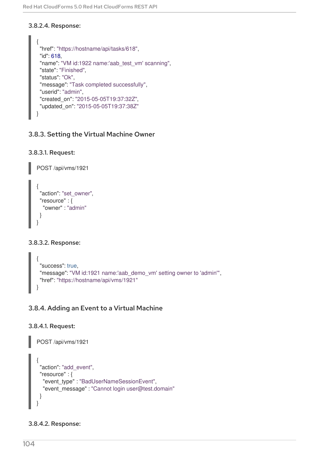### 3.8.2.4. Response:

```
{
 "href": "https://hostname/api/tasks/618",
 "id": 618,
 "name": "VM id:1922 name:'aab_test_vm' scanning",
 "state": "Finished",
 "status": "Ok",
 "message": "Task completed successfully",
 "userid": "admin",
 "created_on": "2015-05-05T19:37:32Z",
 "updated_on": "2015-05-05T19:37:38Z"
}
```
# 3.8.3. Setting the Virtual Machine Owner

### 3.8.3.1. Request:

POST /api/vms/1921

```
{
 "action": "set_owner",
 "resource" : {
  "owner" : "admin"
 }
}
```
# 3.8.3.2. Response:

```
{
 "success": true,
 "message": "VM id:1921 name:'aab demo_vm' setting owner to 'admin'",
 "href": "https://hostname/api/vms/1921"
}
```
# 3.8.4. Adding an Event to a Virtual Machine

# 3.8.4.1. Request:

```
POST /api/vms/1921
{
 "action": "add_event",
 "resource" : {
  "event_type" : "BadUserNameSessionEvent",
  "event_message" : "Cannot login user@test.domain"
 }
}
```
# 3.8.4.2. Response: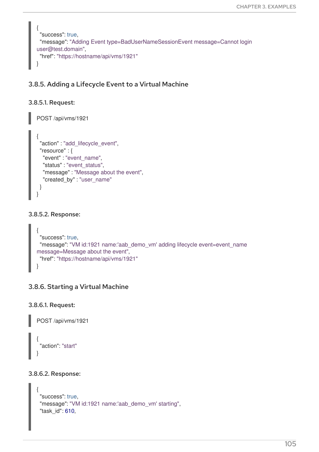```
{
 "success": true,
 "message": "Adding Event type=BadUserNameSessionEvent message=Cannot login
user@test.domain",
 "href": "https://hostname/api/vms/1921"
}
```
## 3.8.5. Adding a Lifecycle Event to a Virtual Machine

#### 3.8.5.1. Request:

```
POST /api/vms/1921
{
 "action" : "add_lifecycle_event",
 "resource" : {
  "event" : "event_name",
  "status" : "event_status",
  "message" : "Message about the event",
  "created_by" : "user_name"
 }
}
```
#### 3.8.5.2. Response:

```
{
 "success": true,
 "message": "VM id:1921 name:'aab_demo_vm' adding lifecycle event=event_name
message=Message about the event",
 "href": "https://hostname/api/vms/1921"
}
```
## 3.8.6. Starting a Virtual Machine

3.8.6.1. Request:

POST /api/vms/1921

```
{
 "action": "start"
}
```
#### 3.8.6.2. Response:

```
{
"success": true,
"message": "VM id:1921 name:'aab_demo_vm' starting",
"task_id": 610,
```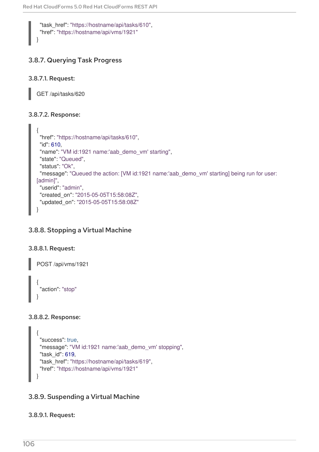"task\_href": "https://hostname/api/tasks/610", "href": "https://hostname/api/vms/1921"

# 3.8.7. Querying Task Progress

## 3.8.7.1. Request:

}

GET /api/tasks/620

## 3.8.7.2. Response:

```
{
 "href": "https://hostname/api/tasks/610",
 "id": 610,
 "name": "VM id:1921 name:'aab_demo_vm' starting",
 "state": "Queued",
 "status": "Ok",
 "message": "Queued the action: [VM id:1921 name:'aab_demo_vm' starting] being run for user:
[admin]",
 "userid": "admin",
 "created_on": "2015-05-05T15:58:08Z",
 "updated_on": "2015-05-05T15:58:08Z"
}
```
# 3.8.8. Stopping a Virtual Machine

## 3.8.8.1. Request:

POST /api/vms/1921 { "action": "stop" }

## 3.8.8.2. Response:

```
{
 "success": true,
 "message": "VM id:1921 name:'aab_demo_vm' stopping",
 "task_id": 619,
 "task_href": "https://hostname/api/tasks/619",
 "href": "https://hostname/api/vms/1921"
}
```
# 3.8.9. Suspending a Virtual Machine

# 3.8.9.1. Request: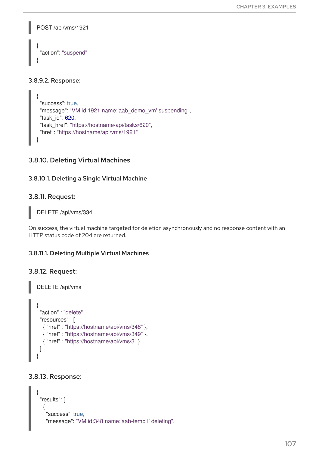```
POST /api/vms/1921
{
 "action": "suspend"
}
```
#### 3.8.9.2. Response:

```
{
 "success": true,
 "message": "VM id:1921 name:'aab_demo_vm' suspending",
 "task_id": 620,
 "task_href": "https://hostname/api/tasks/620",
 "href": "https://hostname/api/vms/1921"
}
```
#### 3.8.10. Deleting Virtual Machines

3.8.10.1. Deleting a Single Virtual Machine

#### 3.8.11. Request:

DELETE /api/vms/334

On success, the virtual machine targeted for deletion asynchronously and no response content with an HTTP status code of 204 are returned.

#### 3.8.11.1. Deleting Multiple Virtual Machines

#### 3.8.12. Request:

```
DELETE /api/vms
{
 "action" : "delete",
 "resources" : [
  { "href" : "https://hostname/api/vms/348" },
  { "href" : "https://hostname/api/vms/349" },
  { "href" : "https://hostname/api/vms/3" }
 ]
}
```
#### 3.8.13. Response:

```
{
"results": [
  {
   "success": true,
   "message": "VM id:348 name:'aab-temp1' deleting",
```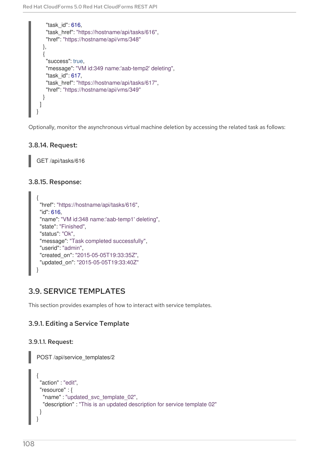```
"task_id": 616,
    "task_href": "https://hostname/api/tasks/616",
    "href": "https://hostname/api/vms/348"
  },
  {
    "success": true,
    "message": "VM id:349 name:'aab-temp2' deleting",
    "task_id": 617,
    "task_href": "https://hostname/api/tasks/617",
    "href": "https://hostname/api/vms/349"
  }
 ]
}
```
Optionally, monitor the asynchronous virtual machine deletion by accessing the related task as follows:

#### 3.8.14. Request:

GET /api/tasks/616

#### 3.8.15. Response:

```
{
 "href": "https://hostname/api/tasks/616",
 "id": 616,
 "name": "VM id:348 name:'aab-temp1' deleting",
 "state": "Finished",
 "status": "Ok",
 "message": "Task completed successfully",
 "userid": "admin",
 "created_on": "2015-05-05T19:33:35Z",
 "updated_on": "2015-05-05T19:33:40Z"
}
```
# 3.9. SERVICE TEMPLATES

This section provides examples of how to interact with service templates.

## 3.9.1. Editing a Service Template

#### 3.9.1.1. Request:

```
POST /api/service_templates/2
{
 "action" : "edit",
 "resource" : {
  "name" : "updated_svc_template_02",
  "description" : "This is an updated description for service template 02"
 }
}
```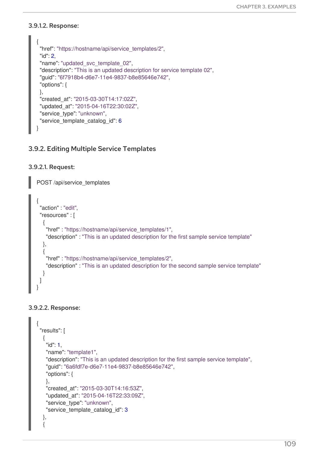#### 3.9.1.2. Response:

```
{
 "href": "https://hostname/api/service_templates/2",
 "id": 2,
 "name": "updated_svc_template_02",
 "description": "This is an updated description for service template 02",
 "guid": "6f7918b4-d6e7-11e4-9837-b8e85646e742",
 "options": {
 },
 "created_at": "2015-03-30T14:17:02Z",
 "updated_at": "2015-04-16T22:30:02Z",
 "service_type": "unknown",
 "service template catalog id": 6
}
```
## 3.9.2. Editing Multiple Service Templates

#### 3.9.2.1. Request:

POST /api/service\_templates

```
{
 "action" : "edit",
 "resources" : [
  {
    "href" : "https://hostname/api/service_templates/1",
    "description" : "This is an updated description for the first sample service template"
  },
  {
    "href" : "https://hostname/api/service_templates/2",
    "description" : "This is an updated description for the second sample service template"
  }
 ]
}
```
#### 3.9.2.2. Response:

```
{
 "results": [
  {
   "id": 1,
   "name": "template1",
   "description": "This is an updated description for the first sample service template",
   "guid": "6a6fdf7e-d6e7-11e4-9837-b8e85646e742",
   "options": {
   },
   "created_at": "2015-03-30T14:16:53Z",
   "updated_at": "2015-04-16T22:33:09Z",
   "service_type": "unknown",
   "service template catalog id": 3
  },
  {
```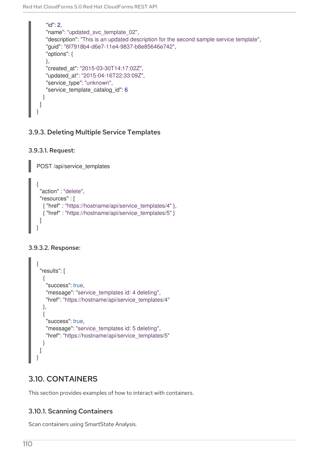```
"id": 2,
   "name": "updated_svc_template_02",
   "description": "This is an updated description for the second sample service template",
   "guid": "6f7918b4-d6e7-11e4-9837-b8e85646e742",
   "options": {
   },
   "created_at": "2015-03-30T14:17:02Z",
   "updated_at": "2015-04-16T22:33:09Z",
   "service_type": "unknown",
   "service template catalog id": 6
  }
 ]
}
```
# 3.9.3. Deleting Multiple Service Templates

```
3.9.3.1. Request:
```
POST /api/service\_templates

```
{
 "action" : "delete",
 "resources" : [
  { "href" : "https://hostname/api/service_templates/4" },
  { "href" : "https://hostname/api/service_templates/5" }
 ]
}
```
# 3.9.3.2. Response:

```
{
 "results": [
  {
    "success": true,
    "message": "service_templates id: 4 deleting",
   "href": "https://hostname/api/service_templates/4"
  },
  {
    "success": true,
    "message": "service templates id: 5 deleting",
    "href": "https://hostname/api/service_templates/5"
  }
 ]
}
```
# 3.10. CONTAINERS

This section provides examples of how to interact with containers.

# 3.10.1. Scanning Containers

Scan containers using SmartState Analysis.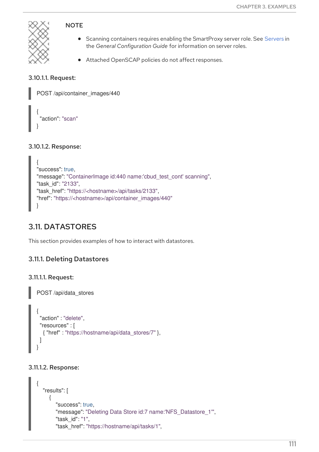

## **NOTE**

- **•** Scanning containers requires enabling the SmartProxy server role. See [Servers](https://access.redhat.com/documentation/en-us/red_hat_cloudforms/4.6/html-single/general_configuration/#servers) in the *General Configuration Guide* for information on server roles.
- Attached OpenSCAP policies do not affect responses.

## 3.10.1.1. Request:

```
POST /api/container_images/440
{
 "action": "scan"
}
```
## 3.10.1.2. Response:

```
{
"success": true,
"message": "ContainerImage id:440 name:'cbud_test_cont' scanning",
"task_id": "2133",
"task_href": "https://<hostname>/api/tasks/2133",
"href": "https://<hostname>/api/container_images/440"
}
```
# 3.11. DATASTORES

This section provides examples of how to interact with datastores.

# 3.11.1. Deleting Datastores

## 3.11.1.1. Request:

POST /api/data\_stores

```
{
 "action" : "delete",
 "resources" : [
  { "href" : "https://hostname/api/data_stores/7" },
 ]
}
```
## 3.11.1.2. Response:

```
{
  "results": [
     {
       "success": true,
       "message": "Deleting Data Store id:7 name:'NFS_Datastore_1'",
       "task_id": "1",
       "task_href": "https://hostname/api/tasks/1",
```